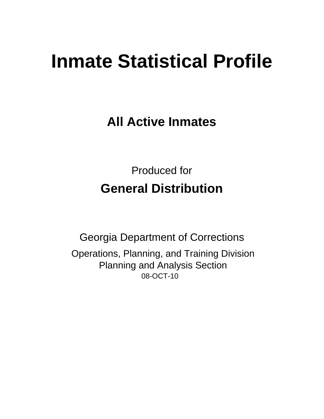# **Inmate Statistical Profile**

**All Active Inmates** 

**Produced for General Distribution** 

**Georgia Department of Corrections** Operations, Planning, and Training Division **Planning and Analysis Section** 08-OCT-10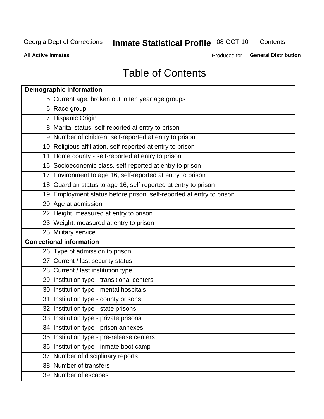**Inmate Statistical Profile 08-OCT-10** Contents

**All Active Inmates** 

Produced for General Distribution

## **Table of Contents**

|    | <b>Demographic information</b>                                       |
|----|----------------------------------------------------------------------|
|    | 5 Current age, broken out in ten year age groups                     |
|    | 6 Race group                                                         |
|    | 7 Hispanic Origin                                                    |
|    | 8 Marital status, self-reported at entry to prison                   |
|    | 9 Number of children, self-reported at entry to prison               |
|    | 10 Religious affiliation, self-reported at entry to prison           |
|    | 11 Home county - self-reported at entry to prison                    |
|    | 16 Socioeconomic class, self-reported at entry to prison             |
|    | 17 Environment to age 16, self-reported at entry to prison           |
|    | 18 Guardian status to age 16, self-reported at entry to prison       |
|    | 19 Employment status before prison, self-reported at entry to prison |
|    | 20 Age at admission                                                  |
|    | 22 Height, measured at entry to prison                               |
|    | 23 Weight, measured at entry to prison                               |
|    | 25 Military service                                                  |
|    | <b>Correctional information</b>                                      |
|    | 26 Type of admission to prison                                       |
|    | 27 Current / last security status                                    |
|    | 28 Current / last institution type                                   |
|    | 29 Institution type - transitional centers                           |
|    | 30 Institution type - mental hospitals                               |
|    | 31 Institution type - county prisons                                 |
|    | 32 Institution type - state prisons                                  |
|    | 33 Institution type - private prisons                                |
|    | 34 Institution type - prison annexes                                 |
| 35 | Institution type - pre-release centers                               |
|    | 36 Institution type - inmate boot camp                               |
|    | 37 Number of disciplinary reports                                    |
|    | 38 Number of transfers                                               |
|    | 39 Number of escapes                                                 |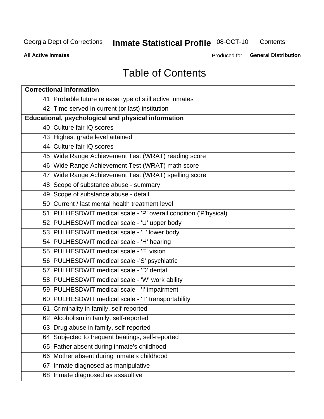## **Inmate Statistical Profile 08-OCT-10**

Contents

**All Active Inmates** 

Produced for General Distribution

## **Table of Contents**

| <b>Correctional information</b>                                  |  |  |  |  |  |  |
|------------------------------------------------------------------|--|--|--|--|--|--|
| 41 Probable future release type of still active inmates          |  |  |  |  |  |  |
| 42 Time served in current (or last) institution                  |  |  |  |  |  |  |
| Educational, psychological and physical information              |  |  |  |  |  |  |
| 40 Culture fair IQ scores                                        |  |  |  |  |  |  |
| 43 Highest grade level attained                                  |  |  |  |  |  |  |
| 44 Culture fair IQ scores                                        |  |  |  |  |  |  |
| 45 Wide Range Achievement Test (WRAT) reading score              |  |  |  |  |  |  |
| 46 Wide Range Achievement Test (WRAT) math score                 |  |  |  |  |  |  |
| 47 Wide Range Achievement Test (WRAT) spelling score             |  |  |  |  |  |  |
| 48 Scope of substance abuse - summary                            |  |  |  |  |  |  |
| 49 Scope of substance abuse - detail                             |  |  |  |  |  |  |
| 50 Current / last mental health treatment level                  |  |  |  |  |  |  |
| 51 PULHESDWIT medical scale - 'P' overall condition ('P'hysical) |  |  |  |  |  |  |
| 52 PULHESDWIT medical scale - 'U' upper body                     |  |  |  |  |  |  |
| 53 PULHESDWIT medical scale - 'L' lower body                     |  |  |  |  |  |  |
| 54 PULHESDWIT medical scale - 'H' hearing                        |  |  |  |  |  |  |
| 55 PULHESDWIT medical scale - 'E' vision                         |  |  |  |  |  |  |
| 56 PULHESDWIT medical scale -'S' psychiatric                     |  |  |  |  |  |  |
| 57 PULHESDWIT medical scale - 'D' dental                         |  |  |  |  |  |  |
| 58 PULHESDWIT medical scale - 'W' work ability                   |  |  |  |  |  |  |
| 59 PULHESDWIT medical scale - 'I' impairment                     |  |  |  |  |  |  |
| 60 PULHESDWIT medical scale - 'T' transportability               |  |  |  |  |  |  |
| 61 Criminality in family, self-reported                          |  |  |  |  |  |  |
| 62 Alcoholism in family, self-reported                           |  |  |  |  |  |  |
| 63 Drug abuse in family, self-reported                           |  |  |  |  |  |  |
| 64 Subjected to frequent beatings, self-reported                 |  |  |  |  |  |  |
| 65 Father absent during inmate's childhood                       |  |  |  |  |  |  |
| 66 Mother absent during inmate's childhood                       |  |  |  |  |  |  |
| 67 Inmate diagnosed as manipulative                              |  |  |  |  |  |  |
| 68 Inmate diagnosed as assaultive                                |  |  |  |  |  |  |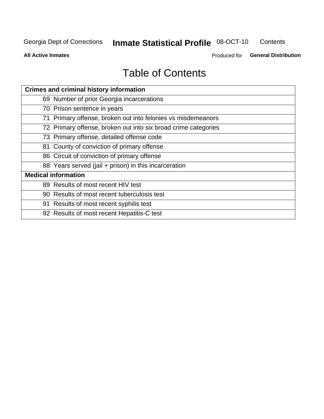## **Inmate Statistical Profile 08-OCT-10**

Contents

**All Active Inmates** 

Produced for General Distribution

## **Table of Contents**

| <b>Crimes and criminal history information</b>                 |
|----------------------------------------------------------------|
| 69 Number of prior Georgia incarcerations                      |
| 70 Prison sentence in years                                    |
| 71 Primary offense, broken out into felonies vs misdemeanors   |
| 72 Primary offense, broken out into six broad crime categories |
| 73 Primary offense, detailed offense code                      |
| 81 County of conviction of primary offense                     |
| 86 Circuit of conviction of primary offense                    |
| 88 Years served (jail + prison) in this incarceration          |
| <b>Medical information</b>                                     |
| 89 Results of most recent HIV test                             |
| 90 Results of most recent tuberculosis test                    |
| 91 Results of most recent syphilis test                        |
| 92 Results of most recent Hepatitis-C test                     |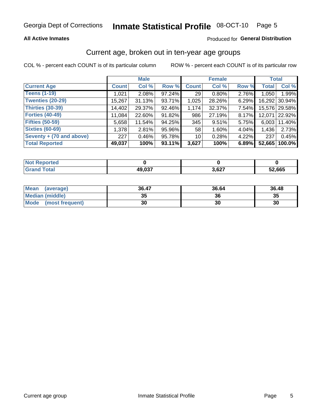### **All Active Inmates**

### Produced for General Distribution

## Current age, broken out in ten-year age groups

COL % - percent each COUNT is of its particular column

|                          |              | <b>Male</b> |        |              | <b>Female</b> |       | <b>Total</b> |               |
|--------------------------|--------------|-------------|--------|--------------|---------------|-------|--------------|---------------|
| <b>Current Age</b>       | <b>Count</b> | Col %       | Row %  | <b>Count</b> | Col %         | Row % | <b>Total</b> | Col %         |
| <b>Teens (1-19)</b>      | 1,021        | 2.08%       | 97.24% | 29           | 0.80%         | 2.76% | 1,050        | 1.99%         |
| <b>Twenties (20-29)</b>  | 15,267       | 31.13%      | 93.71% | 1,025        | 28.26%        | 6.29% | 16,292       | 30.94%        |
| <b>Thirties (30-39)</b>  | 14,402       | 29.37%      | 92.46% | 1,174        | 32.37%        | 7.54% |              | 15,576 29.58% |
| <b>Forties (40-49)</b>   | 11,084       | 22.60%      | 91.82% | 986          | 27.19%        | 8.17% | 12,071       | 22.92%        |
| <b>Fifties (50-59)</b>   | 5,658        | 11.54%      | 94.25% | 345          | 9.51%         | 5.75% | 6.003        | 11.40%        |
| <b>Sixties (60-69)</b>   | 1,378        | 2.81%       | 95.96% | 58           | 1.60%         | 4.04% | 1,436        | 2.73%         |
| Seventy + (70 and above) | 227          | 0.46%       | 95.78% | 10           | 0.28%         | 4.22% | 237          | 0.45%         |
| <b>Total Reported</b>    | 49,037       | 100%        | 93.11% | 3,627        | 100%          | 6.89% | 52,665       | 100.0%        |

| <b>Not Reported</b>   |        |       |        |
|-----------------------|--------|-------|--------|
| <b>Total</b><br>Grand | 49,037 | 3,627 | 52,665 |

| <b>Mean</b><br>(average) | 36.47    | 36.64 | 36.48 |
|--------------------------|----------|-------|-------|
| Median (middle)          | つん<br>vu | 36    | 35    |
| Mode<br>(most frequent)  | 30       | 30    | 30    |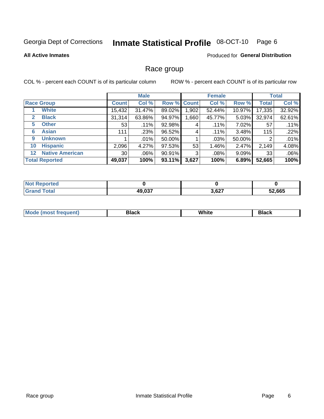#### Inmate Statistical Profile 08-OCT-10 Page 6

#### **All Active Inmates**

### Produced for General Distribution

## Race group

COL % - percent each COUNT is of its particular column

|                                   |                 | <b>Male</b> |        |             | <b>Female</b> |          |              | <b>Total</b> |  |
|-----------------------------------|-----------------|-------------|--------|-------------|---------------|----------|--------------|--------------|--|
| <b>Race Group</b>                 | <b>Count</b>    | Col %       |        | Row % Count | Col %         | Row %    | <b>Total</b> | Col %        |  |
| <b>White</b>                      | 15,432          | 31.47%      | 89.02% | ,902        | 52.44%        | 10.97%   | 17,335       | 32.92%       |  |
| <b>Black</b><br>2                 | 31,314          | 63.86%      | 94.97% | .660        | 45.77%        | $5.03\%$ | 32,974       | 62.61%       |  |
| <b>Other</b><br>5                 | 53              | .11%        | 92.98% | 4           | $.11\%$       | 7.02%    | 57           | .11%         |  |
| <b>Asian</b><br>6                 | 111             | .23%        | 96.52% | 4           | $.11\%$       | 3.48%    | 115          | .22%         |  |
| <b>Unknown</b><br>9               |                 | $.01\%$     | 50.00% |             | .03%          | 50.00%   | 2            | .01%         |  |
| <b>Hispanic</b><br>10             | 2,096           | 4.27%       | 97.53% | 53          | 1.46%         | 2.47%    | 2,149        | 4.08%        |  |
| <b>Native American</b><br>$12 \,$ | 30 <sub>1</sub> | $.06\%$     | 90.91% | 3           | .08%          | $9.09\%$ | 33           | .06%         |  |
| <b>Total Reported</b>             | 49,037          | 100%        | 93.11% | 3,627       | 100%          | 6.89%    | 52,665       | 100%         |  |

| <b>eported</b><br><b>NOT</b> |        |       |        |
|------------------------------|--------|-------|--------|
| <sup>-</sup> otal<br>Gra     | 49,037 | 3,627 | 52,665 |

| M.<br>____ | . | ------- |
|------------|---|---------|
|            |   |         |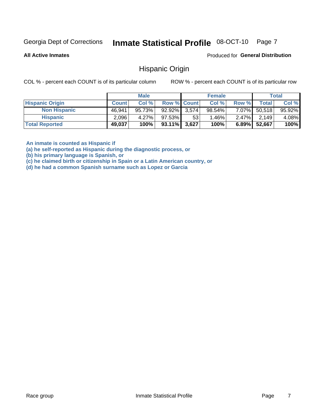#### Inmate Statistical Profile 08-OCT-10 Page 7

**All Active Inmates** 

Produced for General Distribution

## **Hispanic Origin**

COL % - percent each COUNT is of its particular column

ROW % - percent each COUNT is of its particular row

|                        |              | <b>Male</b> |                    |                 | <b>Female</b> |          |        | <b>Total</b> |
|------------------------|--------------|-------------|--------------------|-----------------|---------------|----------|--------|--------------|
| <b>Hispanic Origin</b> | <b>Count</b> | Col %       | <b>Row % Count</b> |                 | Col %         | Row %    | Totall | Col %        |
| <b>Non Hispanic</b>    | 46,941       | 95.73%      | 92.92% 3.574       |                 | $98.54\%$     | 7.07%    | 50,518 | 95.92%       |
| <b>Hispanic</b>        | 2,096        | 4.27%       | 97.53%             | 53 <sup>°</sup> | 1.46%         | $2.47\%$ | 2.149  | 4.08%        |
| <b>Total Reported</b>  | 49,037       | 100%        | $93.11\%$ 3,627    |                 | 100%          | $6.89\%$ | 52,667 | 100%         |

An inmate is counted as Hispanic if

(a) he self-reported as Hispanic during the diagnostic process, or

(b) his primary language is Spanish, or

(c) he claimed birth or citizenship in Spain or a Latin American country, or

(d) he had a common Spanish surname such as Lopez or Garcia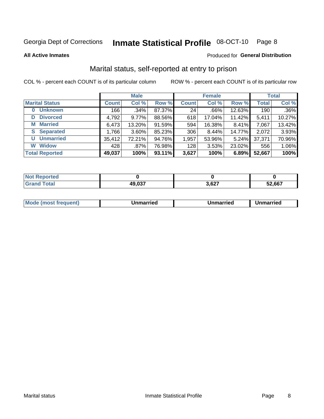#### Inmate Statistical Profile 08-OCT-10 Page 8

**All Active Inmates** 

### Produced for General Distribution

## Marital status, self-reported at entry to prison

COL % - percent each COUNT is of its particular column

|                            | <b>Male</b>  |          |        | <b>Female</b> |        |        | <b>Total</b> |        |
|----------------------------|--------------|----------|--------|---------------|--------|--------|--------------|--------|
| <b>Marital Status</b>      | <b>Count</b> | Col %    | Row %  | <b>Count</b>  | Col %  | Row %  | <b>Total</b> | Col %  |
| <b>Unknown</b><br>$\bf{0}$ | 166          | $.34\%$  | 87.37% | 24            | .66%   | 12.63% | 190          | .36%   |
| <b>Divorced</b><br>D       | 4,792        | $9.77\%$ | 88.56% | 618           | 17.04% | 11.42% | 5,411        | 10.27% |
| <b>Married</b><br>М        | 6,473        | 13.20%   | 91.59% | 594           | 16.38% | 8.41%  | 7,067        | 13.42% |
| <b>Separated</b><br>S.     | 1,766        | $3.60\%$ | 85.23% | 306           | 8.44%  | 14.77% | 2,072        | 3.93%  |
| <b>Unmarried</b><br>U      | 35,412       | 72.21%   | 94.76% | 1,957         | 53.96% | 5.24%  | 37,371       | 70.96% |
| <b>Widow</b><br>W          | 428          | .87%     | 76.98% | 128           | 3.53%  | 23.02% | 556          | 1.06%  |
| <b>Total Reported</b>      | 49,037       | 100%     | 93.11% | 3,627         | 100%   | 6.89%  | 52,667       | 100%   |

| <b>Not Repo</b><br>norted |        |                           |        |
|---------------------------|--------|---------------------------|--------|
| <b>Total</b>              | 49,037 | CO <sub>7</sub><br>ו ∠ס.כ | 52,667 |

|--|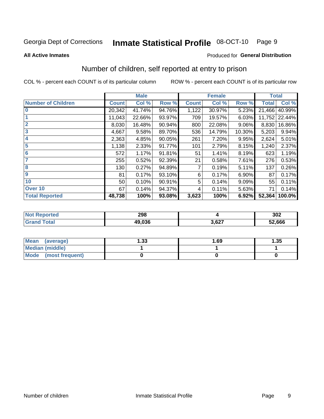## Inmate Statistical Profile 08-OCT-10 Page 9

#### **All Active Inmates**

### Produced for General Distribution

## Number of children, self reported at entry to prison

COL % - percent each COUNT is of its particular column

|                           |              | <b>Male</b> |        |              | <b>Female</b> |        | <b>Total</b> |               |
|---------------------------|--------------|-------------|--------|--------------|---------------|--------|--------------|---------------|
| <b>Number of Children</b> | <b>Count</b> | Col %       | Row %  | <b>Count</b> | Col %         | Row %  | <b>Total</b> | Col %         |
| 10                        | 20,342       | 41.74%      | 94.76% | 1,122        | 30.97%        | 5.23%  | 21,466       | 40.99%        |
|                           | 11,043       | 22.66%      | 93.97% | 709          | 19.57%        | 6.03%  |              | 11,752 22.44% |
| $\overline{2}$            | 8,030        | 16.48%      | 90.94% | 800          | 22.08%        | 9.06%  | 8,830        | 16.86%        |
| $\overline{\mathbf{3}}$   | 4,667        | 9.58%       | 89.70% | 536          | 14.79%        | 10.30% | 5,203        | 9.94%         |
| $\overline{\mathbf{4}}$   | 2,363        | 4.85%       | 90.05% | 261          | 7.20%         | 9.95%  | 2,624        | 5.01%         |
| 5                         | 1,138        | 2.33%       | 91.77% | 101          | 2.79%         | 8.15%  | 1,240        | 2.37%         |
| $6\phantom{1}6$           | 572          | 1.17%       | 91.81% | 51           | 1.41%         | 8.19%  | 623          | 1.19%         |
| 7                         | 255          | 0.52%       | 92.39% | 21           | 0.58%         | 7.61%  | 276          | 0.53%         |
| 8                         | 130          | 0.27%       | 94.89% | 7            | 0.19%         | 5.11%  | 137          | 0.26%         |
| 9                         | 81           | 0.17%       | 93.10% | 6            | 0.17%         | 6.90%  | 87           | 0.17%         |
| 10                        | 50           | 0.10%       | 90.91% | 5            | 0.14%         | 9.09%  | 55           | 0.11%         |
| Over 10                   | 67           | 0.14%       | 94.37% | 4            | 0.11%         | 5.63%  | 71           | 0.14%         |
| <b>Total Reported</b>     | 48,738       | 100%        | 93.08% | 3,623        | 100%          | 6.92%  | 52,364       | 100.0%        |

| N | 298    |                | 302    |
|---|--------|----------------|--------|
|   | 49.036 | דמה מ<br>J.UZ. | 52,666 |

| <b>Mean</b><br>(average) | l.33 | 1.69 | 1.35 |
|--------------------------|------|------|------|
| Median (middle)          |      |      |      |
| Mode<br>(most frequent)  |      |      |      |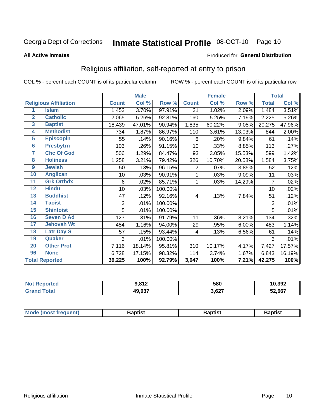## Inmate Statistical Profile 08-OCT-10 Page 10

#### **All Active Inmates**

### Produced for General Distribution

## Religious affiliation, self-reported at entry to prison

COL % - percent each COUNT is of its particular column

|                |                              | <b>Male</b>  |        | <b>Female</b> |                |                           | <b>Total</b> |              |        |
|----------------|------------------------------|--------------|--------|---------------|----------------|---------------------------|--------------|--------------|--------|
|                | <b>Religious Affiliation</b> | <b>Count</b> | Col %  | Row %         | <b>Count</b>   | $\overline{\text{Col}}$ % | Row %        | <b>Total</b> | Col %  |
| 1              | <b>Islam</b>                 | 1,453        | 3.70%  | 97.91%        | 31             | 1.02%                     | 2.09%        | 1,484        | 3.51%  |
| $\overline{2}$ | <b>Catholic</b>              | 2,065        | 5.26%  | 92.81%        | 160            | 5.25%                     | 7.19%        | 2,225        | 5.26%  |
| 3              | <b>Baptist</b>               | 18,439       | 47.01% | 90.94%        | 1,835          | 60.22%                    | 9.05%        | 20,275       | 47.96% |
| 4              | <b>Methodist</b>             | 734          | 1.87%  | 86.97%        | 110            | 3.61%                     | 13.03%       | 844          | 2.00%  |
| 5              | <b>EpiscopIn</b>             | 55           | .14%   | 90.16%        | 6              | .20%                      | 9.84%        | 61           | .14%   |
| $6\phantom{a}$ | <b>Presbytrn</b>             | 103          | .26%   | 91.15%        | 10             | .33%                      | 8.85%        | 113          | .27%   |
| 7              | <b>Chc Of God</b>            | 506          | 1.29%  | 84.47%        | 93             | 3.05%                     | 15.53%       | 599          | 1.42%  |
| 8              | <b>Holiness</b>              | 1,258        | 3.21%  | 79.42%        | 326            | 10.70%                    | 20.58%       | 1,584        | 3.75%  |
| 9              | <b>Jewish</b>                | 50           | .13%   | 96.15%        | $\overline{2}$ | .07%                      | 3.85%        | 52           | .12%   |
| 10             | <b>Anglican</b>              | 10           | .03%   | 90.91%        | 1              | .03%                      | 9.09%        | 11           | .03%   |
| 11             | <b>Grk Orthdx</b>            | 6            | .02%   | 85.71%        | 1              | .03%                      | 14.29%       | 7            | .02%   |
| 12             | <b>Hindu</b>                 | 10           | .03%   | 100.00%       |                |                           |              | 10           | .02%   |
| 13             | <b>Buddhist</b>              | 47           | .12%   | 92.16%        | 4              | .13%                      | 7.84%        | 51           | .12%   |
| 14             | <b>Taoist</b>                | 3            | .01%   | 100.00%       |                |                           |              | 3            | .01%   |
| 15             | <b>Shintoist</b>             | 5            | .01%   | 100.00%       |                |                           |              | 5            | .01%   |
| 16             | <b>Seven D Ad</b>            | 123          | .31%   | 91.79%        | 11             | .36%                      | 8.21%        | 134          | .32%   |
| 17             | <b>Jehovah Wt</b>            | 454          | 1.16%  | 94.00%        | 29             | .95%                      | 6.00%        | 483          | 1.14%  |
| 18             | <b>Latr Day S</b>            | 57           | .15%   | 93.44%        | 4              | .13%                      | 6.56%        | 61           | .14%   |
| 19             | Quaker                       | 3            | .01%   | 100.00%       |                |                           |              | 3            | .01%   |
| 20             | <b>Other Prot</b>            | 7,116        | 18.14% | 95.81%        | 310            | 10.17%                    | 4.17%        | 7,427        | 17.57% |
| 96             | <b>None</b>                  | 6,728        | 17.15% | 98.32%        | 114            | 3.74%                     | 1.67%        | 6,843        | 16.19% |
|                | <b>Total Reported</b>        | 39,225       | 100%   | 92.79%        | 3,047          | 100%                      | 7.21%        | 42,275       | 100%   |

| orteo<br>NO | <b>040</b><br>$-01 -$ | 580   | 10,392 |
|-------------|-----------------------|-------|--------|
| 'otal       | 49,037                | 3,627 | 52,667 |

| Baptist<br>Baptist<br><b>Baptist</b> |  | <b>Mode (most frequent)</b> |  |  |  |
|--------------------------------------|--|-----------------------------|--|--|--|
|--------------------------------------|--|-----------------------------|--|--|--|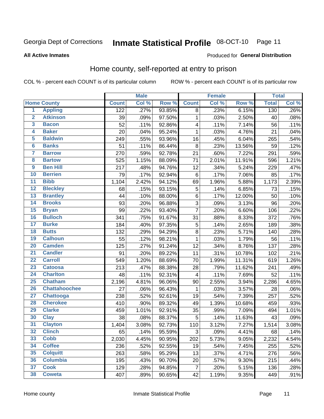#### Inmate Statistical Profile 08-OCT-10 Page 11

#### **All Active Inmates**

### Produced for General Distribution

## Home county, self-reported at entry to prison

COL % - percent each COUNT is of its particular column

|                         |                      |              | <b>Male</b> |        |                         | <b>Female</b> |        | <b>Total</b> |       |
|-------------------------|----------------------|--------------|-------------|--------|-------------------------|---------------|--------|--------------|-------|
|                         | <b>Home County</b>   | <b>Count</b> | Col %       | Row %  | <b>Count</b>            | Col%          | Row %  | <b>Total</b> | Col % |
| $\overline{1}$          | <b>Appling</b>       | 122          | .27%        | 93.85% | 8                       | .23%          | 6.15%  | 130          | .26%  |
| $\overline{2}$          | <b>Atkinson</b>      | 39           | .09%        | 97.50% | $\mathbf{1}$            | .03%          | 2.50%  | 40           | .08%  |
| $\overline{\mathbf{3}}$ | <b>Bacon</b>         | 52           | .11%        | 92.86% | $\overline{\mathbf{4}}$ | .11%          | 7.14%  | 56           | .11%  |
| 4                       | <b>Baker</b>         | 20           | .04%        | 95.24% | $\mathbf 1$             | .03%          | 4.76%  | 21           | .04%  |
| 5                       | <b>Baldwin</b>       | 249          | .55%        | 93.96% | 16                      | .45%          | 6.04%  | 265          | .54%  |
| $6\phantom{a}$          | <b>Banks</b>         | 51           | .11%        | 86.44% | 8                       | .23%          | 13.56% | 59           | .12%  |
| 7                       | <b>Barrow</b>        | 270          | .59%        | 92.78% | 21                      | .60%          | 7.22%  | 291          | .59%  |
| 8                       | <b>Bartow</b>        | 525          | 1.15%       | 88.09% | 71                      | 2.01%         | 11.91% | 596          | 1.21% |
| $\overline{9}$          | <b>Ben Hill</b>      | 217          | .48%        | 94.76% | 12                      | .34%          | 5.24%  | 229          | .47%  |
| 10                      | <b>Berrien</b>       | 79           | .17%        | 92.94% | $\,6$                   | .17%          | 7.06%  | 85           | .17%  |
| $\overline{11}$         | <b>Bibb</b>          | 1,104        | 2.42%       | 94.12% | 69                      | 1.96%         | 5.88%  | 1,173        | 2.39% |
| $\overline{12}$         | <b>Bleckley</b>      | 68           | .15%        | 93.15% | 5                       | .14%          | 6.85%  | 73           | .15%  |
| $\overline{13}$         | <b>Brantley</b>      | 44           | .10%        | 88.00% | $\,6$                   | .17%          | 12.00% | 50           | .10%  |
| 14                      | <b>Brooks</b>        | 93           | .20%        | 96.88% | 3                       | .09%          | 3.13%  | 96           | .20%  |
| 15                      | <b>Bryan</b>         | 99           | .22%        | 93.40% | $\overline{7}$          | .20%          | 6.60%  | 106          | .22%  |
| 16                      | <b>Bulloch</b>       | 341          | .75%        | 91.67% | 31                      | .88%          | 8.33%  | 372          | .76%  |
| $\overline{17}$         | <b>Burke</b>         | 184          | .40%        | 97.35% | 5                       | .14%          | 2.65%  | 189          | .38%  |
| 18                      | <b>Butts</b>         | 132          | .29%        | 94.29% | $\overline{8}$          | .23%          | 5.71%  | 140          | .28%  |
| 19                      | <b>Calhoun</b>       | 55           | .12%        | 98.21% | $\mathbf 1$             | .03%          | 1.79%  | 56           | .11%  |
| 20                      | <b>Camden</b>        | 125          | .27%        | 91.24% | 12                      | .34%          | 8.76%  | 137          | .28%  |
| $\overline{21}$         | <b>Candler</b>       | 91           | .20%        | 89.22% | 11                      | .31%          | 10.78% | 102          | .21%  |
| $\overline{22}$         | <b>Carroll</b>       | 549          | 1.20%       | 88.69% | 70                      | 1.99%         | 11.31% | 619          | 1.26% |
| 23                      | <b>Catoosa</b>       | 213          | .47%        | 88.38% | 28                      | .79%          | 11.62% | 241          | .49%  |
| $\overline{24}$         | <b>Charlton</b>      | 48           | .11%        | 92.31% | 4                       | .11%          | 7.69%  | 52           | .11%  |
| 25                      | <b>Chatham</b>       | 2,196        | 4.81%       | 96.06% | 90                      | 2.55%         | 3.94%  | 2,286        | 4.65% |
| 26                      | <b>Chattahoochee</b> | 27           | .06%        | 96.43% | 1                       | .03%          | 3.57%  | 28           | .06%  |
| $\overline{27}$         | Chattooga            | 238          | .52%        | 92.61% | 19                      | .54%          | 7.39%  | 257          | .52%  |
| 28                      | <b>Cherokee</b>      | 410          | .90%        | 89.32% | 49                      | 1.39%         | 10.68% | 459          | .93%  |
| 29                      | <b>Clarke</b>        | 459          | 1.01%       | 92.91% | 35                      | .99%          | 7.09%  | 494          | 1.01% |
| 30                      | <b>Clay</b>          | 38           | .08%        | 88.37% | $\overline{5}$          | .14%          | 11.63% | 43           | .09%  |
| 31                      | <b>Clayton</b>       | 1,404        | 3.08%       | 92.73% | 110                     | 3.12%         | 7.27%  | 1,514        | 3.08% |
| 32                      | <b>Clinch</b>        | 65           | .14%        | 95.59% | 3                       | .09%          | 4.41%  | 68           | .14%  |
| 33                      | <b>Cobb</b>          | 2,030        | 4.45%       | 90.95% | 202                     | 5.73%         | 9.05%  | 2,232        | 4.54% |
| 34                      | <b>Coffee</b>        | 236          | .52%        | 92.55% | 19                      | .54%          | 7.45%  | 255          | .52%  |
| 35                      | <b>Colquitt</b>      | 263          | .58%        | 95.29% | 13                      | .37%          | 4.71%  | 276          | .56%  |
| 36                      | <b>Columbia</b>      | 195          | .43%        | 90.70% | 20                      | .57%          | 9.30%  | 215          | .44%  |
| 37                      | <b>Cook</b>          | 129          | .28%        | 94.85% | $\overline{7}$          | .20%          | 5.15%  | 136          | .28%  |
| 38                      | <b>Coweta</b>        | 407          | .89%        | 90.65% | 42                      | 1.19%         | 9.35%  | 449          | .91%  |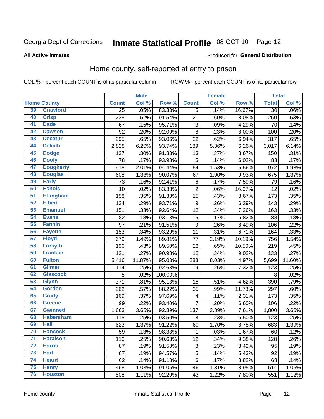#### Inmate Statistical Profile 08-OCT-10 Page 12

#### **All Active Inmates**

#### Produced for General Distribution

## Home county, self-reported at entry to prison

COL % - percent each COUNT is of its particular column

|                 |                    |                 | <b>Male</b> |         |                           | <b>Female</b> |        | <b>Total</b>    |                            |
|-----------------|--------------------|-----------------|-------------|---------|---------------------------|---------------|--------|-----------------|----------------------------|
|                 | <b>Home County</b> | <b>Count</b>    | Col %       | Row %   | <b>Count</b>              | Col %         | Row %  | <b>Total</b>    | $\overline{\text{Col }\%}$ |
| 39              | <b>Crawford</b>    | $\overline{25}$ | .05%        | 83.33%  | $\overline{5}$            | .14%          | 16.67% | $\overline{30}$ | $.06\%$                    |
| 40              | <b>Crisp</b>       | 238             | .52%        | 91.54%  | 21                        | .60%          | 8.08%  | 260             | .53%                       |
| 41              | <b>Dade</b>        | 67              | .15%        | 95.71%  | $\ensuremath{\mathsf{3}}$ | .09%          | 4.29%  | 70              | .14%                       |
| 42              | <b>Dawson</b>      | 92              | .20%        | 92.00%  | $\overline{8}$            | .23%          | 8.00%  | 100             | .20%                       |
| 43              | <b>Decatur</b>     | 295             | .65%        | 93.06%  | $\overline{22}$           | .62%          | 6.94%  | 317             | .65%                       |
| 44              | <b>Dekalb</b>      | 2,828           | 6.20%       | 93.74%  | 189                       | 5.36%         | 6.26%  | 3,017           | 6.14%                      |
| 45              | <b>Dodge</b>       | 137             | .30%        | 91.33%  | 13                        | .37%          | 8.67%  | 150             | .31%                       |
| 46              | <b>Dooly</b>       | 78              | .17%        | 93.98%  | 5                         | .14%          | 6.02%  | 83              | .17%                       |
| 47              | <b>Dougherty</b>   | 918             | 2.01%       | 94.44%  | 54                        | 1.53%         | 5.56%  | 972             | 1.98%                      |
| 48              | <b>Douglas</b>     | 608             | 1.33%       | 90.07%  | 67                        | 1.90%         | 9.93%  | 675             | 1.37%                      |
| 49              | <b>Early</b>       | 73              | .16%        | 92.41%  | 6                         | .17%          | 7.59%  | 79              | .16%                       |
| 50              | <b>Echols</b>      | 10              | .02%        | 83.33%  | $\overline{2}$            | .06%          | 16.67% | 12              | .02%                       |
| $\overline{51}$ | <b>Effingham</b>   | 158             | .35%        | 91.33%  | 15                        | .43%          | 8.67%  | 173             | .35%                       |
| 52              | <b>Elbert</b>      | 134             | .29%        | 93.71%  | $\boldsymbol{9}$          | .26%          | 6.29%  | 143             | .29%                       |
| 53              | <b>Emanuel</b>     | 151             | .33%        | 92.64%  | 12                        | .34%          | 7.36%  | 163             | .33%                       |
| 54              | <b>Evans</b>       | 82              | .18%        | 93.18%  | 6                         | .17%          | 6.82%  | 88              | .18%                       |
| 55              | <b>Fannin</b>      | 97              | .21%        | 91.51%  | 9                         | .26%          | 8.49%  | 106             | .22%                       |
| 56              | <b>Fayette</b>     | 153             | .34%        | 93.29%  | 11                        | .31%          | 6.71%  | 164             | .33%                       |
| 57              | <b>Floyd</b>       | 679             | 1.49%       | 89.81%  | 77                        | 2.19%         | 10.19% | 756             | 1.54%                      |
| 58              | <b>Forsyth</b>     | 196             | .43%        | 89.50%  | 23                        | .65%          | 10.50% | 219             | .45%                       |
| 59              | <b>Franklin</b>    | 121             | .27%        | 90.98%  | 12                        | .34%          | 9.02%  | 133             | .27%                       |
| 60              | <b>Fulton</b>      | 5,416           | 11.87%      | 95.03%  | 283                       | 8.03%         | 4.97%  | 5,699           | 11.60%                     |
| 61              | <b>Gilmer</b>      | 114             | .25%        | 92.68%  | $\boldsymbol{9}$          | .26%          | 7.32%  | 123             | .25%                       |
| 62              | <b>Glascock</b>    | 8               | .02%        | 100.00% |                           |               |        | 8               | .02%                       |
| 63              | <b>Glynn</b>       | 371             | .81%        | 95.13%  | 18                        | .51%          | 4.62%  | 390             | .79%                       |
| 64              | <b>Gordon</b>      | 262             | .57%        | 88.22%  | 35                        | .99%          | 11.78% | 297             | .60%                       |
| 65              | <b>Grady</b>       | 169             | .37%        | 97.69%  | $\overline{\mathbf{4}}$   | .11%          | 2.31%  | 173             | .35%                       |
| 66              | <b>Greene</b>      | 99              | .22%        | 93.40%  | $\overline{7}$            | .20%          | 6.60%  | 106             | .22%                       |
| 67              | <b>Gwinnett</b>    | 1,663           | 3.65%       | 92.39%  | 137                       | 3.89%         | 7.61%  | 1,800           | 3.66%                      |
| 68              | <b>Habersham</b>   | 115             | .25%        | 93.50%  | 8                         | .23%          | 6.50%  | 123             | .25%                       |
| 69              | <b>Hall</b>        | 623             | $1.37\%$    | 91.22%  | 60                        | 1.70%         | 8.78%  | 683             | 1.39%                      |
| 70              | <b>Hancock</b>     | 59              | .13%        | 98.33%  | $\mathbf{1}$              | .03%          | 1.67%  | 60              | .12%                       |
| $\overline{71}$ | <b>Haralson</b>    | 116             | .25%        | 90.63%  | 12                        | .34%          | 9.38%  | 128             | .26%                       |
| $\overline{72}$ | <b>Harris</b>      | 87              | .19%        | 91.58%  | $\bf 8$                   | .23%          | 8.42%  | 95              | .19%                       |
| 73              | <b>Hart</b>        | 87              | .19%        | 94.57%  | $\sqrt{5}$                | .14%          | 5.43%  | 92              | .19%                       |
| 74              | <b>Heard</b>       | 62              | .14%        | 91.18%  | 6                         | .17%          | 8.82%  | 68              | .14%                       |
| 75              | <b>Henry</b>       | 468             | 1.03%       | 91.05%  | 46                        | 1.31%         | 8.95%  | 514             | 1.05%                      |
| 76              | <b>Houston</b>     | 508             | 1.11%       | 92.20%  | 43                        | 1.22%         | 7.80%  | 551             | 1.12%                      |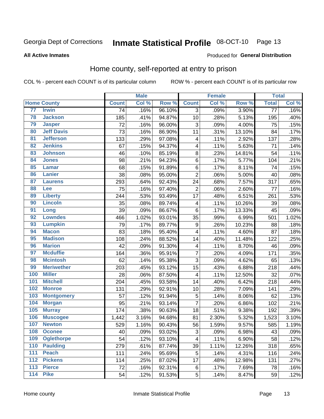#### Inmate Statistical Profile 08-OCT-10 Page 13

#### **All Active Inmates**

### Produced for General Distribution

## Home county, self-reported at entry to prison

COL % - percent each COUNT is of its particular column

|     |                    |              | <b>Male</b> |        |                | <b>Female</b> |        | <b>Total</b>    |       |
|-----|--------------------|--------------|-------------|--------|----------------|---------------|--------|-----------------|-------|
|     | <b>Home County</b> | <b>Count</b> | Col %       | Row %  | <b>Count</b>   | Col %         | Row %  | <b>Total</b>    | Col % |
| 77  | <b>Irwin</b>       | 74           | .16%        | 96.10% | $\overline{3}$ | .09%          | 3.90%  | $\overline{77}$ | .16%  |
| 78  | <b>Jackson</b>     | 185          | .41%        | 94.87% | 10             | .28%          | 5.13%  | 195             | .40%  |
| 79  | <b>Jasper</b>      | 72           | .16%        | 96.00% | $\mathbf{3}$   | .09%          | 4.00%  | 75              | .15%  |
| 80  | <b>Jeff Davis</b>  | 73           | .16%        | 86.90% | 11             | .31%          | 13.10% | 84              | .17%  |
| 81  | <b>Jefferson</b>   | 133          | .29%        | 97.08% | 4              | .11%          | 2.92%  | 137             | .28%  |
| 82  | <b>Jenkins</b>     | 67           | .15%        | 94.37% | 4              | .11%          | 5.63%  | 71              | .14%  |
| 83  | <b>Johnson</b>     | 46           | .10%        | 85.19% | $\bf 8$        | .23%          | 14.81% | 54              | .11%  |
| 84  | <b>Jones</b>       | 98           | .21%        | 94.23% | $\,6$          | .17%          | 5.77%  | 104             | .21%  |
| 85  | <b>Lamar</b>       | 68           | .15%        | 91.89% | $\,6$          | .17%          | 8.11%  | 74              | .15%  |
| 86  | Lanier             | 38           | .08%        | 95.00% | $\overline{2}$ | .06%          | 5.00%  | 40              | .08%  |
| 87  | <b>Laurens</b>     | 293          | .64%        | 92.43% | 24             | .68%          | 7.57%  | 317             | .65%  |
| 88  | <b>Lee</b>         | 75           | .16%        | 97.40% | $\overline{2}$ | .06%          | 2.60%  | 77              | .16%  |
| 89  | <b>Liberty</b>     | 244          | .53%        | 93.49% | 17             | .48%          | 6.51%  | 261             | .53%  |
| 90  | <b>Lincoln</b>     | 35           | .08%        | 89.74% | 4              | .11%          | 10.26% | 39              | .08%  |
| 91  | Long               | 39           | .09%        | 86.67% | $\,6$          | .17%          | 13.33% | 45              | .09%  |
| 92  | <b>Lowndes</b>     | 466          | 1.02%       | 93.01% | 35             | .99%          | 6.99%  | 501             | 1.02% |
| 93  | <b>Lumpkin</b>     | 79           | .17%        | 89.77% | 9              | .26%          | 10.23% | 88              | .18%  |
| 94  | <b>Macon</b>       | 83           | .18%        | 95.40% | 4              | .11%          | 4.60%  | 87              | .18%  |
| 95  | <b>Madison</b>     | 108          | .24%        | 88.52% | 14             | .40%          | 11.48% | 122             | .25%  |
| 96  | <b>Marion</b>      | 42           | .09%        | 91.30% | 4              | .11%          | 8.70%  | 46              | .09%  |
| 97  | <b>Mcduffie</b>    | 164          | .36%        | 95.91% | $\overline{7}$ | .20%          | 4.09%  | 171             | .35%  |
| 98  | <b>Mcintosh</b>    | 62           | .14%        | 95.38% | $\overline{3}$ | .09%          | 4.62%  | 65              | .13%  |
| 99  | <b>Meriwether</b>  | 203          | .45%        | 93.12% | 15             | .43%          | 6.88%  | 218             | .44%  |
| 100 | <b>Miller</b>      | 28           | .06%        | 87.50% | 4              | .11%          | 12.50% | 32              | .07%  |
| 101 | <b>Mitchell</b>    | 204          | .45%        | 93.58% | 14             | .40%          | 6.42%  | 218             | .44%  |
| 102 | <b>Monroe</b>      | 131          | .29%        | 92.91% | 10             | .28%          | 7.09%  | 141             | .29%  |
| 103 | <b>Montgomery</b>  | 57           | .12%        | 91.94% | $\sqrt{5}$     | .14%          | 8.06%  | 62              | .13%  |
| 104 | <b>Morgan</b>      | 95           | .21%        | 93.14% | $\overline{7}$ | .20%          | 6.86%  | 102             | .21%  |
| 105 | <b>Murray</b>      | 174          | .38%        | 90.63% | 18             | .51%          | 9.38%  | 192             | .39%  |
| 106 | <b>Muscogee</b>    | 1,442        | 3.16%       | 94.68% | 81             | 2.30%         | 5.32%  | 1,523           | 3.10% |
| 107 | <b>Newton</b>      | 529          | 1.16%       | 90.43% | 56             | 1.59%         | 9.57%  | 585             | 1.19% |
| 108 | <b>Oconee</b>      | 40           | .09%        | 93.02% | 3              | .09%          | 6.98%  | 43              | .09%  |
| 109 | <b>Oglethorpe</b>  | 54           | .12%        | 93.10% | 4              | .11%          | 6.90%  | 58              | .12%  |
| 110 | <b>Paulding</b>    | 279          | .61%        | 87.74% | 39             | 1.11%         | 12.26% | 318             | .65%  |
| 111 | <b>Peach</b>       | 111          | .24%        | 95.69% | 5              | .14%          | 4.31%  | 116             | .24%  |
| 112 | <b>Pickens</b>     | 114          | .25%        | 87.02% | 17             | .48%          | 12.98% | 131             | .27%  |
| 113 | <b>Pierce</b>      | 72           | .16%        | 92.31% | $\,6$          | .17%          | 7.69%  | 78              | .16%  |
| 114 | <b>Pike</b>        | 54           | .12%        | 91.53% | 5              | .14%          | 8.47%  | 59              | .12%  |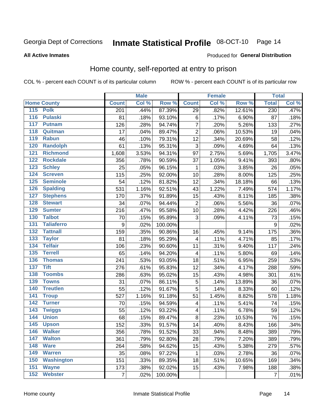## Inmate Statistical Profile 08-OCT-10 Page 14

#### **All Active Inmates**

### Produced for General Distribution

## Home county, self-reported at entry to prison

COL % - percent each COUNT is of its particular column

|                    |                   |                  | <b>Male</b> |         |                         | <b>Female</b> |        | <b>Total</b>    |       |
|--------------------|-------------------|------------------|-------------|---------|-------------------------|---------------|--------|-----------------|-------|
| <b>Home County</b> |                   | <b>Count</b>     | Col %       | Row %   | <b>Count</b>            | Col %         | Row %  | <b>Total</b>    | Col % |
| 115 Polk           |                   | 201              | .44%        | 87.39%  | 29                      | .82%          | 12.61% | 230             | .47%  |
| $\overline{116}$   | <b>Pulaski</b>    | 81               | .18%        | 93.10%  | 6                       | .17%          | 6.90%  | 87              | .18%  |
| 117                | <b>Putnam</b>     | 126              | .28%        | 94.74%  | $\overline{7}$          | .20%          | 5.26%  | 133             | .27%  |
| 118                | Quitman           | 17               | .04%        | 89.47%  | $\overline{2}$          | .06%          | 10.53% | 19              | .04%  |
| 119                | <b>Rabun</b>      | 46               | .10%        | 79.31%  | 12                      | .34%          | 20.69% | 58              | .12%  |
| 120                | <b>Randolph</b>   | 61               | .13%        | 95.31%  | $\overline{3}$          | .09%          | 4.69%  | 64              | .13%  |
| $\overline{121}$   | <b>Richmond</b>   | 1,608            | 3.53%       | 94.31%  | 97                      | 2.75%         | 5.69%  | 1,705           | 3.47% |
| 122                | <b>Rockdale</b>   | 356              | .78%        | 90.59%  | 37                      | 1.05%         | 9.41%  | 393             | .80%  |
| 123                | <b>Schley</b>     | 25               | .05%        | 96.15%  | 1                       | .03%          | 3.85%  | 26              | .05%  |
| 124                | <b>Screven</b>    | 115              | .25%        | 92.00%  | 10                      | .28%          | 8.00%  | 125             | .25%  |
| 125                | <b>Seminole</b>   | 54               | .12%        | 81.82%  | 12                      | .34%          | 18.18% | 66              | .13%  |
| 126                | <b>Spalding</b>   | 531              | 1.16%       | 92.51%  | 43                      | 1.22%         | 7.49%  | 574             | 1.17% |
| 127                | <b>Stephens</b>   | 170              | .37%        | 91.89%  | 15                      | .43%          | 8.11%  | 185             | .38%  |
| 128                | <b>Stewart</b>    | 34               | .07%        | 94.44%  | $\overline{2}$          | .06%          | 5.56%  | 36              | .07%  |
| 129                | <b>Sumter</b>     | 216              | .47%        | 95.58%  | 10                      | .28%          | 4.42%  | 226             | .46%  |
| 130                | <b>Talbot</b>     | 70               | .15%        | 95.89%  | 3                       | .09%          | 4.11%  | 73              | .15%  |
| 131                | <b>Taliaferro</b> | $\boldsymbol{9}$ | .02%        | 100.00% |                         |               |        | 9               | .02%  |
| 132                | <b>Tattnall</b>   | 159              | .35%        | 90.86%  | 16                      | .45%          | 9.14%  | 175             | .36%  |
| 133                | <b>Taylor</b>     | 81               | .18%        | 95.29%  | 4                       | .11%          | 4.71%  | 85              | .17%  |
| 134                | <b>Telfair</b>    | 106              | .23%        | 90.60%  | 11                      | .31%          | 9.40%  | 117             | .24%  |
| 135                | <b>Terrell</b>    | 65               | .14%        | 94.20%  | $\overline{\mathbf{4}}$ | .11%          | 5.80%  | 69              | .14%  |
| 136                | <b>Thomas</b>     | 241              | .53%        | 93.05%  | 18                      | .51%          | 6.95%  | 259             | .53%  |
| <b>Tift</b><br>137 |                   | 276              | .61%        | 95.83%  | 12                      | .34%          | 4.17%  | 288             | .59%  |
| 138                | <b>Toombs</b>     | 286              | .63%        | 95.02%  | 15                      | .43%          | 4.98%  | 301             | .61%  |
| 139                | <b>Towns</b>      | 31               | .07%        | 86.11%  | 5                       | .14%          | 13.89% | 36              | .07%  |
| 140                | <b>Treutlen</b>   | 55               | .12%        | 91.67%  | 5                       | .14%          | 8.33%  | 60              | .12%  |
| $\overline{141}$   | <b>Troup</b>      | 527              | 1.16%       | 91.18%  | 51                      | 1.45%         | 8.82%  | 578             | 1.18% |
| $\overline{142}$   | <b>Turner</b>     | 70               | .15%        | 94.59%  | 4                       | .11%          | 5.41%  | 74              | .15%  |
| $\overline{143}$   | <b>Twiggs</b>     | 55               | .12%        | 93.22%  | 4                       | .11%          | 6.78%  | 59              | .12%  |
| 144                | <b>Union</b>      | 68               | .15%        | 89.47%  | 8                       | .23%          | 10.53% | $\overline{76}$ | .15%  |
| 145                | <b>Upson</b>      | 152              | .33%        | 91.57%  | 14                      | .40%          | 8.43%  | 166             | .34%  |
| 146                | <b>Walker</b>     | 356              | .78%        | 91.52%  | 33                      | .94%          | 8.48%  | 389             | .79%  |
| $\overline{147}$   | <b>Walton</b>     | 361              | .79%        | 92.80%  | 28                      | .79%          | 7.20%  | 389             | .79%  |
| <b>Ware</b><br>148 |                   | 264              | .58%        | 94.62%  | 15                      | .43%          | 5.38%  | 279             | .57%  |
| 149                | <b>Warren</b>     | 35               | .08%        | 97.22%  | 1                       | .03%          | 2.78%  | 36              | .07%  |
| 150                | <b>Washington</b> | 151              | .33%        | 89.35%  | 18                      | .51%          | 10.65% | 169             | .34%  |
| 151                | <b>Wayne</b>      | 173              | .38%        | 92.02%  | 15                      | .43%          | 7.98%  | 188             | .38%  |
| 152                | <b>Webster</b>    | $\overline{7}$   | .02%        | 100.00% |                         |               |        | $\overline{7}$  | .01%  |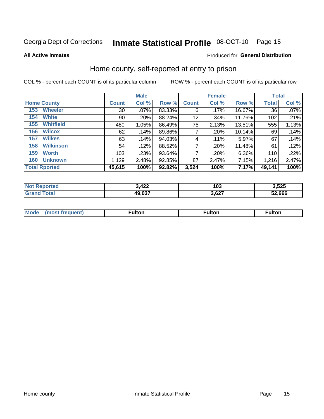## Inmate Statistical Profile 08-OCT-10 Page 15

**All Active Inmates** 

### Produced for General Distribution

## Home county, self-reported at entry to prison

COL % - percent each COUNT is of its particular column

|                    |                      | <b>Male</b>     |       |        | <b>Female</b> |         |        | <b>Total</b> |       |  |
|--------------------|----------------------|-----------------|-------|--------|---------------|---------|--------|--------------|-------|--|
| <b>Home County</b> |                      | <b>Count</b>    | Col % | Row %  | <b>Count</b>  | Col %   | Row %  | Total        | Col % |  |
| 153                | <b>Wheeler</b>       | 30 <sup>2</sup> | .07%  | 83.33% | 6             | .17%    | 16.67% | 36           | .07%  |  |
| 154                | <b>White</b>         | 90              | .20%  | 88.24% | 12            | .34%    | 11.76% | 102          | .21%  |  |
| 155                | <b>Whitfield</b>     | 480             | 1.05% | 86.49% | 75            | 2.13%   | 13.51% | 555          | 1.13% |  |
| 156                | <b>Wilcox</b>        | 62              | .14%  | 89.86% | 7             | .20%    | 10.14% | 69           | .14%  |  |
| 157                | <b>Wilkes</b>        | 63              | .14%  | 94.03% | 4             | $.11\%$ | 5.97%  | 67           | .14%  |  |
| 158                | <b>Wilkinson</b>     | 54              | .12%  | 88.52% | 7             | .20%    | 11.48% | 61           | .12%  |  |
| 159                | <b>Worth</b>         | 103             | .23%  | 93.64% | 7             | .20%    | 6.36%  | 110          | .22%  |  |
| 160                | <b>Unknown</b>       | 1,129           | 2.48% | 92.85% | 87            | 2.47%   | 7.15%  | 1,216        | 2.47% |  |
|                    | <b>Total Rported</b> | 45,615          | 100%  | 92.82% | 3,524         | 100%    | 7.17%  | 49,141       | 100%  |  |

| <b>rted</b> | $\boldsymbol{A}$<br>14L | 103   | 3,525  |
|-------------|-------------------------|-------|--------|
| `otal       | 49,037                  | 3,627 | 52.666 |

| Mode<br>IOST.<br>· treallent. | -----<br>ιπon | ulton | ulton |
|-------------------------------|---------------|-------|-------|
|                               |               |       |       |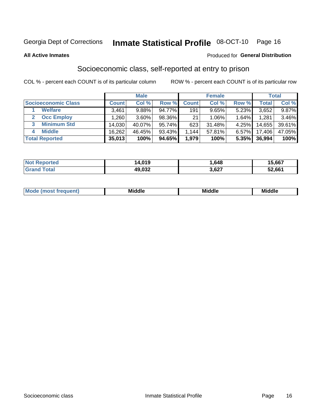## Inmate Statistical Profile 08-OCT-10 Page 16

#### **All Active Inmates**

### Produced for General Distribution

## Socioeconomic class, self-reported at entry to prison

COL % - percent each COUNT is of its particular column

|                       | <b>Male</b> |        |           | <b>Female</b> |          |       | <b>Total</b> |        |
|-----------------------|-------------|--------|-----------|---------------|----------|-------|--------------|--------|
| Socioeconomic Class   | Count⊺      | Col %  | Row %     | <b>Count</b>  | Col %    | Row % | Total,       | Col %  |
| <b>Welfare</b>        | 3,461       | 9.88%  | 94.77%    | 191           | 9.65%    | 5.23% | 3,652        | 9.87%  |
| <b>Occ Employ</b>     | .260        | 3.60%  | 98.36%    | 21            | $1.06\%$ | 1.64% | 1,281        | 3.46%  |
| <b>Minimum Std</b>    | 14,030      | 40.07% | $95.74\%$ | 623           | 31.48%   | 4.25% | 14,655       | 39.61% |
| <b>Middle</b>         | 16,262      | 46.45% | 93.43%    | ,144          | 57.81%   | 6.57% | 17,406       | 47.05% |
| <b>Total Reported</b> | 35,013      | 100%   | 94.65%    | 1,979         | 100%     | 5.35% | 36,994       | 100%   |

| <b>Not Reported</b>   | 14,019 | .648  | 15,667 |
|-----------------------|--------|-------|--------|
| <b>Total</b><br>Grand | 49,032 | 3,627 | 52,661 |

| ____<br>____ |
|--------------|
|--------------|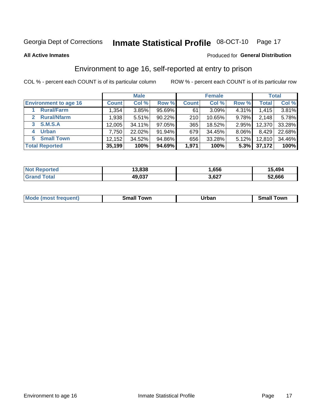## Inmate Statistical Profile 08-OCT-10 Page 17

**All Active Inmates** 

### Produced for General Distribution

## Environment to age 16, self-reported at entry to prison

COL % - percent each COUNT is of its particular column

|                                   | <b>Male</b>  |        |           | <b>Female</b> |        |       | <b>Total</b> |        |
|-----------------------------------|--------------|--------|-----------|---------------|--------|-------|--------------|--------|
| <b>Environment to age 16</b>      | <b>Count</b> | Col %  | Row %     | <b>Count</b>  | Col %  | Row % | <b>Total</b> | Col %  |
| <b>Rural/Farm</b>                 | 1,354        | 3.85%  | 95.69%    | 61            | 3.09%  | 4.31% | 1,415        | 3.81%  |
| <b>Rural/Nfarm</b><br>$2^{\circ}$ | 1,938        | 5.51%  | $90.22\%$ | 210           | 10.65% | 9.78% | 2,148        | 5.78%  |
| <b>S.M.S.A</b><br>3               | 12,005       | 34.11% | 97.05%    | 365           | 18.52% | 2.95% | 12,370       | 33.28% |
| <b>Urban</b><br>4                 | 7,750        | 22.02% | 91.94%    | 679           | 34.45% | 8.06% | 8,429        | 22.68% |
| <b>Small Town</b><br>5.           | 12,152       | 34.52% | 94.86%    | 656           | 33.28% | 5.12% | 12,810       | 34.46% |
| <b>Total Reported</b>             | 35,199       | 100%   | 94.69%    | 1,971         | 100%   | 5.3%  | 37,172       | 100%   |

| <b>Not Reported</b> | 13,838 | .656  | 15,494 |
|---------------------|--------|-------|--------|
| ™otaì               | 49,037 | 3,627 | 52,666 |

| <b>Mode</b><br>auent)<br>ns. | owr<br>Small | Jrban<br>____ | <b>LOWE</b><br>51 |
|------------------------------|--------------|---------------|-------------------|
|                              |              |               |                   |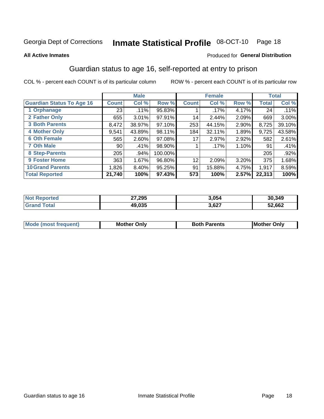## Inmate Statistical Profile 08-OCT-10 Page 18

#### **All Active Inmates**

### Produced for General Distribution

## Guardian status to age 16, self-reported at entry to prison

COL % - percent each COUNT is of its particular column

|                                  | <b>Male</b>   |        | <b>Female</b> |                 |         | <b>Total</b> |        |         |
|----------------------------------|---------------|--------|---------------|-----------------|---------|--------------|--------|---------|
| <b>Guardian Status To Age 16</b> | <b>Count!</b> | Col %  | Row %         | <b>Count</b>    | Col %   | Row %        | Total  | Col %   |
| 1 Orphanage                      | 23            | .11%   | 95.83%        |                 | $.17\%$ | 4.17%        | 24     | .11%    |
| 2 Father Only                    | 655           | 3.01%  | 97.91%        | 14              | 2.44%   | 2.09%        | 669    | 3.00%   |
| <b>3 Both Parents</b>            | 8,472         | 38.97% | 97.10%        | 253             | 44.15%  | 2.90%        | 8,725  | 39.10%  |
| <b>4 Mother Only</b>             | 9,541         | 43.89% | 98.11%        | 184             | 32.11%  | 1.89%        | 9,725  | 43.58%  |
| <b>6 Oth Female</b>              | 565           | 2.60%  | 97.08%        | 17              | 2.97%   | 2.92%        | 582    | 2.61%   |
| <b>7 Oth Male</b>                | 90            | .41%   | 98.90%        |                 | $.17\%$ | 1.10%        | 91     | .41%    |
| 8 Step-Parents                   | 205           | .94%   | 100.00%       |                 |         |              | 205    | $.92\%$ |
| 9 Foster Home                    | 363           | 1.67%  | 96.80%        | 12 <sub>2</sub> | 2.09%   | 3.20%        | 375    | 1.68%   |
| <b>10 Grand Parents</b>          | 1,826         | 8.40%  | $95.25\%$     | 91              | 15.88%  | 4.75%        | 1,917  | 8.59%   |
| <b>Total Reported</b>            | 21,740        | 100%   | 97.43%        | 573             | 100%    | 2.57%        | 22,313 | 100%    |

| ≧rteα<br>NO: | 27,295 | 3,054 | 30,349 |
|--------------|--------|-------|--------|
| . Gr         | 49.035 | 3,627 | 52,662 |

| Mode | วทIv<br>Mot | <b>Both Parents</b><br>Parents | lM.<br>Only<br>. |
|------|-------------|--------------------------------|------------------|
|      |             |                                |                  |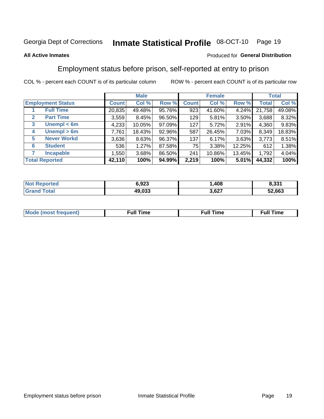#### Inmate Statistical Profile 08-OCT-10 Page 19

### **All Active Inmates**

### Produced for General Distribution

## Employment status before prison, self-reported at entry to prison

COL % - percent each COUNT is of its particular column

|                                  | <b>Male</b>  |        |        | <b>Female</b> |        |        | <b>Total</b> |        |
|----------------------------------|--------------|--------|--------|---------------|--------|--------|--------------|--------|
| <b>Employment Status</b>         | <b>Count</b> | Col %  | Row %  | <b>Count</b>  | Col %  | Row %  | Total        | Col %  |
| <b>Full Time</b>                 | 20,835       | 49.48% | 95.76% | 923           | 41.60% | 4.24%  | 21,758       | 49.08% |
| <b>Part Time</b><br>$\mathbf{2}$ | 3,559        | 8.45%  | 96.50% | 129           | 5.81%  | 3.50%  | 3,688        | 8.32%  |
| Unempl $<$ 6m<br>3               | 4,233        | 10.05% | 97.09% | 127           | 5.72%  | 2.91%  | 4,360        | 9.83%  |
| Unempl > 6m<br>4                 | 7,761        | 18.43% | 92.96% | 587           | 26.45% | 7.03%  | 8,349        | 18.83% |
| <b>Never Workd</b><br>5          | 3,636        | 8.63%  | 96.37% | 137           | 6.17%  | 3.63%  | 3,773        | 8.51%  |
| <b>Student</b><br>6              | 536          | 1.27%  | 87.58% | 75            | 3.38%  | 12.25% | 612          | 1.38%  |
| <b>Incapable</b>                 | 1,550        | 3.68%  | 86.50% | 241           | 10.86% | 13.45% | 1,792        | 4.04%  |
| <b>Total Reported</b>            | 42,110       | 100%   | 94.99% | 2,219         | 100%   | 5.01%  | 44,332       | 100%   |

| orteo<br>NOT | 6.923  | ,408  | 8,331  |
|--------------|--------|-------|--------|
| int          | 49.033 | 3,627 | 52,663 |

| Mc | ∴ull | ----<br>ıme<br>w |
|----|------|------------------|
|    |      |                  |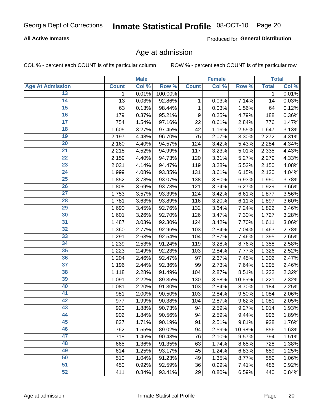### **All Active Inmates**

Produced for General Distribution

## Age at admission

COL % - percent each COUNT is of its particular column

|                         |              | <b>Male</b> |         |              | <b>Female</b> |        |              | <b>Total</b> |
|-------------------------|--------------|-------------|---------|--------------|---------------|--------|--------------|--------------|
| <b>Age At Admission</b> | <b>Count</b> | Col %       | Row %   | <b>Count</b> | Col %         | Row %  | <b>Total</b> | Col %        |
| 13                      | 1            | 0.01%       | 100.00% |              |               |        | 1            | 0.01%        |
| $\overline{14}$         | 13           | 0.03%       | 92.86%  | 1            | 0.03%         | 7.14%  | 14           | 0.03%        |
| 15                      | 63           | 0.13%       | 98.44%  | 1            | 0.03%         | 1.56%  | 64           | 0.12%        |
| 16                      | 179          | 0.37%       | 95.21%  | 9            | 0.25%         | 4.79%  | 188          | 0.36%        |
| $\overline{17}$         | 754          | 1.54%       | 97.16%  | 22           | 0.61%         | 2.84%  | 776          | 1.47%        |
| 18                      | 1,605        | 3.27%       | 97.45%  | 42           | 1.16%         | 2.55%  | 1,647        | 3.13%        |
| 19                      | 2,197        | 4.48%       | 96.70%  | 75           | 2.07%         | 3.30%  | 2,272        | 4.31%        |
| $\overline{20}$         | 2,160        | 4.40%       | 94.57%  | 124          | 3.42%         | 5.43%  | 2,284        | 4.34%        |
| $\overline{21}$         | 2,218        | 4.52%       | 94.99%  | 117          | 3.23%         | 5.01%  | 2,335        | 4.43%        |
| $\overline{22}$         | 2,159        | 4.40%       | 94.73%  | 120          | 3.31%         | 5.27%  | 2,279        | 4.33%        |
| 23                      | 2,031        | 4.14%       | 94.47%  | 119          | 3.28%         | 5.53%  | 2,150        | 4.08%        |
| $\overline{24}$         | 1,999        | 4.08%       | 93.85%  | 131          | 3.61%         | 6.15%  | 2,130        | 4.04%        |
| $\overline{25}$         | 1,852        | 3.78%       | 93.07%  | 138          | 3.80%         | 6.93%  | 1,990        | 3.78%        |
| 26                      | 1,808        | 3.69%       | 93.73%  | 121          | 3.34%         | 6.27%  | 1,929        | 3.66%        |
| 27                      | 1,753        | 3.57%       | 93.39%  | 124          | 3.42%         | 6.61%  | 1,877        | 3.56%        |
| 28                      | 1,781        | 3.63%       | 93.89%  | 116          | 3.20%         | 6.11%  | 1,897        | 3.60%        |
| 29                      | 1,690        | 3.45%       | 92.76%  | 132          | 3.64%         | 7.24%  | 1,822        | 3.46%        |
| 30                      | 1,601        | 3.26%       | 92.70%  | 126          | 3.47%         | 7.30%  | 1,727        | 3.28%        |
| 31                      | 1,487        | 3.03%       | 92.30%  | 124          | 3.42%         | 7.70%  | 1,611        | 3.06%        |
| $\overline{32}$         | 1,360        | 2.77%       | 92.96%  | 103          | 2.84%         | 7.04%  | 1,463        | 2.78%        |
| 33                      | 1,291        | 2.63%       | 92.54%  | 104          | 2.87%         | 7.46%  | 1,395        | 2.65%        |
| 34                      | 1,239        | 2.53%       | 91.24%  | 119          | 3.28%         | 8.76%  | 1,358        | 2.58%        |
| 35                      | 1,223        | 2.49%       | 92.23%  | 103          | 2.84%         | 7.77%  | 1,326        | 2.52%        |
| 36                      | 1,204        | 2.46%       | 92.47%  | 97           | 2.67%         | 7.45%  | 1,302        | 2.47%        |
| $\overline{37}$         | 1,196        | 2.44%       | 92.36%  | 99           | 2.73%         | 7.64%  | 1,295        | 2.46%        |
| 38                      | 1,118        | 2.28%       | 91.49%  | 104          | 2.87%         | 8.51%  | 1,222        | 2.32%        |
| 39                      | 1,091        | 2.22%       | 89.35%  | 130          | 3.58%         | 10.65% | 1,221        | 2.32%        |
| 40                      | 1,081        | 2.20%       | 91.30%  | 103          | 2.84%         | 8.70%  | 1,184        | 2.25%        |
| 41                      | 981          | 2.00%       | 90.50%  | 103          | 2.84%         | 9.50%  | 1,084        | 2.06%        |
| 42                      | 977          | 1.99%       | 90.38%  | 104          | 2.87%         | 9.62%  | 1,081        | 2.05%        |
| 43                      | 920          | 1.88%       | 90.73%  | 94           | 2.59%         | 9.27%  | 1,014        | 1.93%        |
| 44                      | 902          | 1.84%       | 90.56%  | 94           | 2.59%         | 9.44%  | 996          | 1.89%        |
| 45                      | 837          | 1.71%       | 90.19%  | 91           | 2.51%         | 9.81%  | 928          | 1.76%        |
| 46                      | 762          | 1.55%       | 89.02%  | 94           | 2.59%         | 10.98% | 856          | 1.63%        |
| 47                      | 718          | 1.46%       | 90.43%  | 76           | 2.10%         | 9.57%  | 794          | 1.51%        |
| 48                      | 665          | 1.36%       | 91.35%  | 63           | 1.74%         | 8.65%  | 728          | 1.38%        |
| 49                      | 614          | 1.25%       | 93.17%  | 45           | 1.24%         | 6.83%  | 659          | 1.25%        |
| 50                      | 510          | 1.04%       | 91.23%  | 49           | 1.35%         | 8.77%  | 559          | 1.06%        |
| 51                      | 450          | 0.92%       | 92.59%  | 36           | 0.99%         | 7.41%  | 486          | 0.92%        |
| 52                      | 411          | 0.84%       | 93.41%  | 29           | 0.80%         | 6.59%  | 440          | 0.84%        |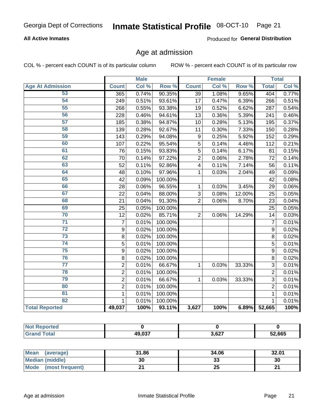### **All Active Inmates**

Produced for General Distribution

## Age at admission

COL % - percent each COUNT is of its particular column

|                         |                  | <b>Male</b> |         |                         | <b>Female</b> |        |                | <b>Total</b> |
|-------------------------|------------------|-------------|---------|-------------------------|---------------|--------|----------------|--------------|
| <b>Age At Admission</b> | <b>Count</b>     | Col %       | Row %   | <b>Count</b>            | Col %         | Row %  | <b>Total</b>   | Col %        |
| 53                      | 365              | 0.74%       | 90.35%  | $\overline{39}$         | 1.08%         | 9.65%  | 404            | 0.77%        |
| 54                      | 249              | 0.51%       | 93.61%  | 17                      | 0.47%         | 6.39%  | 266            | 0.51%        |
| $\overline{55}$         | 268              | 0.55%       | 93.38%  | 19                      | 0.52%         | 6.62%  | 287            | 0.54%        |
| 56                      | 228              | 0.46%       | 94.61%  | 13                      | 0.36%         | 5.39%  | 241            | 0.46%        |
| 57                      | 185              | 0.38%       | 94.87%  | 10                      | 0.28%         | 5.13%  | 195            | 0.37%        |
| 58                      | 139              | 0.28%       | 92.67%  | 11                      | 0.30%         | 7.33%  | 150            | 0.28%        |
| 59                      | 143              | 0.29%       | 94.08%  | 9                       | 0.25%         | 5.92%  | 152            | 0.29%        |
| 60                      | 107              | 0.22%       | 95.54%  | 5                       | 0.14%         | 4.46%  | 112            | 0.21%        |
| 61                      | 76               | 0.15%       | 93.83%  | 5                       | 0.14%         | 6.17%  | 81             | 0.15%        |
| 62                      | 70               | 0.14%       | 97.22%  | $\overline{2}$          | 0.06%         | 2.78%  | 72             | 0.14%        |
| 63                      | 52               | 0.11%       | 92.86%  | $\overline{\mathbf{4}}$ | 0.11%         | 7.14%  | 56             | 0.11%        |
| 64                      | 48               | 0.10%       | 97.96%  | 1                       | 0.03%         | 2.04%  | 49             | 0.09%        |
| 65                      | 42               | 0.09%       | 100.00% |                         |               |        | 42             | 0.08%        |
| 66                      | 28               | 0.06%       | 96.55%  | 1                       | 0.03%         | 3.45%  | 29             | 0.06%        |
| 67                      | 22               | 0.04%       | 88.00%  | 3                       | 0.08%         | 12.00% | 25             | 0.05%        |
| 68                      | 21               | 0.04%       | 91.30%  | $\overline{2}$          | 0.06%         | 8.70%  | 23             | 0.04%        |
| 69                      | 25               | 0.05%       | 100.00% |                         |               |        | 25             | 0.05%        |
| 70                      | 12               | 0.02%       | 85.71%  | $\overline{2}$          | 0.06%         | 14.29% | 14             | 0.03%        |
| $\overline{71}$         | $\overline{7}$   | 0.01%       | 100.00% |                         |               |        | $\overline{7}$ | 0.01%        |
| $\overline{72}$         | 9                | 0.02%       | 100.00% |                         |               |        | 9              | 0.02%        |
| $\overline{73}$         | 8                | 0.02%       | 100.00% |                         |               |        | 8              | 0.02%        |
| 74                      | $\overline{5}$   | 0.01%       | 100.00% |                         |               |        | 5              | 0.01%        |
| 75                      | $\boldsymbol{9}$ | 0.02%       | 100.00% |                         |               |        | 9              | 0.02%        |
| 76                      | 8                | 0.02%       | 100.00% |                         |               |        | 8              | 0.02%        |
| $\overline{77}$         | $\overline{2}$   | 0.01%       | 66.67%  | 1                       | 0.03%         | 33.33% | $\overline{3}$ | 0.01%        |
| 78                      | $\overline{2}$   | 0.01%       | 100.00% |                         |               |        | $\overline{2}$ | 0.01%        |
| 79                      | $\overline{2}$   | 0.01%       | 66.67%  | 1                       | 0.03%         | 33.33% | $\overline{3}$ | 0.01%        |
| 80                      | $\overline{2}$   | 0.01%       | 100.00% |                         |               |        | $\overline{2}$ | 0.01%        |
| 81                      | $\mathbf{1}$     | 0.01%       | 100.00% |                         |               |        | $\mathbf{1}$   | 0.01%        |
| 82                      | 1                | 0.01%       | 100.00% |                         |               |        | 1              | 0.01%        |
| <b>Total Reported</b>   | 49,037           | 100%        | 93.11%  | 3,627                   | 100%          | 6.89%  | 52,665         | 100%         |

| <b>Not Reported</b>         |        |       |        |
|-----------------------------|--------|-------|--------|
| <b>Total</b><br><b>Gran</b> | 49,037 | 3,627 | 52,665 |

| Mean<br>(average)              | 31.86 | 34.06   | 32.01 |
|--------------------------------|-------|---------|-------|
| <b>Median (middle)</b>         | 30    | ົ<br>აა | 30    |
| <b>Mode</b><br>(most frequent) |       | 25      | ົ     |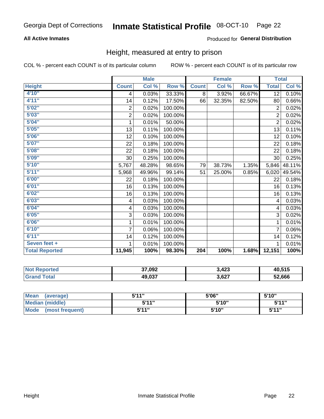### **All Active Inmates**

### Produced for General Distribution

## Height, measured at entry to prison

COL % - percent each COUNT is of its particular column

|                       |                  | <b>Male</b> |         |              | <b>Female</b> |        |                 | <b>Total</b> |
|-----------------------|------------------|-------------|---------|--------------|---------------|--------|-----------------|--------------|
| <b>Height</b>         | <b>Count</b>     | Col %       | Row %   | <b>Count</b> | Col %         | Row %  | <b>Total</b>    | Col %        |
| 4'10"                 | 4                | 0.03%       | 33.33%  | 8            | 3.92%         | 66.67% | $\overline{12}$ | 0.10%        |
| 4'11''                | 14               | 0.12%       | 17.50%  | 66           | 32.35%        | 82.50% | 80              | 0.66%        |
| 5'02"                 | $\boldsymbol{2}$ | 0.02%       | 100.00% |              |               |        | $\overline{2}$  | 0.02%        |
| 5'03''                | $\mathbf 2$      | 0.02%       | 100.00% |              |               |        | $\overline{2}$  | 0.02%        |
| 5'04"                 | 1                | 0.01%       | 50.00%  |              |               |        | $\overline{2}$  | 0.02%        |
| 5'05''                | 13               | 0.11%       | 100.00% |              |               |        | 13              | 0.11%        |
| 5'06''                | 12               | 0.10%       | 100.00% |              |               |        | 12              | 0.10%        |
| 5'07''                | 22               | 0.18%       | 100.00% |              |               |        | 22              | 0.18%        |
| 5'08''                | 22               | 0.18%       | 100.00% |              |               |        | 22              | 0.18%        |
| 5'09''                | 30               | 0.25%       | 100.00% |              |               |        | 30              | 0.25%        |
| 5'10''                | 5,767            | 48.28%      | 98.65%  | 79           | 38.73%        | 1.35%  | 5,846           | 48.11%       |
| 5'11''                | 5,968            | 49.96%      | 99.14%  | 51           | 25.00%        | 0.85%  | 6,020           | 49.54%       |
| 6'00''                | 22               | 0.18%       | 100.00% |              |               |        | 22              | 0.18%        |
| 6'01''                | 16               | 0.13%       | 100.00% |              |               |        | 16              | 0.13%        |
| 6'02''                | 16               | 0.13%       | 100.00% |              |               |        | 16              | 0.13%        |
| 6'03''                | 4                | 0.03%       | 100.00% |              |               |        | 4               | 0.03%        |
| 6'04"                 | 4                | 0.03%       | 100.00% |              |               |        | 4               | 0.03%        |
| 6'05''                | 3                | 0.03%       | 100.00% |              |               |        | 3               | 0.02%        |
| 6'06''                | 1                | 0.01%       | 100.00% |              |               |        |                 | 0.01%        |
| 6'10''                | $\overline{7}$   | 0.06%       | 100.00% |              |               |        | 7               | 0.06%        |
| 6'11''                | 14               | 0.12%       | 100.00% |              |               |        | 14              | 0.12%        |
| Seven feet +          | 1                | 0.01%       | 100.00% |              |               |        |                 | 0.01%        |
| <b>Total Reported</b> | 11,945           | 100%        | 98.30%  | 204          | 100%          | 1.68%  | 12,151          | 100%         |

| ported<br>' NOT             | 37,092 | 3,423 | 40.515 |
|-----------------------------|--------|-------|--------|
| $\sim$<br>. Gr <sub>2</sub> | 49,037 | 3,627 | 52,666 |

| <b>Mean</b><br>(average)       | 544"  | 5'06" | 5'10" |
|--------------------------------|-------|-------|-------|
| <b>Median (middle)</b>         | 544"  | 5'10" | 5'11" |
| <b>Mode</b><br>(most frequent) | 5'11" | 5'10" | 5'11" |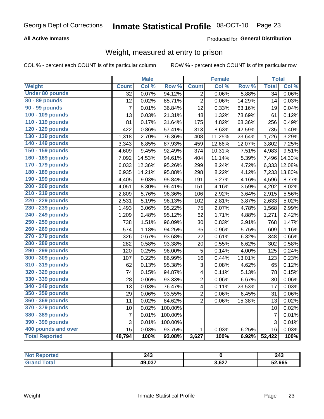### **All Active Inmates**

### Produced for General Distribution

## Weight, measured at entry to prison

COL % - percent each COUNT is of its particular column

|                        |                | <b>Male</b> |                  |                         | <b>Female</b> |        | <b>Total</b>    |        |
|------------------------|----------------|-------------|------------------|-------------------------|---------------|--------|-----------------|--------|
| Weight                 | <b>Count</b>   | Col %       | Row <sup>%</sup> | <b>Count</b>            | Col %         | Row %  | <b>Total</b>    | Col %  |
| <b>Under 80 pounds</b> | 32             | 0.07%       | 94.12%           | $\overline{2}$          | 0.06%         | 5.88%  | $\overline{34}$ | 0.06%  |
| 80 - 89 pounds         | 12             | 0.02%       | 85.71%           | $\overline{2}$          | 0.06%         | 14.29% | 14              | 0.03%  |
| 90 - 99 pounds         | $\overline{7}$ | 0.01%       | 36.84%           | 12                      | 0.33%         | 63.16% | 19              | 0.04%  |
| 100 - 109 pounds       | 13             | 0.03%       | 21.31%           | 48                      | 1.32%         | 78.69% | 61              | 0.12%  |
| 110 - 119 pounds       | 81             | 0.17%       | 31.64%           | 175                     | 4.82%         | 68.36% | 256             | 0.49%  |
| 120 - 129 pounds       | 422            | 0.86%       | 57.41%           | 313                     | 8.63%         | 42.59% | 735             | 1.40%  |
| 130 - 139 pounds       | 1,318          | 2.70%       | 76.36%           | 408                     | 11.25%        | 23.64% | 1,726           | 3.29%  |
| 140 - 149 pounds       | 3,343          | 6.85%       | 87.93%           | 459                     | 12.66%        | 12.07% | 3,802           | 7.25%  |
| 150 - 159 pounds       | 4,609          | 9.45%       | 92.49%           | 374                     | 10.31%        | 7.51%  | 4,983           | 9.51%  |
| 160 - 169 pounds       | 7,092          | 14.53%      | 94.61%           | 404                     | 11.14%        | 5.39%  | 7,496           | 14.30% |
| 170 - 179 pounds       | 6,033          | 12.36%      | 95.26%           | 299                     | 8.24%         | 4.72%  | 6,333           | 12.08% |
| 180 - 189 pounds       | 6,935          | 14.21%      | 95.88%           | 298                     | 8.22%         | 4.12%  | 7,233           | 13.80% |
| 190 - 199 pounds       | 4,405          | 9.03%       | 95.84%           | 191                     | 5.27%         | 4.16%  | 4,596           | 8.77%  |
| 200 - 209 pounds       | 4,051          | 8.30%       | 96.41%           | 151                     | 4.16%         | 3.59%  | 4,202           | 8.02%  |
| 210 - 219 pounds       | 2,809          | 5.76%       | 96.36%           | 106                     | 2.92%         | 3.64%  | 2,915           | 5.56%  |
| 220 - 229 pounds       | 2,531          | 5.19%       | 96.13%           | 102                     | 2.81%         | 3.87%  | 2,633           | 5.02%  |
| 230 - 239 pounds       | 1,493          | 3.06%       | 95.22%           | 75                      | 2.07%         | 4.78%  | 1,568           | 2.99%  |
| 240 - 249 pounds       | 1,209          | 2.48%       | 95.12%           | 62                      | 1.71%         | 4.88%  | 1,271           | 2.42%  |
| 250 - 259 pounds       | 738            | 1.51%       | 96.09%           | 30                      | 0.83%         | 3.91%  | 768             | 1.47%  |
| 260 - 269 pounds       | 574            | 1.18%       | 94.25%           | 35                      | 0.96%         | 5.75%  | 609             | 1.16%  |
| 270 - 279 pounds       | 326            | 0.67%       | 93.68%           | 22                      | 0.61%         | 6.32%  | 348             | 0.66%  |
| 280 - 289 pounds       | 282            | 0.58%       | 93.38%           | 20                      | 0.55%         | 6.62%  | 302             | 0.58%  |
| 290 - 299 pounds       | 120            | 0.25%       | 96.00%           | 5                       | 0.14%         | 4.00%  | 125             | 0.24%  |
| 300 - 309 pounds       | 107            | 0.22%       | 86.99%           | 16                      | 0.44%         | 13.01% | 123             | 0.23%  |
| 310 - 319 pounds       | 62             | 0.13%       | 95.38%           | 3                       | 0.08%         | 4.62%  | 65              | 0.12%  |
| 320 - 329 pounds       | 74             | 0.15%       | 94.87%           | $\overline{\mathbf{4}}$ | 0.11%         | 5.13%  | 78              | 0.15%  |
| 330 - 339 pounds       | 28             | 0.06%       | 93.33%           | $\overline{2}$          | 0.06%         | 6.67%  | 30              | 0.06%  |
| 340 - 349 pounds       | 13             | 0.03%       | 76.47%           | $\overline{\mathbf{4}}$ | 0.11%         | 23.53% | 17              | 0.03%  |
| 350 - 359 pounds       | 29             | 0.06%       | 93.55%           | $\overline{2}$          | 0.06%         | 6.45%  | 31              | 0.06%  |
| 360 - 369 pounds       | 11             | 0.02%       | 84.62%           | $\overline{2}$          | 0.06%         | 15.38% | 13              | 0.02%  |
| 370 - 379 pounds       | 10             | 0.02%       | 100.00%          |                         |               |        | 10              | 0.02%  |
| 380 - 389 pounds       | $\overline{7}$ | 0.01%       | 100.00%          |                         |               |        | $\overline{7}$  | 0.01%  |
| 390 - 399 pounds       | 3              | 0.01%       | 100.00%          |                         |               |        | 3               | 0.01%  |
| 400 pounds and over    | 15             | 0.03%       | 93.75%           | $\mathbf{1}$            | 0.03%         | 6.25%  | 16              | 0.03%  |
| <b>Total Reported</b>  | 48,794         | 100%        | 93.08%           | 3,627                   | 100%          | 6.92%  | 52,422          | 100%   |

| Reported   | つハつ    |       | 0.42   |
|------------|--------|-------|--------|
| <b>NOT</b> | د+∡    |       | 243    |
| ⊺ota.      | 49,037 | 3,627 | 52,665 |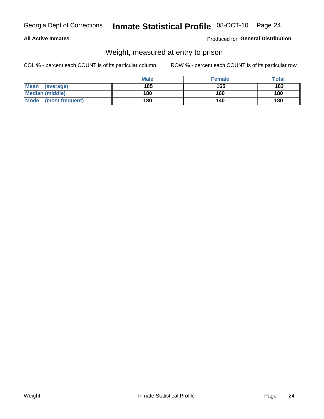### **All Active Inmates**

### Produced for General Distribution

## Weight, measured at entry to prison

COL % - percent each COUNT is of its particular column

|                          | <b>Male</b> | <b>Female</b> | Total |
|--------------------------|-------------|---------------|-------|
| <b>Mean</b><br>(average) | 185         | 165           | 183   |
| <b>Median (middle)</b>   | 180         | 160           | 180   |
| Mode<br>(most frequent)  | 180         | 140           | 180   |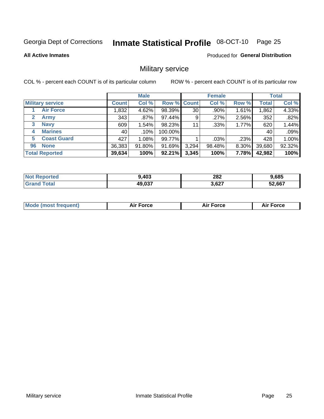#### Inmate Statistical Profile 08-OCT-10 Page 25

### **All Active Inmates**

Produced for General Distribution

## Military service

COL % - percent each COUNT is of its particular column

|                          |              | <b>Male</b> |                    |       | <b>Female</b> |       |              | <b>Total</b> |
|--------------------------|--------------|-------------|--------------------|-------|---------------|-------|--------------|--------------|
| <b>Military service</b>  | <b>Count</b> | Col %       | <b>Row % Count</b> |       | Col %         | Row % | <b>Total</b> | Col %        |
| <b>Air Force</b>         | .832         | 4.62%       | 98.39%             | 30    | .90%          | 1.61% | 1,862        | 4.33%        |
| 2<br>Army                | 343          | $.87\%$     | 97.44%             | 9     | .27%          | 2.56% | 352          | .82%         |
| <b>Navy</b><br>3         | 609          | 1.54%       | 98.23%             | 11    | .33%          | 1.77% | 620          | 1.44%        |
| <b>Marines</b><br>4      | 40           | $.10\%$     | 100.00%            |       |               |       | 40           | .09%         |
| <b>Coast Guard</b><br>5. | 427          | 1.08%       | 99.77%             |       | .03%          | .23%  | 428          | 1.00%        |
| <b>None</b><br>96        | 36,383       | 91.80%      | 91.69%             | 3,294 | 98.48%        | 8.30% | 39,680       | 92.32%       |
| <b>Total Reported</b>    | 39,634       | 100%        | $92.21\%$          | 3,345 | 100%          | 7.78% | 42,982       | 100%         |

| N | $\Delta$ 02<br>40J | 282<br>$\sim$ $\sim$ | 9,685  |
|---|--------------------|----------------------|--------|
|   | 49,037             | 3,627                | 52,667 |

| <b>Mode (most frequent)</b><br><b>Force</b><br><b>Force</b><br>orce<br>Aır |
|----------------------------------------------------------------------------|
|----------------------------------------------------------------------------|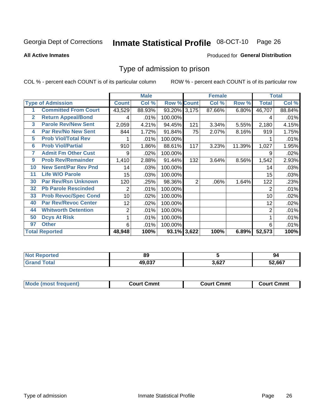#### Inmate Statistical Profile 08-OCT-10 Page 26

**All Active Inmates** 

### Produced for General Distribution

## Type of admission to prison

COL % - percent each COUNT is of its particular column

|              |                             |                | <b>Male</b> |                    |                | <b>Female</b> |        |              | <b>Total</b> |
|--------------|-----------------------------|----------------|-------------|--------------------|----------------|---------------|--------|--------------|--------------|
|              | <b>Type of Admission</b>    | <b>Count</b>   | Col %       | <b>Row % Count</b> |                | Col %         | Row %  | <b>Total</b> | Col %        |
|              | <b>Committed From Court</b> | 43,529         | 88.93%      | 93.20% 3,175       |                | 87.66%        | 6.80%  | 46,707       | 88.84%       |
| $\mathbf{2}$ | <b>Return Appeal/Bond</b>   | 4              | .01%        | 100.00%            |                |               |        | 4            | .01%         |
| 3            | <b>Parole Rev/New Sent</b>  | 2,059          | 4.21%       | 94.45%             | 121            | 3.34%         | 5.55%  | 2,180        | 4.15%        |
| 4            | <b>Par Rev/No New Sent</b>  | 844            | 1.72%       | 91.84%             | 75             | 2.07%         | 8.16%  | 919          | 1.75%        |
| 5            | <b>Prob Viol/Total Rev</b>  |                | .01%        | 100.00%            |                |               |        |              | .01%         |
| 6            | <b>Prob Viol/Partial</b>    | 910            | 1.86%       | 88.61%             | 117            | 3.23%         | 11.39% | 1,027        | 1.95%        |
| 7            | <b>Admit Fm Other Cust</b>  | 9              | $.02\%$     | 100.00%            |                |               |        | 9            | .02%         |
| 9            | <b>Prob Rev/Remainder</b>   | 1,410          | 2.88%       | 91.44%             | 132            | 3.64%         | 8.56%  | 1,542        | 2.93%        |
| 10           | <b>New Sent/Par Rev Pnd</b> | 14             | .03%        | 100.00%            |                |               |        | 14           | .03%         |
| 11           | <b>Life W/O Parole</b>      | 15             | .03%        | 100.00%            |                |               |        | 15           | .03%         |
| 30           | <b>Par Rev/Rsn Unknown</b>  | 120            | .25%        | 98.36%             | $\overline{2}$ | .06%          | 1.64%  | 122          | .23%         |
| 32           | <b>Pb Parole Rescinded</b>  | 2              | .01%        | 100.00%            |                |               |        | 2            | .01%         |
| 33           | <b>Prob Revoc/Spec Cond</b> | 10             | .02%        | 100.00%            |                |               |        | 10           | .02%         |
| 40           | <b>Par Rev/Revoc Center</b> | 12             | $.02\%$     | 100.00%            |                |               |        | 12           | .02%         |
| 44           | <b>Whitworth Detention</b>  | $\overline{2}$ | .01%        | 100.00%            |                |               |        | 2            | .01%         |
| 50           | <b>Dcys At Risk</b>         | 1              | .01%        | 100.00%            |                |               |        |              | .01%         |
| 97           | <b>Other</b>                | 6              | .01%        | 100.00%            |                |               |        | 6            | .01%         |
|              | <b>Total Reported</b>       | 48,948         | 100%        | 93.1% 3,622        |                | 100%          | 6.89%  | 52,573       | 100%         |

| <b>Not</b><br>ported | 89            |                 | 94     |
|----------------------|---------------|-----------------|--------|
| ⊺otai                | <b>49 037</b> | דמי מ<br>3.OZ . | 52,667 |

| <b>Mode (most frequent)</b> | Court Cmmt | <b>Court Cmmt</b> | Court Cmmt |
|-----------------------------|------------|-------------------|------------|
|                             |            |                   |            |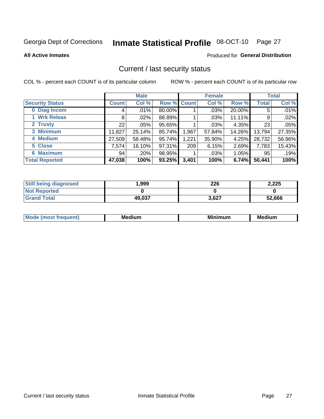## Inmate Statistical Profile 08-OCT-10 Page 27

**All Active Inmates** 

### **Produced for General Distribution**

## Current / last security status

COL % - percent each COUNT is of its particular column

|                        |         | <b>Male</b> |                    |       | <b>Female</b> |          |              | <b>Total</b> |
|------------------------|---------|-------------|--------------------|-------|---------------|----------|--------------|--------------|
| <b>Security Status</b> | Count l | Col %       | <b>Row % Count</b> |       | Col %         | Row %    | <b>Total</b> | Col %        |
| 0 Diag Incom           | 4       | .01%        | 80.00%             |       | .03%          | 20.00%   | 5            | .01%         |
| 1 Wrk Releas           | 8       | .02%        | 88.89%             |       | .03%          | 11.11%   | 9            | .02%         |
| 2 Trusty               | 22      | .05%        | 95.65%             |       | .03%          | 4.35%    | 23           | $.05\%$      |
| 3 Minimum              | 11,827  | 25.14%      | 85.74%             | 1,967 | 57.84%        | 14.26%   | 13,794       | 27.35%       |
| 4 Medium               | 27,509  | 58.48%      | 95.74%             | 1,221 | 35.90%        | 4.25%    | 28,732       | 56.96%       |
| 5 Close                | 7,574   | 16.10%      | 97.31%             | 209   | 6.15%         | 2.69%    | 7,783        | 15.43%       |
| <b>Maximum</b><br>6.   | 94      | .20%        | 98.95%             |       | .03%          | $1.05\%$ | 95           | .19%         |
| <b>Total Reported</b>  | 47,038  | 100%        | 93.25%             | 3,401 | 100%          | 6.74%    | 50,441       | 100%         |

| <b>Still being diagnosed</b> | 999,   | 226   | 2,225  |
|------------------------------|--------|-------|--------|
| <b>Not Reported</b>          |        |       |        |
| <b>Grand Total</b>           | 49,037 | 3,627 | 52,666 |

| <b>Mode</b><br>'reauent) | <b>Medium</b> | <b>BRID</b><br>num | Mer<br>dium |
|--------------------------|---------------|--------------------|-------------|
|                          |               |                    |             |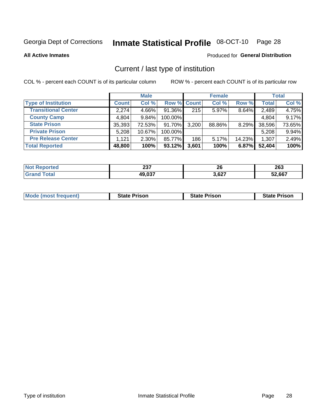## Inmate Statistical Profile 08-OCT-10 Page 28

**All Active Inmates** 

### Produced for General Distribution

## Current / last type of institution

COL % - percent each COUNT is of its particular column

|                            |              | <b>Male</b> |             |       | <b>Female</b> |        |              | <b>Total</b> |
|----------------------------|--------------|-------------|-------------|-------|---------------|--------|--------------|--------------|
| <b>Type of Institution</b> | <b>Count</b> | Col %       | Row % Count |       | Col %         | Row %  | <b>Total</b> | Col %        |
| <b>Transitional Center</b> | 2,274        | 4.66%       | 91.36%      | 215   | 5.97%         | 8.64%  | 2,489        | 4.75%        |
| <b>County Camp</b>         | 4,804        | 9.84%       | 100.00%     |       |               |        | 4,804        | 9.17%        |
| <b>State Prison</b>        | 35,393       | 72.53%      | 91.70%      | 3,200 | 88.86%        | 8.29%  | 38,596       | 73.65%       |
| <b>Private Prison</b>      | 5,208        | 10.67%      | 100.00%     |       |               |        | 5,208        | 9.94%        |
| <b>Pre Release Center</b>  | 1,121        | $2.30\%$    | 85.77%      | 186   | 5.17%         | 14.23% | 1,307        | 2.49%        |
| <b>Total Reported</b>      | 48,800       | 100%        | $93.12\%$   | 3,601 | 100%          | 6.87%  | 52,404       | 100%         |

| тео | $\sim$<br>2J I<br>___ | 26<br>__ | 263    |
|-----|-----------------------|----------|--------|
|     | $\sim$ 007<br>יט לי   | 3,627    | 52,667 |

| <b>Mode (most frequent)</b> | <b>State Prison</b> | <b>State Prison</b> | <b>State Prison</b> |
|-----------------------------|---------------------|---------------------|---------------------|
|-----------------------------|---------------------|---------------------|---------------------|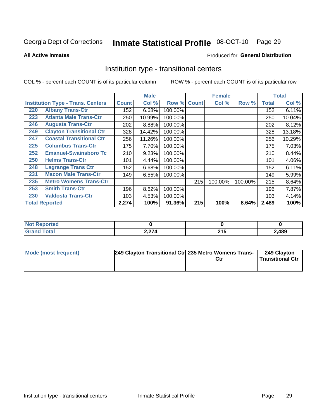#### Inmate Statistical Profile 08-OCT-10 Page 29

**All Active Inmates** 

### Produced for General Distribution

## Institution type - transitional centers

COL % - percent each COUNT is of its particular column

|     |                                          |              | <b>Male</b> |         |              | <b>Female</b> |         |              | <b>Total</b> |
|-----|------------------------------------------|--------------|-------------|---------|--------------|---------------|---------|--------------|--------------|
|     | <b>Institution Type - Trans. Centers</b> | <b>Count</b> | Col %       | Row %   | <b>Count</b> | Col %         | Row %   | <b>Total</b> | Col %        |
| 220 | <b>Albany Trans-Ctr</b>                  | 152          | 6.68%       | 100.00% |              |               |         | 152          | 6.11%        |
| 223 | <b>Atlanta Male Trans-Ctr</b>            | 250          | 10.99%      | 100.00% |              |               |         | 250          | 10.04%       |
| 246 | <b>Augusta Trans-Ctr</b>                 | 202          | 8.88%       | 100.00% |              |               |         | 202          | 8.12%        |
| 249 | <b>Clayton Transitional Ctr</b>          | 328          | 14.42%      | 100.00% |              |               |         | 328          | 13.18%       |
| 247 | <b>Coastal Transitional Ctr</b>          | 256          | 11.26%      | 100.00% |              |               |         | 256          | 10.29%       |
| 225 | <b>Columbus Trans-Ctr</b>                | 175          | 7.70%       | 100.00% |              |               |         | 175          | 7.03%        |
| 252 | <b>Emanuel-Swainsboro Tc</b>             | 210          | 9.23%       | 100.00% |              |               |         | 210          | 8.44%        |
| 250 | <b>Helms Trans-Ctr</b>                   | 101          | 4.44%       | 100.00% |              |               |         | 101          | 4.06%        |
| 248 | <b>Lagrange Trans Ctr</b>                | 152          | 6.68%       | 100.00% |              |               |         | 152          | 6.11%        |
| 231 | <b>Macon Male Trans-Ctr</b>              | 149          | 6.55%       | 100.00% |              |               |         | 149          | 5.99%        |
| 235 | <b>Metro Womens Trans-Ctr</b>            |              |             |         | 215          | 100.00%       | 100.00% | 215          | 8.64%        |
| 253 | <b>Smith Trans-Ctr</b>                   | 196          | 8.62%       | 100.00% |              |               |         | 196          | 7.87%        |
| 230 | <b>Valdosta Trans-Ctr</b>                | 103          | 4.53%       | 100.00% |              |               |         | 103          | 4.14%        |
|     | <b>Total Reported</b>                    | 2,274        | 100%        | 91.36%  | 215          | 100%          | 8.64%   | 2,489        | 100%         |

| тео<br>m. |                                 |                     |       |
|-----------|---------------------------------|---------------------|-------|
|           | $\sim$ $\sim$<br><u> 2,41 T</u> | <b>OAF</b><br>2 I J | 2,489 |

| <b>Mode (most frequent)</b> | 249 Clayton Transitional Ctr 235 Metro Womens Trans- | 249 Clayton<br>Transitional Ctr |
|-----------------------------|------------------------------------------------------|---------------------------------|
|                             |                                                      |                                 |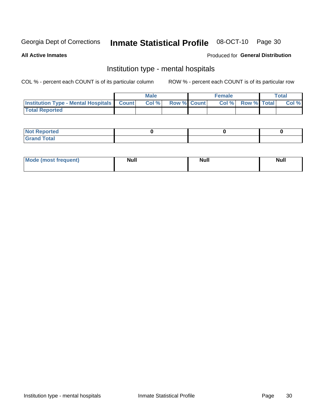#### **Inmate Statistical Profile 08-OCT-10** Page 30

#### **All Active Inmates**

### Produced for General Distribution

## Institution type - mental hospitals

COL % - percent each COUNT is of its particular column

|                                                  | Male |                    | <b>Female</b> |                   | <b>Total</b> |
|--------------------------------------------------|------|--------------------|---------------|-------------------|--------------|
| <b>Institution Type - Mental Hospitals Count</b> | Col% | <b>Row % Count</b> |               | Col % Row % Total | Col %        |
| <b>Total Reported</b>                            |      |                    |               |                   |              |

| <b>Not Reported</b>   |  |  |
|-----------------------|--|--|
| <b>Total</b><br>_____ |  |  |

| Mode.<br>frequent) | <b>Nul</b><br>_____ | <b>Null</b> | <b>Null</b> |
|--------------------|---------------------|-------------|-------------|
|                    |                     |             |             |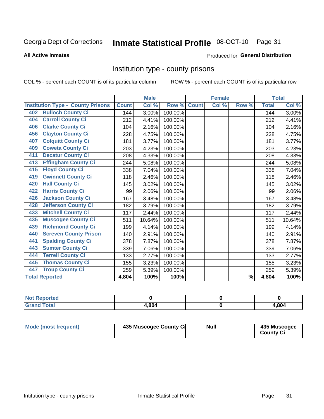## Inmate Statistical Profile 08-OCT-10 Page 31

#### **All Active Inmates**

#### Produced for General Distribution

## Institution type - county prisons

COL % - percent each COUNT is of its particular column

|                                          |              | <b>Male</b> |         |              | <b>Female</b> |               |              | <b>Total</b> |
|------------------------------------------|--------------|-------------|---------|--------------|---------------|---------------|--------------|--------------|
| <b>Institution Type - County Prisons</b> | <b>Count</b> | Col %       | Row %   | <b>Count</b> | Col %         | Row %         | <b>Total</b> | Col %        |
| <b>Bulloch County Ci</b><br>402          | 144          | 3.00%       | 100.00% |              |               |               | 144          | 3.00%        |
| <b>Carroll County Ci</b><br>404          | 212          | 4.41%       | 100.00% |              |               |               | 212          | 4.41%        |
| <b>Clarke County Ci</b><br>406           | 104          | 2.16%       | 100.00% |              |               |               | 104          | 2.16%        |
| <b>Clayton County Ci</b><br>456          | 228          | 4.75%       | 100.00% |              |               |               | 228          | 4.75%        |
| <b>Colquitt County Ci</b><br>407         | 181          | 3.77%       | 100.00% |              |               |               | 181          | 3.77%        |
| <b>Coweta County Ci</b><br>409           | 203          | 4.23%       | 100.00% |              |               |               | 203          | 4.23%        |
| <b>Decatur County Ci</b><br>411          | 208          | 4.33%       | 100.00% |              |               |               | 208          | 4.33%        |
| <b>Effingham County Ci</b><br>413        | 244          | 5.08%       | 100.00% |              |               |               | 244          | 5.08%        |
| <b>Floyd County Ci</b><br>415            | 338          | 7.04%       | 100.00% |              |               |               | 338          | 7.04%        |
| <b>Gwinnett County Ci</b><br>419         | 118          | 2.46%       | 100.00% |              |               |               | 118          | 2.46%        |
| <b>Hall County Ci</b><br>420             | 145          | 3.02%       | 100.00% |              |               |               | 145          | 3.02%        |
| <b>Harris County Ci</b><br>422           | 99           | 2.06%       | 100.00% |              |               |               | 99           | 2.06%        |
| <b>Jackson County Ci</b><br>426          | 167          | 3.48%       | 100.00% |              |               |               | 167          | 3.48%        |
| <b>Jefferson County Ci</b><br>428        | 182          | 3.79%       | 100.00% |              |               |               | 182          | 3.79%        |
| <b>Mitchell County Ci</b><br>433         | 117          | 2.44%       | 100.00% |              |               |               | 117          | 2.44%        |
| <b>Muscogee County Ci</b><br>435         | 511          | 10.64%      | 100.00% |              |               |               | 511          | 10.64%       |
| <b>Richmond County Ci</b><br>439         | 199          | 4.14%       | 100.00% |              |               |               | 199          | 4.14%        |
| <b>Screven County Prison</b><br>440      | 140          | 2.91%       | 100.00% |              |               |               | 140          | 2.91%        |
| <b>Spalding County Ci</b><br>441         | 378          | 7.87%       | 100.00% |              |               |               | 378          | 7.87%        |
| <b>Sumter County Ci</b><br>443           | 339          | 7.06%       | 100.00% |              |               |               | 339          | 7.06%        |
| <b>Terrell County Ci</b><br>444          | 133          | 2.77%       | 100.00% |              |               |               | 133          | 2.77%        |
| <b>Thomas County Ci</b><br>445           | 155          | 3.23%       | 100.00% |              |               |               | 155          | 3.23%        |
| <b>Troup County Ci</b><br>447            | 259          | 5.39%       | 100.00% |              |               |               | 259          | 5.39%        |
| <b>Total Reported</b>                    | 4,804        | 100%        | 100%    |              |               | $\frac{9}{6}$ | 4,804        | 100%         |

| <b>Not Reported</b> |       |       |
|---------------------|-------|-------|
| <b>Grand Total</b>  | 4,804 | 4,804 |

| Mode (most frequent) | 435 Muscogee County Ci | <b>Null</b> | 435 Muscogee<br><b>County Ci</b> |
|----------------------|------------------------|-------------|----------------------------------|
|                      |                        |             |                                  |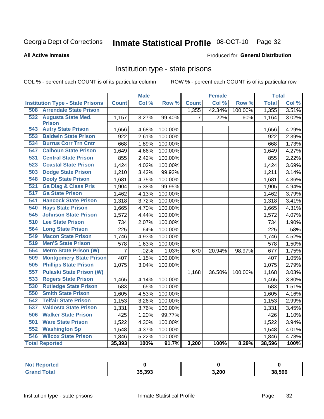## Inmate Statistical Profile 08-OCT-10 Page 32

#### **All Active Inmates**

### Produced for General Distribution

## Institution type - state prisons

COL % - percent each COUNT is of its particular column

|                                         |                | <b>Male</b> |         |                | <b>Female</b> |         | <b>Total</b> |       |
|-----------------------------------------|----------------|-------------|---------|----------------|---------------|---------|--------------|-------|
| <b>Institution Type - State Prisons</b> | <b>Count</b>   | Col %       | Row %   | <b>Count</b>   | Col %         | Row %   | <b>Total</b> | Col % |
| <b>508 Arrendale State Prison</b>       |                |             |         | 1,355          | 42.34%        | 100.00% | 1,355        | 3.51% |
| 532<br><b>Augusta State Med.</b>        | 1,157          | 3.27%       | 99.40%  | $\overline{7}$ | .22%          | .60%    | 1,164        | 3.02% |
| <b>Prison</b>                           |                |             |         |                |               |         |              |       |
| <b>543 Autry State Prison</b>           | 1,656          | 4.68%       | 100.00% |                |               |         | 1,656        | 4.29% |
| <b>Baldwin State Prison</b><br>553      | 922            | 2.61%       | 100.00% |                |               |         | 922          | 2.39% |
| <b>Burrus Corr Trn Cntr</b><br>534      | 668            | 1.89%       | 100.00% |                |               |         | 668          | 1.73% |
| <b>Calhoun State Prison</b><br>547      | 1,649          | 4.66%       | 100.00% |                |               |         | 1,649        | 4.27% |
| 531<br><b>Central State Prison</b>      | 855            | 2.42%       | 100.00% |                |               |         | 855          | 2.22% |
| <b>Coastal State Prison</b><br>523      | 1,424          | 4.02%       | 100.00% |                |               |         | 1,424        | 3.69% |
| <b>Dodge State Prison</b><br>503        | 1,210          | 3.42%       | 99.92%  |                |               |         | 1,211        | 3.14% |
| <b>Dooly State Prison</b><br>548        | 1,681          | 4.75%       | 100.00% |                |               |         | 1,681        | 4.36% |
| <b>Ga Diag &amp; Class Pris</b><br>521  | 1,904          | 5.38%       | 99.95%  |                |               |         | 1,905        | 4.94% |
| <b>Ga State Prison</b><br>517           | 1,462          | 4.13%       | 100.00% |                |               |         | 1,462        | 3.79% |
| <b>Hancock State Prison</b><br>541      | 1,318          | 3.72%       | 100.00% |                |               |         | 1,318        | 3.41% |
| <b>Hays State Prison</b><br>540         | 1,665          | 4.70%       | 100.00% |                |               |         | 1,665        | 4.31% |
| <b>Johnson State Prison</b><br>545      | 1,572          | 4.44%       | 100.00% |                |               |         | 1,572        | 4.07% |
| <b>Lee State Prison</b><br>510          | 734            | 2.07%       | 100.00% |                |               |         | 734          | 1.90% |
| 564<br><b>Long State Prison</b>         | 225            | .64%        | 100.00% |                |               |         | 225          | .58%  |
| 549<br><b>Macon State Prison</b>        | 1,746          | 4.93%       | 100.00% |                |               |         | 1,746        | 4.52% |
| <b>Men'S State Prison</b><br>519        | 578            | 1.63%       | 100.00% |                |               |         | 578          | 1.50% |
| <b>Metro State Prison (W)</b><br>554    | $\overline{7}$ | .02%        | 1.03%   | 670            | 20.94%        | 98.97%  | 677          | 1.75% |
| 509<br><b>Montgomery State Prison</b>   | 407            | 1.15%       | 100.00% |                |               |         | 407          | 1.05% |
| <b>Phillips State Prison</b><br>505     | 1,075          | 3.04%       | 100.00% |                |               |         | 1,075        | 2.79% |
| <b>Pulaski State Prison (W)</b><br>557  |                |             |         | 1,168          | 36.50%        | 100.00% | 1,168        | 3.03% |
| <b>Rogers State Prison</b><br>533       | 1,465          | 4.14%       | 100.00% |                |               |         | 1,465        | 3.80% |
| <b>Rutledge State Prison</b><br>530     | 583            | 1.65%       | 100.00% |                |               |         | 583          | 1.51% |
| <b>Smith State Prison</b><br>550        | 1,605          | 4.53%       | 100.00% |                |               |         | 1,605        | 4.16% |
| <b>Telfair State Prison</b><br>542      | 1,153          | 3.26%       | 100.00% |                |               |         | 1,153        | 2.99% |
| <b>Valdosta State Prison</b><br>537     | 1,331          | 3.76%       | 100.00% |                |               |         | 1,331        | 3.45% |
| 506<br><b>Walker State Prison</b>       | 425            | 1.20%       | 99.77%  |                |               |         | 426          | 1.10% |
| <b>Ware State Prison</b><br>501         | 1,522          | 4.30%       | 100.00% |                |               |         | 1,522        | 3.94% |
| <b>Washington Sp</b><br>552             | 1,548          | 4.37%       | 100.00% |                |               |         | 1,548        | 4.01% |
| <b>Wilcox State Prison</b><br>546       | 1,846          | 5.22%       | 100.00% |                |               |         | 1,846        | 4.78% |
| <b>Total Reported</b>                   | 35,393         | 100%        | 91.7%   | 3,200          | 100%          | 8.29%   | 38,596       | 100%  |

| Reported          |        |       |        |
|-------------------|--------|-------|--------|
| <sup>-</sup> otal | 35.393 | 3,200 | 38.596 |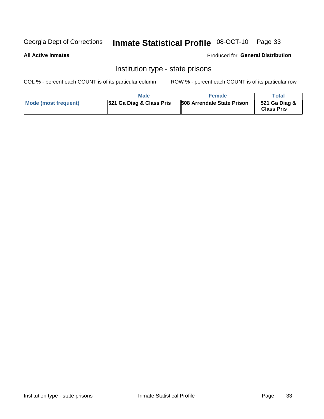## Inmate Statistical Profile 08-OCT-10 Page 33

#### **All Active Inmates**

#### Produced for General Distribution

## Institution type - state prisons

COL % - percent each COUNT is of its particular column

|                      | <b>Male</b>                          | <b>Female</b>                     | Total                              |
|----------------------|--------------------------------------|-----------------------------------|------------------------------------|
| Mode (most frequent) | <b>1521 Ga Diag &amp; Class Pris</b> | <b>508 Arrendale State Prison</b> | 521 Ga Diag &<br><b>Class Pris</b> |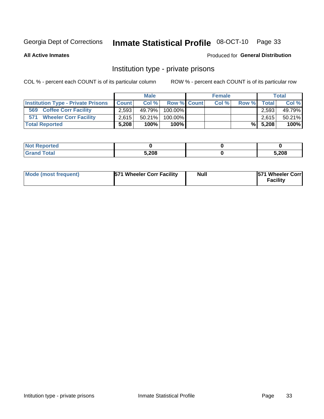## Inmate Statistical Profile 08-OCT-10 Page 33

**All Active Inmates** 

### Produced for General Distribution

## Institution type - private prisons

COL % - percent each COUNT is of its particular column

|                                           |              | <b>Male</b> |                    | <b>Female</b> |       |              | <b>Total</b> |
|-------------------------------------------|--------------|-------------|--------------------|---------------|-------|--------------|--------------|
| <b>Institution Type - Private Prisons</b> | <b>Count</b> | Col%        | <b>Row % Count</b> | Col %         | Row % | <b>Total</b> | Col %        |
| 569<br><b>Coffee Corr Facility</b>        | 2,593        | 49.79%      | $100.00\%$         |               |       | 2.593        | 49.79%       |
| <b>Wheeler Corr Facility</b><br>571       | 2.615        | $50.21\%$   | 100.00%            |               |       | 2,615        | 50.21%       |
| <b>Total Reported</b>                     | 5.208        | 100%        | $100\%$            |               |       | $\%$ 5,208   | 100%         |

| τeα   |       |       |
|-------|-------|-------|
| _____ | 5.208 | 5,208 |

| Mode (most frequent) | 571 Wheeler Corr Facility | <b>Null</b> | <b>571 Wheeler Corrl</b><br>Facilitv |
|----------------------|---------------------------|-------------|--------------------------------------|
|----------------------|---------------------------|-------------|--------------------------------------|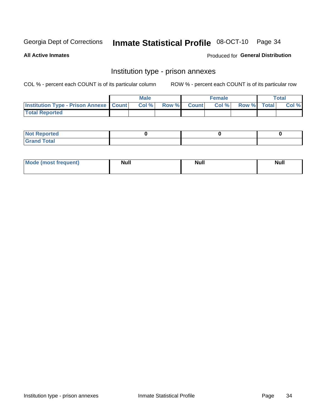## Inmate Statistical Profile 08-OCT-10 Page 34

**All Active Inmates** 

Produced for General Distribution

## Institution type - prison annexes

COL % - percent each COUNT is of its particular column

|                                                   | <b>Male</b> |       |              | <b>Female</b> |             | <b>Total</b> |
|---------------------------------------------------|-------------|-------|--------------|---------------|-------------|--------------|
| <b>Institution Type - Prison Annexe   Count  </b> | Col %       | Row % | <b>Count</b> | Col %         | Row % Total | Col %        |
| <b>Total Reported</b>                             |             |       |              |               |             |              |

| <b>Reported</b><br>I NOT                      |  |  |
|-----------------------------------------------|--|--|
| <b>Total</b><br>Carar<br>$\sim$ . When $\sim$ |  |  |

| <b>Mode</b>     | <b>Null</b> | <b>Null</b> | <b>Null</b> |
|-----------------|-------------|-------------|-------------|
| most frequent). |             |             |             |
|                 |             |             |             |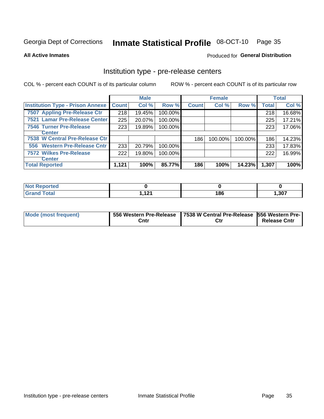## Inmate Statistical Profile 08-OCT-10 Page 35

**All Active Inmates** 

Produced for General Distribution

## Institution type - pre-release centers

COL % - percent each COUNT is of its particular column

|                                         |              | <b>Male</b> |         |              | <b>Female</b> |         |              | <b>Total</b> |
|-----------------------------------------|--------------|-------------|---------|--------------|---------------|---------|--------------|--------------|
| <b>Institution Type - Prison Annexe</b> | <b>Count</b> | Col %       | Row %   | <b>Count</b> | Col %         | Row %   | <b>Total</b> | Col %        |
| 7507 Appling Pre-Release Ctr            | 218          | 19.45%      | 100.00% |              |               |         | 218          | 16.68%       |
| 7521 Lamar Pre-Release Center           | 225          | 20.07%      | 100.00% |              |               |         | 225          | 17.21%       |
| <b>7546 Turner Pre-Release</b>          | 223          | 19.89%      | 100.00% |              |               |         | 223          | 17.06%       |
| <b>Center</b>                           |              |             |         |              |               |         |              |              |
| 7538 W Central Pre-Release Ctr          |              |             |         | 186          | 100.00%       | 100.00% | 186          | 14.23%       |
| 556 Western Pre-Release Cntr            | 233          | 20.79%      | 100.00% |              |               |         | 233          | 17.83%       |
| 7572 Wilkes Pre-Release                 | 222          | 19.80%      | 100.00% |              |               |         | 222          | 16.99%       |
| <b>Center</b>                           |              |             |         |              |               |         |              |              |
| <b>Total Reported</b>                   | 1,121        | 100%        | 85.77%  | 186          | 100%          | 14.23%  | 1,307        | 100%         |

| Reported     |           |     |       |
|--------------|-----------|-----|-------|
| <b>Total</b> | 4.94<br>. | 186 | 1,307 |

| Mode (most frequent) |      | 556 Western Pre-Release   7538 W Central Pre-Release   556 Western Pre- |                     |  |  |
|----------------------|------|-------------------------------------------------------------------------|---------------------|--|--|
|                      | Cntr | Ctr                                                                     | <b>Release Cntr</b> |  |  |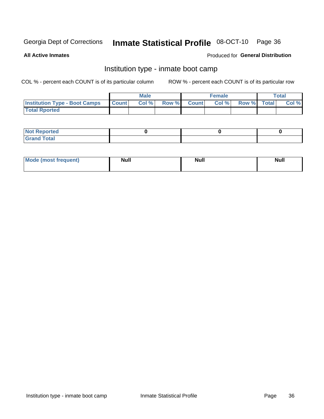# Inmate Statistical Profile 08-OCT-10 Page 36

**All Active Inmates** 

#### Produced for General Distribution

### Institution type - inmate boot camp

COL % - percent each COUNT is of its particular column

|                                      |              | <b>Male</b> |               |              | <b>Female</b> |             | <b>Total</b> |
|--------------------------------------|--------------|-------------|---------------|--------------|---------------|-------------|--------------|
| <b>Institution Type - Boot Camps</b> | <b>Count</b> | Col %       | <b>Row %I</b> | <b>Count</b> | Col %         | Row % Total | Col %        |
| <b>Total Rported</b>                 |              |             |               |              |               |             |              |

| <b>Not Reported</b>            |  |  |
|--------------------------------|--|--|
| <b>Total</b><br>C <sub>r</sub> |  |  |

| <b>I Mode (most frequent)</b> | <b>Null</b> | <b>Null</b> | <b>Null</b> |
|-------------------------------|-------------|-------------|-------------|
|                               |             |             |             |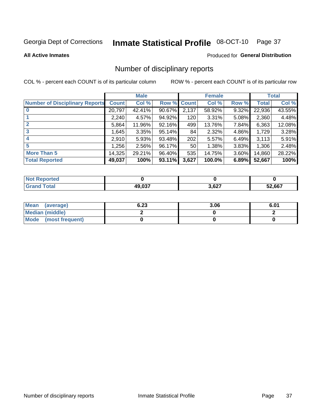# Inmate Statistical Profile 08-OCT-10 Page 37

#### **All Active Inmates**

#### Produced for General Distribution

### Number of disciplinary reports

COL % - percent each COUNT is of its particular column

|                                       |              | <b>Male</b> |             |       | <b>Female</b> |       |        | <b>Total</b> |
|---------------------------------------|--------------|-------------|-------------|-------|---------------|-------|--------|--------------|
| <b>Number of Disciplinary Reports</b> | <b>Count</b> | Col %       | Row % Count |       | Col %         | Row % | Total  | Col %        |
|                                       | 20,797       | 42.41%      | $90.67\%$   | 2,137 | 58.92%        | 9.32% | 22,936 | 43.55%       |
|                                       | 2,240        | 4.57%       | 94.92%      | 120   | 3.31%         | 5.08% | 2,360  | 4.48%        |
|                                       | 5,864        | 11.96%      | 92.16%      | 499   | 13.76%        | 7.84% | 6,363  | 12.08%       |
| 3                                     | 1,645        | 3.35%       | 95.14%      | 84    | 2.32%         | 4.86% | 1,729  | 3.28%        |
|                                       | 2,910        | 5.93%       | 93.48%      | 202   | 5.57%         | 6.49% | 3,113  | 5.91%        |
| 5                                     | .256         | 2.56%       | 96.17%      | 50    | 1.38%         | 3.83% | 1,306  | 2.48%        |
| <b>More Than 5</b>                    | 14,325       | 29.21%      | 96.40%      | 535   | 14.75%        | 3.60% | 14,860 | 28.22%       |
| <b>Total Reported</b>                 | 49,037       | 100%        | 93.11%      | 3,627 | 100.0%        | 6.89% | 52,667 | 100%         |

| orted<br>NO: |               |       |        |
|--------------|---------------|-------|--------|
| Total        | <b>49 037</b> | 3,627 | 52.667 |

| Mean (average)         | 6.23 | 3.06 | 6.01 |
|------------------------|------|------|------|
| <b>Median (middle)</b> |      |      |      |
| Mode (most frequent)   |      |      |      |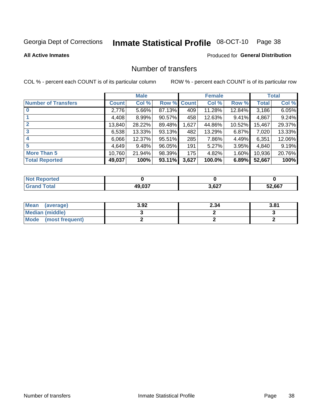# Inmate Statistical Profile 08-OCT-10 Page 38

**All Active Inmates** 

### **Produced for General Distribution**

### Number of transfers

COL % - percent each COUNT is of its particular column

|                            |              | <b>Male</b> |        |              | <b>Female</b> |          |              | <b>Total</b> |
|----------------------------|--------------|-------------|--------|--------------|---------------|----------|--------------|--------------|
| <b>Number of Transfers</b> | <b>Count</b> | Col %       | Row %  | <b>Count</b> | Col %         | Row %    | <b>Total</b> | Col %        |
|                            | 2,776        | $5.66\%$    | 87.13% | 409          | 11.28%        | 12.84%   | 3,186        | 6.05%        |
|                            | 4,408        | $8.99\%$    | 90.57% | 458          | 12.63%        | $9.41\%$ | 4,867        | 9.24%        |
| $\mathbf{2}$               | 13,840       | 28.22%      | 89.48% | 1,627        | 44.86%        | 10.52%   | 15,467       | 29.37%       |
| 3                          | 6,538        | $13.33\%$   | 93.13% | 482          | 13.29%        | $6.87\%$ | 7,020        | 13.33%       |
| 4                          | 6,066        | 12.37%      | 95.51% | 285          | 7.86%         | 4.49%    | 6,351        | 12.06%       |
| 5                          | 4,649        | 9.48%       | 96.05% | 191          | 5.27%         | $3.95\%$ | 4,840        | 9.19%        |
| <b>More Than 5</b>         | 10,760       | 21.94%      | 98.39% | 175          | 4.82%         | $1.60\%$ | 10,936       | 20.76%       |
| <b>Total Reported</b>      | 49,037       | 100%        | 93.11% | 3,627        | 100.0%        | 6.89%    | 52,667       | 100%         |

| <b>Not Reported</b> |               |       |        |
|---------------------|---------------|-------|--------|
| <b>Total</b>        | <b>49 037</b> | 3,627 | 52,667 |

| Mean (average)       | 3.92 | 2.34 | 3.81 |
|----------------------|------|------|------|
| Median (middle)      |      |      |      |
| Mode (most frequent) |      |      |      |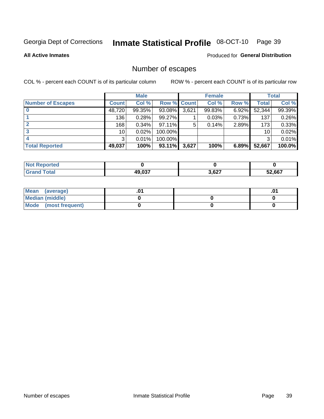# Inmate Statistical Profile 08-OCT-10 Page 39

#### **All Active Inmates**

#### Produced for General Distribution

## Number of escapes

COL % - percent each COUNT is of its particular column

|                          |                 | <b>Male</b> |             |       | <b>Female</b> |       |        | <b>Total</b> |
|--------------------------|-----------------|-------------|-------------|-------|---------------|-------|--------|--------------|
| <b>Number of Escapes</b> | <b>Count</b>    | Col %       | Row % Count |       | Col %         | Row % | Total  | Col %        |
|                          | 48,720          | 99.35%      | 93.08%      | 3,621 | 99.83%        | 6.92% | 52,344 | 99.39%       |
|                          | 136             | 0.28%       | 99.27%      |       | 0.03%         | 0.73% | 137    | 0.26%        |
| 2                        | 168             | 0.34%       | $97.11\%$   | 5     | 0.14%         | 2.89% | 173    | 0.33%        |
| 3                        | 10 <sup>1</sup> | 0.02%       | 100.00%     |       |               |       | 10     | 0.02%        |
|                          | 3               | 0.01%       | 100.00%     |       |               |       | 3      | 0.01%        |
| <b>Total Reported</b>    | 49,037          | 100%        | 93.11%      | 3,627 | 100%          | 6.89% | 52,667 | 100.0%       |

| <b>Not Reported</b> |        |       |        |
|---------------------|--------|-------|--------|
| <b>Grand Total</b>  | 49.037 | 3,627 | 52,667 |

| Mean (average)         |  | .0 <sup>4</sup> |
|------------------------|--|-----------------|
| <b>Median (middle)</b> |  |                 |
| Mode (most frequent)   |  |                 |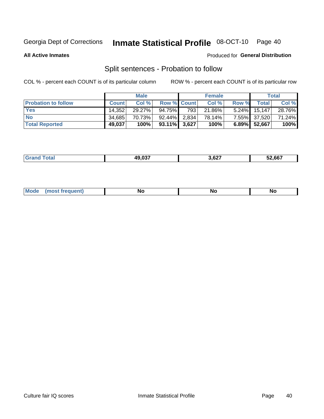#### Inmate Statistical Profile 08-OCT-10 Page 40

**All Active Inmates** 

#### Produced for General Distribution

## Split sentences - Probation to follow

COL % - percent each COUNT is of its particular column

|                            |              | <b>Male</b> |                    |     | <b>Female</b> |          |              | <b>Total</b> |
|----------------------------|--------------|-------------|--------------------|-----|---------------|----------|--------------|--------------|
| <b>Probation to follow</b> | <b>Count</b> | Col%        | <b>Row % Count</b> |     | Col %         | Row %    | <b>Total</b> | Col %        |
| <b>Yes</b>                 | 14.352       | $29.27\%$   | 94.75%             | 793 | 21.86%        | $5.24\%$ | 15,147       | 28.76%       |
| <b>No</b>                  | 34,685       | 70.73%      | $92.44\%$ 2.834    |     | 78.14%        |          | 7.55% 37,520 | 71.24%       |
| <b>Total Reported</b>      | 49,037       | 100%        | $93.11\%$ 3,627    |     | 100%          |          | 6.89% 52,667 | 100%         |

| _______ | 10 037<br>.v. | - ^ ^ ¬<br>ו ∠ס.י<br>--- | 52.667 |
|---------|---------------|--------------------------|--------|
|         |               |                          |        |

| M<br><b>No</b><br>זחםווח<br><b>NC</b><br>--<br>$\sim$ |
|-------------------------------------------------------|
|-------------------------------------------------------|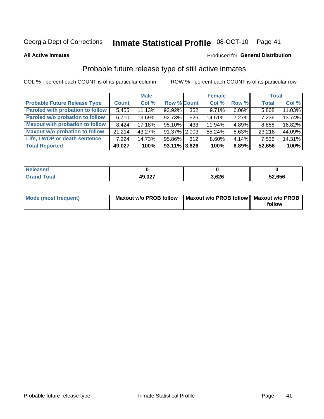#### Inmate Statistical Profile 08-OCT-10 Page 41

**All Active Inmates** 

#### Produced for General Distribution

## Probable future release type of still active inmates

COL % - percent each COUNT is of its particular column

|                                         |              | <b>Male</b> |                    |     | <b>Female</b> |          | Total        |        |
|-----------------------------------------|--------------|-------------|--------------------|-----|---------------|----------|--------------|--------|
| <b>Probable Future Release Type</b>     | <b>Count</b> | Col %       | <b>Row % Count</b> |     | Col%          | Row %    | <b>Total</b> | Col %  |
| <b>Paroled with probation to follow</b> | 5,455        | 11.13%      | 93.92%             | 352 | 9.71%         | $6.06\%$ | 5,808        | 11.03% |
| Paroled w/o probation to follow         | 6,710        | 13.69%      | 92.73%             | 526 | 14.51%        | $7.27\%$ | 7,236        | 13.74% |
| <b>Maxout with probation to follow</b>  | 8.424        | $17.18\%$   | 95.10%             | 433 | 11.94%        | 4.89%    | 8,858        | 16.82% |
| <b>Maxout w/o probation to follow</b>   | 21.214       | 43.27%      | 91.37% 2.003       |     | 55.24%        | 8.63%    | 23,218       | 44.09% |
| Life, LWOP or death sentence            | 7.224        | 14.73%      | 95.86%             | 312 | 8.60%         | 4.14%    | 7,536        | 14.31% |
| <b>Total Reported</b>                   | 49,027       | 100%        | $93.11\%$ 3,626    |     | 100%          | 6.89%    | 52,656       | 100%   |

| eleased     |                             |      |        |
|-------------|-----------------------------|------|--------|
| <b>otal</b> | <b>49 027</b><br>$\sim$ 04. | ,626 | 52,656 |

| Mode (most frequent) | Maxout w/o PROB follow   Maxout w/o PROB follow   Maxout w/o PROB |        |
|----------------------|-------------------------------------------------------------------|--------|
|                      |                                                                   | follow |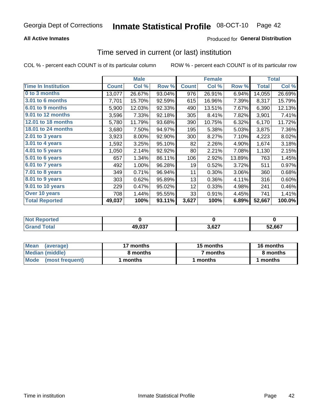### **All Active Inmates**

### **Produced for General Distribution**

# Time served in current (or last) institution

COL % - percent each COUNT is of its particular column

|                            |              | <b>Male</b> |        |              | <b>Female</b> |        |              | <b>Total</b> |
|----------------------------|--------------|-------------|--------|--------------|---------------|--------|--------------|--------------|
| <b>Time In Institution</b> | <b>Count</b> | Col %       | Row %  | <b>Count</b> | Col %         | Row %  | <b>Total</b> | Col %        |
| 0 to 3 months              | 13,077       | 26.67%      | 93.04% | 976          | 26.91%        | 6.94%  | 14,055       | 26.69%       |
| 3.01 to 6 months           | 7,701        | 15.70%      | 92.59% | 615          | 16.96%        | 7.39%  | 8,317        | 15.79%       |
| 6.01 to 9 months           | 5,900        | 12.03%      | 92.33% | 490          | 13.51%        | 7.67%  | 6,390        | 12.13%       |
| 9.01 to 12 months          | 3,596        | 7.33%       | 92.18% | 305          | 8.41%         | 7.82%  | 3,901        | 7.41%        |
| <b>12.01 to 18 months</b>  | 5,780        | 11.79%      | 93.68% | 390          | 10.75%        | 6.32%  | 6,170        | 11.72%       |
| <b>18.01 to 24 months</b>  | 3,680        | 7.50%       | 94.97% | 195          | 5.38%         | 5.03%  | 3,875        | 7.36%        |
| 2.01 to 3 years            | 3,923        | 8.00%       | 92.90% | 300          | 8.27%         | 7.10%  | 4,223        | 8.02%        |
| 3.01 to 4 years            | 1,592        | 3.25%       | 95.10% | 82           | 2.26%         | 4.90%  | 1,674        | 3.18%        |
| $4.01$ to 5 years          | 1,050        | 2.14%       | 92.92% | 80           | 2.21%         | 7.08%  | 1,130        | 2.15%        |
| 5.01 to 6 years            | 657          | 1.34%       | 86.11% | 106          | 2.92%         | 13.89% | 763          | 1.45%        |
| 6.01 to 7 years            | 492          | 1.00%       | 96.28% | 19           | 0.52%         | 3.72%  | 511          | 0.97%        |
| 7.01 to 8 years            | 349          | 0.71%       | 96.94% | 11           | 0.30%         | 3.06%  | 360          | 0.68%        |
| $8.01$ to 9 years          | 303          | 0.62%       | 95.89% | 13           | 0.36%         | 4.11%  | 316          | 0.60%        |
| 9.01 to 10 years           | 229          | 0.47%       | 95.02% | 12           | 0.33%         | 4.98%  | 241          | 0.46%        |
| Over 10 years              | 708          | 1.44%       | 95.55% | 33           | 0.91%         | 4.45%  | 741          | 1.41%        |
| <b>Total Reported</b>      | 49,037       | 100%        | 93.11% | 3,627        | 100%          | 6.89%  | 52,667       | 100.0%       |

| orted<br><b>NOT</b> |        |               |        |
|---------------------|--------|---------------|--------|
| <b>ofa</b>          | 49.037 | דמים מ<br>,04 | 52.667 |

| <b>Mean</b><br>(average) | 17 months | 15 months | 16 months |  |
|--------------------------|-----------|-----------|-----------|--|
| Median (middle)          | 8 months  | 7 months  | 8 months  |  |
| Mode<br>(most frequent)  | months    | months    | ∖ months  |  |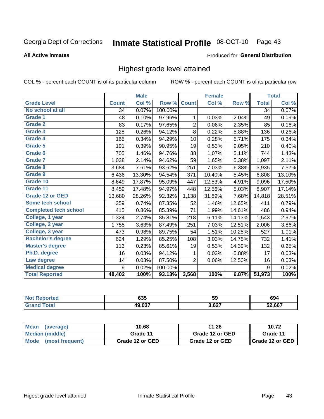#### Inmate Statistical Profile 08-OCT-10 Page 43

#### **All Active Inmates**

#### Produced for General Distribution

### Highest grade level attained

COL % - percent each COUNT is of its particular column

|                              |              | <b>Male</b> |         |                | <b>Female</b> |        |              | <b>Total</b> |
|------------------------------|--------------|-------------|---------|----------------|---------------|--------|--------------|--------------|
| <b>Grade Level</b>           | <b>Count</b> | Col %       | Row %   | <b>Count</b>   | Col %         | Row %  | <b>Total</b> | Col %        |
| No school at all             | 34           | 0.07%       | 100.00% |                |               |        | 34           | 0.07%        |
| <b>Grade 1</b>               | 48           | 0.10%       | 97.96%  | 1              | 0.03%         | 2.04%  | 49           | 0.09%        |
| <b>Grade 2</b>               | 83           | 0.17%       | 97.65%  | $\overline{2}$ | 0.06%         | 2.35%  | 85           | 0.16%        |
| Grade 3                      | 128          | 0.26%       | 94.12%  | $\overline{8}$ | 0.22%         | 5.88%  | 136          | 0.26%        |
| Grade 4                      | 165          | 0.34%       | 94.29%  | 10             | 0.28%         | 5.71%  | 175          | 0.34%        |
| Grade 5                      | 191          | 0.39%       | 90.95%  | 19             | 0.53%         | 9.05%  | 210          | 0.40%        |
| Grade 6                      | 705          | 1.46%       | 94.76%  | 38             | 1.07%         | 5.11%  | 744          | 1.43%        |
| <b>Grade 7</b>               | 1,038        | 2.14%       | 94.62%  | 59             | 1.65%         | 5.38%  | 1,097        | 2.11%        |
| Grade 8                      | 3,684        | 7.61%       | 93.62%  | 251            | 7.03%         | 6.38%  | 3,935        | 7.57%        |
| Grade 9                      | 6,436        | 13.30%      | 94.54%  | 371            | 10.40%        | 5.45%  | 6,808        | 13.10%       |
| Grade 10                     | 8,649        | 17.87%      | 95.09%  | 447            | 12.53%        | 4.91%  | 9,096        | 17.50%       |
| Grade 11                     | 8,459        | 17.48%      | 94.97%  | 448            | 12.56%        | 5.03%  | 8,907        | 17.14%       |
| <b>Grade 12 or GED</b>       | 13,680       | 28.26%      | 92.32%  | 1,138          | 31.89%        | 7.68%  | 14,818       | 28.51%       |
| Some tech school             | 359          | 0.74%       | 87.35%  | 52             | 1.46%         | 12.65% | 411          | 0.79%        |
| <b>Completed tech school</b> | 415          | 0.86%       | 85.39%  | 71             | 1.99%         | 14.61% | 486          | 0.94%        |
| College, 1 year              | 1,324        | 2.74%       | 85.81%  | 218            | 6.11%         | 14.13% | 1,543        | 2.97%        |
| College, 2 year              | 1,755        | 3.63%       | 87.49%  | 251            | 7.03%         | 12.51% | 2,006        | 3.86%        |
| College, 3 year              | 473          | 0.98%       | 89.75%  | 54             | 1.51%         | 10.25% | 527          | 1.01%        |
| <b>Bachelor's degree</b>     | 624          | 1.29%       | 85.25%  | 108            | 3.03%         | 14.75% | 732          | 1.41%        |
| <b>Master's degree</b>       | 113          | 0.23%       | 85.61%  | 19             | 0.53%         | 14.39% | 132          | 0.25%        |
| Ph.D. degree                 | 16           | 0.03%       | 94.12%  | 1              | 0.03%         | 5.88%  | 17           | 0.03%        |
| Law degree                   | 14           | 0.03%       | 87.50%  | 2              | 0.06%         | 12.50% | 16           | 0.03%        |
| <b>Medical degree</b>        | 9            | 0.02%       | 100.00% |                |               |        | 9            | 0.02%        |
| <b>Total Reported</b>        | 48,402       | 100%        | 93.13%  | 3,568          | 100%          | 6.87%  | 51,973       | 100%         |

| 'rreo | 635              | 59    | 694    |
|-------|------------------|-------|--------|
|       | 10 N27<br>43.UJ. | 3,627 | 52,667 |

| Mean<br>(average)              | 10.68           | 11.26           | 10.72                    |
|--------------------------------|-----------------|-----------------|--------------------------|
| Median (middle)                | Grade 11        | Grade 12 or GED | Grade 11                 |
| <b>Mode</b><br>(most frequent) | Grade 12 or GED | Grade 12 or GED | <b>I</b> Grade 12 or GED |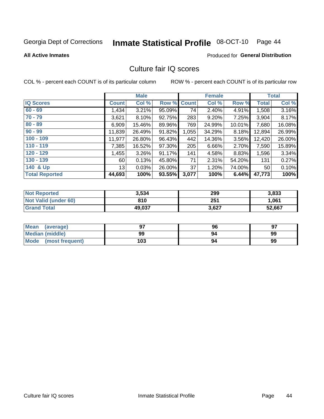# Inmate Statistical Profile 08-OCT-10 Page 44

#### **All Active Inmates**

#### Produced for General Distribution

### Culture fair IQ scores

COL % - percent each COUNT is of its particular column

|                       |              | <b>Male</b> |             |       | <b>Female</b> |        |              | <b>Total</b> |
|-----------------------|--------------|-------------|-------------|-------|---------------|--------|--------------|--------------|
| <b>IQ Scores</b>      | <b>Count</b> | Col %       | Row % Count |       | Col %         | Row %  | <b>Total</b> | Col %        |
| $60 - 69$             | ,434         | 3.21%       | 95.09%      | 74    | 2.40%         | 4.91%  | 1,508        | 3.16%        |
| $70 - 79$             | 3,621        | 8.10%       | 92.75%      | 283   | 9.20%         | 7.25%  | 3,904        | 8.17%        |
| $80 - 89$             | 6,909        | 15.46%      | 89.96%      | 769   | 24.99%        | 10.01% | 7,680        | 16.08%       |
| $90 - 99$             | 11,839       | 26.49%      | 91.82%      | 1,055 | 34.29%        | 8.18%  | 12,894       | 26.99%       |
| $100 - 109$           | 11,977       | 26.80%      | 96.43%      | 442   | 14.36%        | 3.56%  | 12,420       | 26.00%       |
| $110 - 119$           | 7,385        | 16.52%      | 97.30%      | 205   | 6.66%         | 2.70%  | 7,590        | 15.89%       |
| $120 - 129$           | ,455         | 3.26%       | 91.17%      | 141   | 4.58%         | 8.83%  | 1,596        | 3.34%        |
| $130 - 139$           | 60           | 0.13%       | 45.80%      | 71    | 2.31%         | 54.20% | 131          | 0.27%        |
| 140 & Up              | 13           | 0.03%       | 26.00%      | 37    | 1.20%         | 74.00% | 50           | 0.10%        |
| <b>Total Reported</b> | 44,693       | 100%        | 93.55%      | 3,077 | 100%          | 6.44%  | 47,773       | 100%         |

| <b>Not Reported</b>         | 3,534  | 299   | 3,833  |
|-----------------------------|--------|-------|--------|
| <b>Not Valid (under 60)</b> | 810    | 251   | 1,061  |
| <b>Grand Total</b>          | 49,037 | 3,627 | 52,667 |

| Mean<br>(average)              | כם  | 96 | 97 |
|--------------------------------|-----|----|----|
| Median (middle)                | 99  | 94 | 99 |
| <b>Mode</b><br>(most frequent) | 103 | 94 | 99 |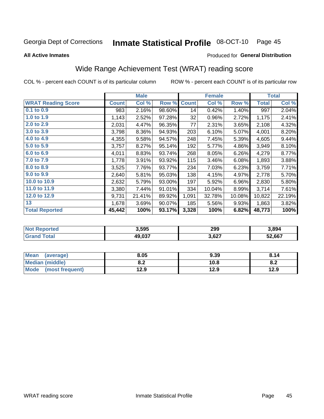#### Inmate Statistical Profile 08-OCT-10 Page 45

#### **All Active Inmates**

#### Produced for General Distribution

## Wide Range Achievement Test (WRAT) reading score

COL % - percent each COUNT is of its particular column

|                           |              | <b>Male</b> |        |              | <b>Female</b> |        |              | <b>Total</b> |
|---------------------------|--------------|-------------|--------|--------------|---------------|--------|--------------|--------------|
| <b>WRAT Reading Score</b> | <b>Count</b> | Col %       | Row %  | <b>Count</b> | Col %         | Row %  | <b>Total</b> | Col %        |
| 0.1 to 0.9                | 983          | 2.16%       | 98.60% | 14           | 0.42%         | 1.40%  | 997          | 2.04%        |
| 1.0 to 1.9                | 1,143        | 2.52%       | 97.28% | 32           | 0.96%         | 2.72%  | 1,175        | 2.41%        |
| 2.0 to 2.9                | 2,031        | 4.47%       | 96.35% | 77           | 2.31%         | 3.65%  | 2,108        | 4.32%        |
| 3.0 to 3.9                | 3,798        | 8.36%       | 94.93% | 203          | 6.10%         | 5.07%  | 4,001        | 8.20%        |
| 4.0 to 4.9                | 4,355        | 9.58%       | 94.57% | 248          | 7.45%         | 5.39%  | 4,605        | 9.44%        |
| 5.0 to 5.9                | 3,757        | 8.27%       | 95.14% | 192          | 5.77%         | 4.86%  | 3,949        | 8.10%        |
| 6.0 to 6.9                | 4,011        | 8.83%       | 93.74% | 268          | 8.05%         | 6.26%  | 4,279        | 8.77%        |
| 7.0 to 7.9                | 1,778        | 3.91%       | 93.92% | 115          | 3.46%         | 6.08%  | 1,893        | 3.88%        |
| 8.0 to 8.9                | 3,525        | 7.76%       | 93.77% | 234          | 7.03%         | 6.23%  | 3,759        | 7.71%        |
| 9.0 to 9.9                | 2,640        | 5.81%       | 95.03% | 138          | 4.15%         | 4.97%  | 2,778        | 5.70%        |
| 10.0 to 10.9              | 2,632        | 5.79%       | 93.00% | 197          | 5.92%         | 6.96%  | 2,830        | 5.80%        |
| 11.0 to 11.9              | 3,380        | 7.44%       | 91.01% | 334          | 10.04%        | 8.99%  | 3,714        | 7.61%        |
| 12.0 to 12.9              | 9,731        | 21.41%      | 89.92% | 1,091        | 32.78%        | 10.08% | 10,822       | 22.19%       |
| 13                        | 1,678        | 3.69%       | 90.07% | 185          | 5.56%         | 9.93%  | 1,863        | 3.82%        |
| <b>Total Reported</b>     | 45,442       | 100%        | 93.17% | 3,328        | 100%          | 6.82%  | 48,773       | 100%         |

| -тес<br>NO | 3,595  | 299   | 3,894  |
|------------|--------|-------|--------|
| $\sim$ 10  | 49,037 | 3,627 | 52,667 |

| <b>Mean</b><br>(average)       | 8.05       | 9.39 | 8.14 |
|--------------------------------|------------|------|------|
| <b>Median (middle)</b>         | י ה<br>0.Z | 10.8 | o.z  |
| <b>Mode</b><br>(most frequent) | 12.9       | 12.9 | 12.9 |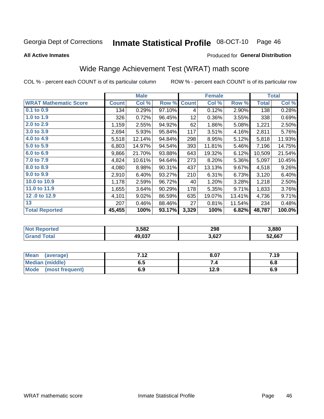#### Inmate Statistical Profile 08-OCT-10 Page 46

**All Active Inmates** 

#### Produced for General Distribution

## Wide Range Achievement Test (WRAT) math score

COL % - percent each COUNT is of its particular column

|                              |              | <b>Male</b> |        |              | <b>Female</b> |        |              | <b>Total</b> |
|------------------------------|--------------|-------------|--------|--------------|---------------|--------|--------------|--------------|
| <b>WRAT Mathematic Score</b> | <b>Count</b> | Col %       | Row %  | <b>Count</b> | Col %         | Row %  | <b>Total</b> | Col %        |
| 0.1 to 0.9                   | 134          | 0.29%       | 97.10% | 4            | 0.12%         | 2.90%  | 138          | 0.28%        |
| 1.0 to 1.9                   | 326          | 0.72%       | 96.45% | 12           | 0.36%         | 3.55%  | 338          | 0.69%        |
| 2.0 to 2.9                   | 1,159        | 2.55%       | 94.92% | 62           | 1.86%         | 5.08%  | 1,221        | 2.50%        |
| 3.0 to 3.9                   | 2,694        | 5.93%       | 95.84% | 117          | 3.51%         | 4.16%  | 2,811        | 5.76%        |
| 4.0 to 4.9                   | 5,518        | 12.14%      | 94.84% | 298          | 8.95%         | 5.12%  | 5,818        | 11.93%       |
| 5.0 to 5.9                   | 6,803        | 14.97%      | 94.54% | 393          | 11.81%        | 5.46%  | 7,196        | 14.75%       |
| 6.0 to 6.9                   | 9,866        | 21.70%      | 93.88% | 643          | 19.32%        | 6.12%  | 10,509       | 21.54%       |
| 7.0 to 7.9                   | 4,824        | 10.61%      | 94.64% | 273          | 8.20%         | 5.36%  | 5,097        | 10.45%       |
| 8.0 to 8.9                   | 4,080        | 8.98%       | 90.31% | 437          | 13.13%        | 9.67%  | 4,518        | 9.26%        |
| 9.0 to 9.9                   | 2,910        | 6.40%       | 93.27% | 210          | 6.31%         | 6.73%  | 3,120        | 6.40%        |
| 10.0 to 10.9                 | 1,178        | 2.59%       | 96.72% | 40           | 1.20%         | 3.28%  | 1,218        | 2.50%        |
| 11.0 to 11.9                 | 1,655        | 3.64%       | 90.29% | 178          | 5.35%         | 9.71%  | 1,833        | 3.76%        |
| 12.0 to 12.9                 | 4,101        | 9.02%       | 86.59% | 635          | 19.07%        | 13.41% | 4,736        | 9.71%        |
| 13                           | 207          | 0.46%       | 88.46% | 27           | 0.81%         | 11.54% | 234          | 0.48%        |
| <b>Total Reported</b>        | 45,455       | 100%        | 93.17% | 3,329        | 100%          | 6.82%  | 48,787       | 100.0%       |

| Reported<br>NOT H | 3,582  | 298   | 3,880  |
|-------------------|--------|-------|--------|
| Гоtal<br>'Grano   | 49,037 | 3,627 | 52,667 |

| <b>Mean</b><br>(average)       | 712<br>. | 8.07 | 7.19 |
|--------------------------------|----------|------|------|
| <b>Median (middle)</b>         | כ.ס      |      | o.o  |
| <b>Mode</b><br>(most frequent) | 6.9      | 12.9 | 6.9  |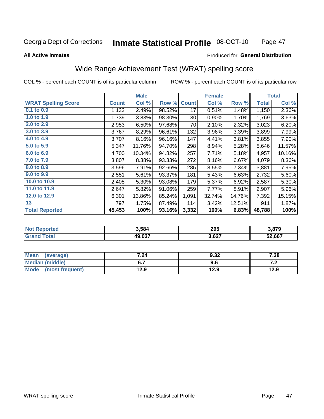#### Inmate Statistical Profile 08-OCT-10 Page 47

**All Active Inmates** 

#### Produced for General Distribution

## Wide Range Achievement Test (WRAT) spelling score

COL % - percent each COUNT is of its particular column

|                            |              | <b>Male</b> |        |              | <b>Female</b> |        |              | <b>Total</b> |
|----------------------------|--------------|-------------|--------|--------------|---------------|--------|--------------|--------------|
| <b>WRAT Spelling Score</b> | <b>Count</b> | Col %       | Row %  | <b>Count</b> | Col %         | Row %  | <b>Total</b> | Col %        |
| $0.1$ to $0.9$             | 1,133        | 2.49%       | 98.52% | 17           | 0.51%         | 1.48%  | 1,150        | 2.36%        |
| 1.0 to 1.9                 | 1,739        | 3.83%       | 98.30% | 30           | 0.90%         | 1.70%  | 1,769        | 3.63%        |
| 2.0 to 2.9                 | 2,953        | 6.50%       | 97.68% | 70           | 2.10%         | 2.32%  | 3,023        | 6.20%        |
| 3.0 to 3.9                 | 3,767        | 8.29%       | 96.61% | 132          | 3.96%         | 3.39%  | 3,899        | 7.99%        |
| 4.0 to 4.9                 | 3,707        | 8.16%       | 96.16% | 147          | 4.41%         | 3.81%  | 3,855        | 7.90%        |
| 5.0 to 5.9                 | 5,347        | 11.76%      | 94.70% | 298          | 8.94%         | 5.28%  | 5,646        | 11.57%       |
| 6.0 to 6.9                 | 4,700        | 10.34%      | 94.82% | 257          | 7.71%         | 5.18%  | 4,957        | 10.16%       |
| 7.0 to 7.9                 | 3,807        | 8.38%       | 93.33% | 272          | 8.16%         | 6.67%  | 4,079        | 8.36%        |
| 8.0 to 8.9                 | 3,596        | 7.91%       | 92.66% | 285          | 8.55%         | 7.34%  | 3,881        | 7.95%        |
| 9.0 to 9.9                 | 2,551        | 5.61%       | 93.37% | 181          | 5.43%         | 6.63%  | 2,732        | 5.60%        |
| 10.0 to 10.9               | 2,408        | 5.30%       | 93.08% | 179          | 5.37%         | 6.92%  | 2,587        | 5.30%        |
| 11.0 to 11.9               | 2,647        | 5.82%       | 91.06% | 259          | 7.77%         | 8.91%  | 2,907        | 5.96%        |
| 12.0 to 12.9               | 6,301        | 13.86%      | 85.24% | 1,091        | 32.74%        | 14.76% | 7,392        | 15.15%       |
| 13                         | 797          | 1.75%       | 87.49% | 114          | 3.42%         | 12.51% | 911          | 1.87%        |
| <b>Total Reported</b>      | 45,453       | 100%        | 93.16% | 3,332        | 100%          | 6.83%  | 48,788       | 100%         |

| -тес<br>NO | 3.584  | 295   | 2 R7Q<br>ว.o / ฮ |
|------------|--------|-------|------------------|
| $\sim$ 10  | 49,037 | 3,627 | 52,667           |

| <b>Mean</b><br>(average) | 7.24 | 9.32 | 7.38  |
|--------------------------|------|------|-------|
| Median (middle)          |      | 9.6  | . . Z |
| Mode<br>(most frequent)  | 12.9 | 12.9 | 12.9  |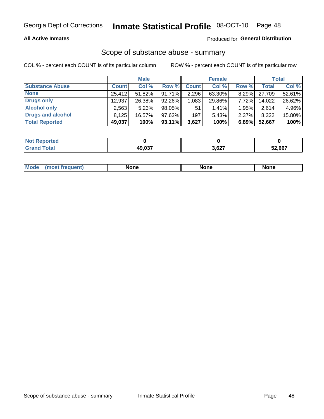#### **All Active Inmates**

### **Produced for General Distribution**

# Scope of substance abuse - summary

COL % - percent each COUNT is of its particular column

|                        |              | <b>Male</b> |           |              | <b>Female</b> |          |        | <b>Total</b> |
|------------------------|--------------|-------------|-----------|--------------|---------------|----------|--------|--------------|
| <b>Substance Abuse</b> | <b>Count</b> | Col %       | Row %     | <b>Count</b> | Col %         | Row %    | Total  | Col %        |
| <b>None</b>            | 25.412       | 51.82%      | 91.71%    | 2,296        | 63.30%        | 8.29%    | 27.709 | 52.61%       |
| Drugs only             | 12,937       | 26.38%      | $92.26\%$ | 1.0831       | 29.86%        | 7.72%    | 14,022 | 26.62%       |
| <b>Alcohol only</b>    | 2,563        | 5.23%       | 98.05%    | 51           | $1.41\%$      | 1.95%    | 2,614  | 4.96%        |
| Drugs and alcohol      | 8.125        | $16.57\%$   | 97.63%    | 197          | 5.43%         | $2.37\%$ | 8,322  | 15.80%       |
| <b>Total Reported</b>  | 49,037       | 100%        | $93.11\%$ | 3,627        | 100%          | 6.89%    | 52,667 | 100%         |

| <b>Not</b><br>Reported |        |       |        |
|------------------------|--------|-------|--------|
| <b>Grand Total</b>     | 10 N27 | 3,627 | 52,667 |

|  | Mode<br>auenu | None | None | None |
|--|---------------|------|------|------|
|--|---------------|------|------|------|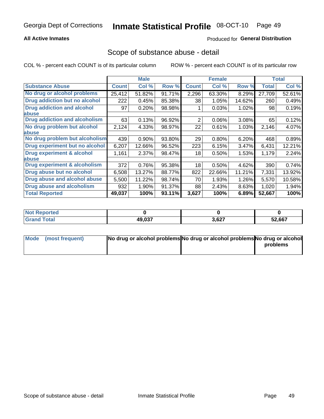#### **All Active Inmates**

### **Produced for General Distribution**

### Scope of substance abuse - detail

COL % - percent each COUNT is of its particular column

|                                      |              | <b>Male</b> |        |              | <b>Female</b> |        |              | <b>Total</b> |
|--------------------------------------|--------------|-------------|--------|--------------|---------------|--------|--------------|--------------|
| <b>Substance Abuse</b>               | <b>Count</b> | Col %       | Row %  | <b>Count</b> | Col %         | Row %  | <b>Total</b> | Col %        |
| No drug or alcohol problems          | 25,412       | 51.82%      | 91.71% | 2,296        | 63.30%        | 8.29%  | 27,709       | 52.61%       |
| Drug addiction but no alcohol        | 222          | 0.45%       | 85.38% | 38           | 1.05%         | 14.62% | 260          | 0.49%        |
| <b>Drug addiction and alcohol</b>    | 97           | 0.20%       | 98.98% |              | 0.03%         | 1.02%  | 98           | 0.19%        |
| <b>labuse</b>                        |              |             |        |              |               |        |              |              |
| <b>Drug addiction and alcoholism</b> | 63           | 0.13%       | 96.92% | 2            | 0.06%         | 3.08%  | 65           | 0.12%        |
| No drug problem but alcohol          | 2,124        | 4.33%       | 98.97% | 22           | 0.61%         | 1.03%  | 2,146        | 4.07%        |
| <b>labuse</b>                        |              |             |        |              |               |        |              |              |
| No drug problem but alcoholism       | 439          | 0.90%       | 93.80% | 29           | 0.80%         | 6.20%  | 468          | 0.89%        |
| Drug experiment but no alcohol       | 6,207        | 12.66%      | 96.52% | 223          | 6.15%         | 3.47%  | 6,431        | 12.21%       |
| <b>Drug experiment &amp; alcohol</b> | 1,161        | 2.37%       | 98.47% | 18           | $0.50\%$      | 1.53%  | 1,179        | 2.24%        |
| <b>labuse</b>                        |              |             |        |              |               |        |              |              |
| Drug experiment & alcoholism         | 372          | 0.76%       | 95.38% | 18           | 0.50%         | 4.62%  | 390          | 0.74%        |
| Drug abuse but no alcohol            | 6,508        | 13.27%      | 88.77% | 822          | 22.66%        | 11.21% | 7,331        | 13.92%       |
| Drug abuse and alcohol abuse         | 5,500        | 11.22%      | 98.74% | 70           | 1.93%         | 1.26%  | 5,570        | 10.58%       |
| <b>Drug abuse and alcoholism</b>     | 932          | 1.90%       | 91.37% | 88           | 2.43%         | 8.63%  | 1,020        | 1.94%        |
| <b>Total Reported</b>                | 49,037       | 100%        | 93.11% | 3,627        | 100%          | 6.89%  | 52,667       | 100%         |

| orted<br>NOT |        |       |        |
|--------------|--------|-------|--------|
| <b>otal</b>  | 49,037 | 3,627 | 52,667 |

| Mode (most frequent) | No drug or alcohol problems No drug or alcohol problems No drug or alcohol |          |
|----------------------|----------------------------------------------------------------------------|----------|
|                      |                                                                            | problems |
|                      |                                                                            |          |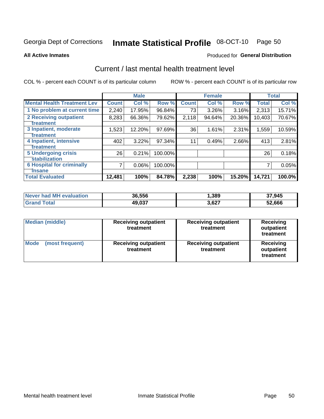# Inmate Statistical Profile 08-OCT-10 Page 50

**All Active Inmates** 

#### Produced for General Distribution

## Current / last mental health treatment level

COL % - percent each COUNT is of its particular column

|                                    |              | <b>Male</b> |         |              | <b>Female</b> |        |        | <b>Total</b> |
|------------------------------------|--------------|-------------|---------|--------------|---------------|--------|--------|--------------|
| <b>Mental Health Treatment Lev</b> | <b>Count</b> | Col %       | Row %   | <b>Count</b> | Col %         | Row %  | Total  | Col %        |
| 1 No problem at current time       | 2,240        | 17.95%      | 96.84%  | 73           | 3.26%         | 3.16%  | 2,313  | 15.71%       |
| 2 Receiving outpatient             | 8,283        | 66.36%      | 79.62%  | 2,118        | 94.64%        | 20.36% | 10,403 | 70.67%       |
| <b>Treatment</b>                   |              |             |         |              |               |        |        |              |
| 3 Inpatient, moderate              | 1,523        | 12.20%      | 97.69%  | 36           | 1.61%         | 2.31%  | 1,559  | 10.59%       |
| Treatment                          |              |             |         |              |               |        |        |              |
| 4 Inpatient, intensive             | 402          | 3.22%       | 97.34%  | 11           | 0.49%         | 2.66%  | 413    | 2.81%        |
| <b>Treatment</b>                   |              |             |         |              |               |        |        |              |
| <b>5 Undergoing crisis</b>         | 26           | 0.21%       | 100.00% |              |               |        | 26     | 0.18%        |
| <b>stabilization</b>               |              |             |         |              |               |        |        |              |
| <b>6 Hospital for criminally</b>   |              | $0.06\%$    | 100.00% |              |               |        |        | 0.05%        |
| <b>Tinsane</b>                     |              |             |         |              |               |        |        |              |
| <b>Total Evaluated</b>             | 12,481       | 100%        | 84.78%  | 2,238        | 100%          | 15.20% | 14,721 | 100.0%       |

| Never had MH evaluation | 36,556 | 1,389 | 37,945 |
|-------------------------|--------|-------|--------|
| Total<br>Grand          | 49,037 | 3,627 | 52,666 |

| <b>Median (middle)</b>         | <b>Receiving outpatient</b><br>treatment | <b>Receiving outpatient</b><br>treatment | <b>Receiving</b><br>outpatient<br>treatment |
|--------------------------------|------------------------------------------|------------------------------------------|---------------------------------------------|
| <b>Mode</b><br>(most frequent) | <b>Receiving outpatient</b><br>treatment | <b>Receiving outpatient</b><br>treatment | Receiving<br>outpatient<br>treatment        |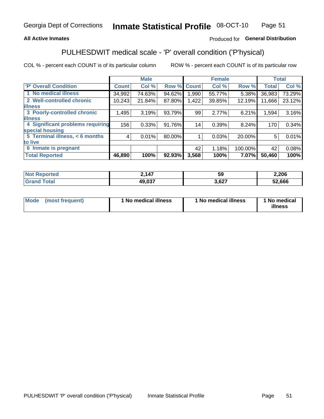#### **All Active Inmates**

### Produced for General Distribution

## PULHESDWIT medical scale - 'P' overall condition ('P'hysical)

COL % - percent each COUNT is of its particular column

|                                  |              | <b>Male</b> |        |              | <b>Female</b> |         |              | <b>Total</b> |
|----------------------------------|--------------|-------------|--------|--------------|---------------|---------|--------------|--------------|
| 'P' Overall Condition            | <b>Count</b> | Col %       | Row %  | <b>Count</b> | Col %         | Row %   | <b>Total</b> | Col %        |
| 1 No medical illness             | 34,992       | 74.63%      | 94.62% | 1.990        | 55.77%        | 5.38%   | 36,983       | 73.29%       |
| 2 Well-controlled chronic        | 10,243       | 21.84%      | 87.80% | 1,422        | 39.85%        | 12.19%  | 11,666       | 23.12%       |
| <b>lillness</b>                  |              |             |        |              |               |         |              |              |
| 3 Poorly-controlled chronic      | 1,495        | 3.19%       | 93.79% | 99           | 2.77%         | 6.21%   | 1,594        | 3.16%        |
| <b>illness</b>                   |              |             |        |              |               |         |              |              |
| 4 Significant problems requiring | 156          | 0.33%       | 91.76% | 14           | 0.39%         | 8.24%   | 170          | 0.34%        |
| special housing                  |              |             |        |              |               |         |              |              |
| 5 Terminal illness, < 6 months   | 4            | 0.01%       | 80.00% |              | 0.03%         | 20.00%  | 5            | 0.01%        |
| to live                          |              |             |        |              |               |         |              |              |
| 6 Inmate is pregnant             |              |             |        | 42           | 1.18%         | 100.00% | 42           | 0.08%        |
| <b>Total Reported</b>            | 46,890       | 100%        | 92.93% | 3,568        | 100%          | 7.07%   | 50,460       | 100%         |

| тео | 147<br>$\blacksquare$<br>. | ~<br>vũ        | 2,206  |
|-----|----------------------------|----------------|--------|
|     | ,, 007                     | $\sim$<br>$ -$ | 52,666 |

| Mode<br>(most frequent) |  | <sup>1</sup> No medical illness | 1 No medical illness | 1 No medical<br>illness |
|-------------------------|--|---------------------------------|----------------------|-------------------------|
|-------------------------|--|---------------------------------|----------------------|-------------------------|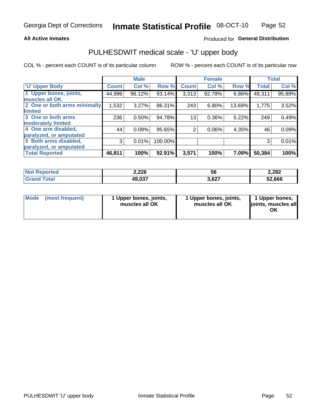#### **All Active Inmates**

### Produced for General Distribution

# PULHESDWIT medical scale - 'U' upper body

COL % - percent each COUNT is of its particular column

|                              |              | <b>Male</b> |         |                | <b>Female</b> |        |              | <b>Total</b> |
|------------------------------|--------------|-------------|---------|----------------|---------------|--------|--------------|--------------|
| <b>U' Upper Body</b>         | <b>Count</b> | Col %       | Row %   | <b>Count</b>   | Col %         | Row %  | <b>Total</b> | Col %        |
| 1 Upper bones, joints,       | 44,996       | 96.12%      | 93.14%  | 3,313          | 92.78%        | 6.86%  | 48,311       | 95.89%       |
| muscles all OK               |              |             |         |                |               |        |              |              |
| 2 One or both arms minimally | 1,532        | 3.27%       | 86.31%  | 243            | 6.80%         | 13.69% | 1,775        | 3.52%        |
| limited                      |              |             |         |                |               |        |              |              |
| 3 One or both arms           | 236          | 0.50%       | 94.78%  | 13             | 0.36%         | 5.22%  | 249          | 0.49%        |
| <b>moderately limited</b>    |              |             |         |                |               |        |              |              |
| 4 One arm disabled,          | 44           | 0.09%       | 95.65%  | $\overline{2}$ | 0.06%         | 4.35%  | 46           | 0.09%        |
| paralyzed, or amputated      |              |             |         |                |               |        |              |              |
| 5 Both arms disabled,        | 3            | 0.01%       | 100.00% |                |               |        | 3            | 0.01%        |
| paralyzed, or amputated      |              |             |         |                |               |        |              |              |
| <b>Total Reported</b>        | 46,811       | 100%        | 92.91%  | 3,571          | 100%          | 7.09%  | 50,384       | 100%         |

| <b>Not Reported</b> | 2,226  | 56    | 2,282  |
|---------------------|--------|-------|--------|
| <b>Grand Total</b>  | 49,037 | 3,627 | 52,666 |

| Mode (most frequent) | 1 Upper bones, joints,<br>muscles all OK | 1 Upper bones, joints,<br>muscles all OK | 1 Upper bones,<br>joints, muscles all<br>ΟK |
|----------------------|------------------------------------------|------------------------------------------|---------------------------------------------|
|----------------------|------------------------------------------|------------------------------------------|---------------------------------------------|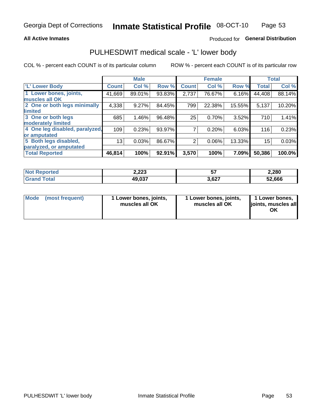#### **All Active Inmates**

### Produced for General Distribution

### PULHESDWIT medical scale - 'L' lower body

COL % - percent each COUNT is of its particular column

|                                |              | <b>Male</b> |        |              | <b>Female</b> |        |              | <b>Total</b> |
|--------------------------------|--------------|-------------|--------|--------------|---------------|--------|--------------|--------------|
| 'L' Lower Body                 | <b>Count</b> | Col %       | Row %  | <b>Count</b> | Col %         | Row %  | <b>Total</b> | Col %        |
| 1 Lower bones, joints,         | 41,669       | 89.01%      | 93.83% | 2,737        | 76.67%        | 6.16%  | 44,408       | 88.14%       |
| muscles all OK                 |              |             |        |              |               |        |              |              |
| 2 One or both legs minimally   | 4,338        | 9.27%       | 84.45% | 799          | 22.38%        | 15.55% | 5,137        | 10.20%       |
| limited                        |              |             |        |              |               |        |              |              |
| 3 One or both legs             | 685          | 1.46%       | 96.48% | 25           | 0.70%         | 3.52%  | 710          | 1.41%        |
| moderately limited             |              |             |        |              |               |        |              |              |
| 4 One leg disabled, paralyzed, | 109          | 0.23%       | 93.97% |              | 0.20%         | 6.03%  | 116          | 0.23%        |
| or amputated                   |              |             |        |              |               |        |              |              |
| 5 Both legs disabled,          | 13           | 0.03%       | 86.67% | 2            | 0.06%         | 13.33% | 15           | 0.03%        |
| paralyzed, or amputated        |              |             |        |              |               |        |              |              |
| <b>Total Reported</b>          | 46,814       | 100%        | 92.91% | 3,570        | 100%          | 7.09%  | 50,386       | 100.0%       |

| <b>Not Reported</b>   | 2,223  | --    | 2,280  |
|-----------------------|--------|-------|--------|
| <b>Total</b><br>Grand | 49,037 | 3,627 | 52,666 |

|  | Mode (most frequent) | 1 Lower bones, joints,<br>muscles all OK | 1 Lower bones, joints,<br>muscles all OK | 1 Lower bones,<br>joints, muscles all<br>ΟK |
|--|----------------------|------------------------------------------|------------------------------------------|---------------------------------------------|
|--|----------------------|------------------------------------------|------------------------------------------|---------------------------------------------|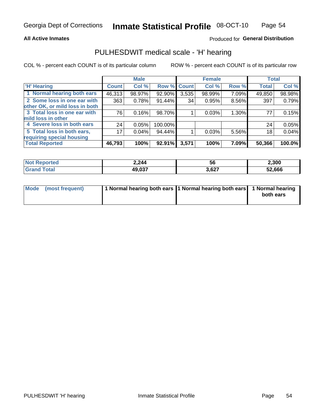#### **All Active Inmates**

### Produced for General Distribution

### PULHESDWIT medical scale - 'H' hearing

COL % - percent each COUNT is of its particular column

|                                |              | <b>Male</b> |             |       | <b>Female</b> |       | <b>Total</b> |        |
|--------------------------------|--------------|-------------|-------------|-------|---------------|-------|--------------|--------|
| <b>'H' Hearing</b>             | <b>Count</b> | Col %       | Row % Count |       | Col %         | Row % | <b>Total</b> | Col %  |
| 1 Normal hearing both ears     | 46,313       | 98.97%      | 92.90%      | 3,535 | 98.99%        | 7.09% | 49,850       | 98.98% |
| 2 Some loss in one ear with    | 363          | 0.78%       | 91.44%      | 34    | 0.95%         | 8.56% | 397          | 0.79%  |
| other OK, or mild loss in both |              |             |             |       |               |       |              |        |
| 3 Total loss in one ear with   | 76           | 0.16%       | 98.70%      |       | 0.03%         | 1.30% | 77           | 0.15%  |
| mild loss in other             |              |             |             |       |               |       |              |        |
| 4 Severe loss in both ears     | 24           | 0.05%       | 100.00%     |       |               |       | 24           | 0.05%  |
| 5 Total loss in both ears,     | 17           | 0.04%       | 94.44%      |       | 0.03%         | 5.56% | 18           | 0.04%  |
| requiring special housing      |              |             |             |       |               |       |              |        |
| <b>Total Reported</b>          | 46,793       | 100%        | 92.91%      | 3,571 | 100%          | 7.09% | 50,366       | 100.0% |

| <b>Not Reno</b><br><sub>ੋ</sub> oorted | 2,244          | 56    | 2,300  |
|----------------------------------------|----------------|-------|--------|
| Total                                  | 49 037<br>ט.טו | 3,627 | 52,666 |

| Mode (most frequent) | 1 Normal hearing both ears 1 Normal hearing both ears 1 Normal hearing |           |
|----------------------|------------------------------------------------------------------------|-----------|
|                      |                                                                        | both ears |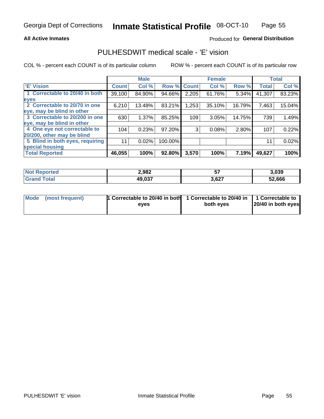#### **All Active Inmates**

### Produced for General Distribution

### PULHESDWIT medical scale - 'E' vision

COL % - percent each COUNT is of its particular column

|                                 |              | <b>Male</b> |         |              | <b>Female</b> |        |              | <b>Total</b> |
|---------------------------------|--------------|-------------|---------|--------------|---------------|--------|--------------|--------------|
| <b>E' Vision</b>                | <b>Count</b> | Col %       | Row %   | <b>Count</b> | Col %         | Row %  | <b>Total</b> | Col %        |
| 1 Correctable to 20/40 in both  | 39,100       | 84.90%      | 94.66%  | 2,205        | 61.76%        | 5.34%  | 41,307       | 83.23%       |
| eyes                            |              |             |         |              |               |        |              |              |
| 2 Correctable to 20/70 in one   | 6,210        | 13.48%      | 83.21%  | 1,253        | 35.10%        | 16.79% | 7,463        | 15.04%       |
| eye, may be blind in other      |              |             |         |              |               |        |              |              |
| 3 Correctable to 20/200 in one  | 630          | 1.37%       | 85.25%  | 109          | 3.05%         | 14.75% | 739          | 1.49%        |
| eye, may be blind in other      |              |             |         |              |               |        |              |              |
| 4 One eye not correctable to    | 104          | 0.23%       | 97.20%  | 3            | 0.08%         | 2.80%  | 107          | 0.22%        |
| 20/200, other may be blind      |              |             |         |              |               |        |              |              |
| 5 Blind in both eyes, requiring | 11           | 0.02%       | 100.00% |              |               |        | 11           | 0.02%        |
| special housing                 |              |             |         |              |               |        |              |              |
| <b>Total Reported</b>           | 46,055       | 100%        | 92.80%  | 3,570        | 100%          | 7.19%  | 49,627       | 100%         |

| <b>Not Reported</b> | 2,982  | --<br>J. | 3,039  |
|---------------------|--------|----------|--------|
| <b>Tota</b>         | 49,037 | 3,627    | 52,666 |

| Mode (most frequent) | 1 Correctable to 20/40 in both<br>eves | 1 Correctable to 20/40 in   1 Correctable to  <br>both eves | 20/40 in both eyes |
|----------------------|----------------------------------------|-------------------------------------------------------------|--------------------|
|                      |                                        |                                                             |                    |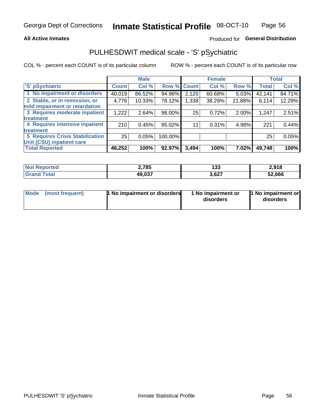#### **All Active Inmates**

### Produced for General Distribution

## PULHESDWIT medical scale - 'S' pSychiatric

COL % - percent each COUNT is of its particular column

|                                        |              | <b>Male</b> |         |                    | <b>Female</b> |        |              | <b>Total</b> |
|----------------------------------------|--------------|-------------|---------|--------------------|---------------|--------|--------------|--------------|
| 'S' pSychiatric                        | <b>Count</b> | Col %       |         | <b>Row % Count</b> | Col %         | Row %  | <b>Total</b> | Col %        |
| 1 No impairment or disorders           | 40,019       | 86.52%      | 94.96%  | 2,120              | 60.68%        | 5.03%  | 42,141       | 84.71%       |
| 2 Stable, or in remission, or          | 4,776        | 10.33%      | 78.12%  | 1,338              | 38.29%        | 21.88% | 6,114        | 12.29%       |
| mild impairment or retardation         |              |             |         |                    |               |        |              |              |
| 3 Requires moderate inpatient          | 1,222        | 2.64%       | 98.00%  | 25                 | 0.72%         | 2.00%  | 1,247        | 2.51%        |
| treatment                              |              |             |         |                    |               |        |              |              |
| 4 Requires intensive inpatient         | 210          | 0.45%       | 95.02%  | 11                 | 0.31%         | 4.98%  | 221          | 0.44%        |
| treatment                              |              |             |         |                    |               |        |              |              |
| <b>5 Requires Crisis Stabilization</b> | 25           | 0.05%       | 100.00% |                    |               |        | 25           | 0.05%        |
| Unit (CSU) inpatient care              |              |             |         |                    |               |        |              |              |
| <b>Total Reported</b>                  | 46,252       | 100%        | 92.97%  | 3,494              | 100%          | 7.02%  | 49,748       | 100%         |

| <b>Not Reported</b>     | 2,785  | 133   | 2,918  |
|-------------------------|--------|-------|--------|
| <b>Total</b><br>' Grand | 49,037 | 3,627 | 52,666 |

| Mode | (most frequent) | 1 No impairment or disorders | 1 No impairment or<br>disorders | 11 No impairment or<br>disorders |
|------|-----------------|------------------------------|---------------------------------|----------------------------------|
|------|-----------------|------------------------------|---------------------------------|----------------------------------|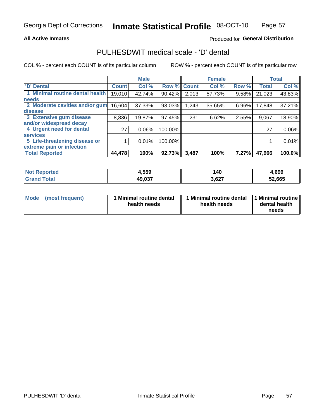#### **All Active Inmates**

### Produced for General Distribution

## PULHESDWIT medical scale - 'D' dental

COL % - percent each COUNT is of its particular column

|                                 |              | <b>Male</b> |         |              | <b>Female</b> |       |              | <b>Total</b> |
|---------------------------------|--------------|-------------|---------|--------------|---------------|-------|--------------|--------------|
| 'D' Dental                      | <b>Count</b> | Col %       | Row %   | <b>Count</b> | Col %         | Row % | <b>Total</b> | Col %        |
| 1 Minimal routine dental health | 19,010       | 42.74%      | 90.42%  | 2,013        | 57.73%        | 9.58% | 21,023       | 43.83%       |
| <b>needs</b>                    |              |             |         |              |               |       |              |              |
| 2 Moderate cavities and/or gum  | 16,604       | 37.33%      | 93.03%  | 1,243        | 35.65%        | 6.96% | 17,848       | 37.21%       |
| disease                         |              |             |         |              |               |       |              |              |
| 3 Extensive gum disease         | 8,836        | 19.87%      | 97.45%  | 231          | 6.62%         | 2.55% | 9,067        | 18.90%       |
| and/or widespread decay         |              |             |         |              |               |       |              |              |
| 4 Urgent need for dental        | 27           | $0.06\%$    | 100.00% |              |               |       | 27           | 0.06%        |
| <b>services</b>                 |              |             |         |              |               |       |              |              |
| 5 Life-threatening disease or   |              | 0.01%       | 100.00% |              |               |       |              | 0.01%        |
| extreme pain or infection       |              |             |         |              |               |       |              |              |
| <b>Total Reported</b>           | 44,478       | 100%        | 92.73%  | 3,487        | 100%          | 7.27% | 47,966       | 100.0%       |

| <b>Not Reported</b> | 4,559  | 140   | 4,699  |
|---------------------|--------|-------|--------|
| Гоtа                | 49,037 | 3,627 | 52,665 |

| 1 Minimal routine dental<br>Mode<br>(most frequent)<br>health needs | 1 Minimal routine dental 1 Minimal routine<br>health needs | dental health<br>needs |
|---------------------------------------------------------------------|------------------------------------------------------------|------------------------|
|---------------------------------------------------------------------|------------------------------------------------------------|------------------------|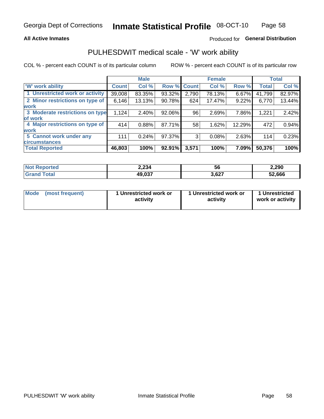#### **All Active Inmates**

### Produced for General Distribution

### PULHESDWIT medical scale - 'W' work ability

COL % - percent each COUNT is of its particular column

|                                 |              | <b>Male</b> |        |              | <b>Female</b> |        |              | <b>Total</b> |
|---------------------------------|--------------|-------------|--------|--------------|---------------|--------|--------------|--------------|
| <b>W' work ability</b>          | <b>Count</b> | Col %       | Row %  | <b>Count</b> | Col %         | Row %  | <b>Total</b> | Col %        |
| 1 Unrestricted work or activity | 39,008       | 83.35%      | 93.32% | 2,790        | 78.13%        | 6.67%  | 41,799       | 82.97%       |
| 2 Minor restrictions on type of | 6,146        | 13.13%      | 90.78% | 624          | 17.47%        | 9.22%  | 6,770        | 13.44%       |
| <b>work</b>                     |              |             |        |              |               |        |              |              |
| 3 Moderate restrictions on type | 1,124        | 2.40%       | 92.06% | 96           | 2.69%         | 7.86%  | 1,221        | 2.42%        |
| lof work                        |              |             |        |              |               |        |              |              |
| 4 Major restrictions on type of | 414          | 0.88%       | 87.71% | 58           | 1.62%         | 12.29% | 472          | 0.94%        |
| <b>work</b>                     |              |             |        |              |               |        |              |              |
| 5 Cannot work under any         | 111          | 0.24%       | 97.37% | 3            | 0.08%         | 2.63%  | 114          | 0.23%        |
| <b>circumstances</b>            |              |             |        |              |               |        |              |              |
| <b>Total Reported</b>           | 46,803       | 100%        | 92.91% | 3,571        | 100%          | 7.09%  | 50,376       | 100%         |

| <b>Not Reported</b>   | 2,234  | 56    | 2,290  |
|-----------------------|--------|-------|--------|
| Total<br><b>Grand</b> | 49,037 | 3,627 | 52,666 |

| Mode            | 1 Unrestricted work or | 1 Unrestricted work or | 1 Unrestricted   |
|-----------------|------------------------|------------------------|------------------|
| (most frequent) | activity               | activity               | work or activity |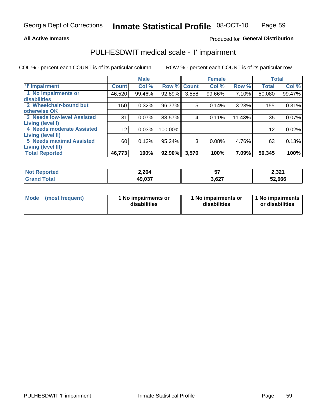#### **All Active Inmates**

#### Produced for General Distribution

## PULHESDWIT medical scale - 'I' impairment

COL % - percent each COUNT is of its particular column

|                                   |              | <b>Male</b> |             |       | <b>Female</b> |        | <b>Total</b> |        |
|-----------------------------------|--------------|-------------|-------------|-------|---------------|--------|--------------|--------|
| <b>T' Impairment</b>              | <b>Count</b> | Col %       | Row % Count |       | Col %         | Row %  | <b>Total</b> | Col %  |
| 1 No impairments or               | 46,520       | 99.46%      | 92.89%      | 3,558 | 99.66%        | 7.10%  | 50,080       | 99.47% |
| disabilities                      |              |             |             |       |               |        |              |        |
| 2 Wheelchair-bound but            | 150          | 0.32%       | 96.77%      | 5     | 0.14%         | 3.23%  | 155          | 0.31%  |
| otherwise OK                      |              |             |             |       |               |        |              |        |
| <b>3 Needs low-level Assisted</b> | 31           | 0.07%       | 88.57%      | 4     | 0.11%         | 11.43% | 35           | 0.07%  |
| Living (level I)                  |              |             |             |       |               |        |              |        |
| 4 Needs moderate Assisted         | 12           | 0.03%       | 100.00%     |       |               |        | 12           | 0.02%  |
| <b>Living (level II)</b>          |              |             |             |       |               |        |              |        |
| <b>5 Needs maximal Assisted</b>   | 60           | 0.13%       | 95.24%      | 3     | 0.08%         | 4.76%  | 63           | 0.13%  |
| <b>Living (level III)</b>         |              |             |             |       |               |        |              |        |
| <b>Total Reported</b>             | 46,773       | 100%        | 92.90%      | 3,570 | 100%          | 7.09%  | 50,345       | 100%   |

| $N$<br>Reported       | 2,264  | --    | 2,321  |
|-----------------------|--------|-------|--------|
| Total<br><b>Grand</b> | 49,037 | 3,627 | 52,666 |

| Mode            | 1 No impairments or | 1 No impairments or | 1 No impairments |
|-----------------|---------------------|---------------------|------------------|
| (most frequent) | disabilities        | disabilities        | or disabilities  |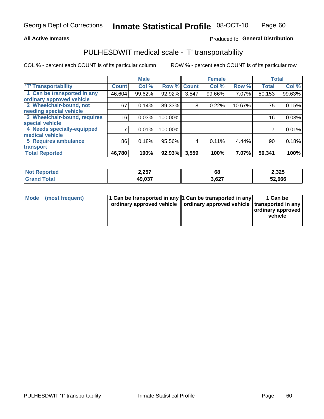#### **All Active Inmates**

### Produced fo General Distribution

## PULHESDWIT medical scale - 'T' transportability

COL % - percent each COUNT is of its particular column

|                              |              | <b>Male</b> |         |              | <b>Female</b> |        | <b>Total</b>        |        |
|------------------------------|--------------|-------------|---------|--------------|---------------|--------|---------------------|--------|
| <b>T' Transportability</b>   | <b>Count</b> | Col %       | Row %   | <b>Count</b> | Col %         | Row %  | <b>Total</b>        | Col %  |
| 1 Can be transported in any  | 46,604       | 99.62%      | 92.92%  | 3,547        | 99.66%        | 7.07%  | 50,153              | 99.63% |
| ordinary approved vehicle    |              |             |         |              |               |        |                     |        |
| 2 Wheelchair-bound, not      | 67           | 0.14%       | 89.33%  | 8            | 0.22%         | 10.67% | 75                  | 0.15%  |
| needing special vehicle      |              |             |         |              |               |        |                     |        |
| 3 Wheelchair-bound, requires | 16           | 0.03%       | 100.00% |              |               |        | 16                  | 0.03%  |
| special vehicle              |              |             |         |              |               |        |                     |        |
| 4 Needs specially-equipped   |              | 0.01%       | 100.00% |              |               |        |                     | 0.01%  |
| medical vehicle              |              |             |         |              |               |        |                     |        |
| <b>5 Requires ambulance</b>  | 86           | 0.18%       | 95.56%  | 4            | 0.11%         | 4.44%  | 90                  | 0.18%  |
| transport                    |              |             |         |              |               |        |                     |        |
| <b>Total Reported</b>        | 46,780       | 100%        | 92.93%  | 3,559        | 100%          | 7.07%  | $\overline{50,}341$ | 100%   |

| <b>eported</b> | 2,257  | rc<br>oo | 2,325  |
|----------------|--------|----------|--------|
| <b>ota</b>     | 49,037 | 3,627    | 52,666 |

|  | Mode (most frequent) | 1 Can be transported in any 1 Can be transported in any<br>ordinary approved vehicle   ordinary approved vehicle   transported in any |  | 1 Can be<br>  ordinary approved  <br>vehicle |
|--|----------------------|---------------------------------------------------------------------------------------------------------------------------------------|--|----------------------------------------------|
|--|----------------------|---------------------------------------------------------------------------------------------------------------------------------------|--|----------------------------------------------|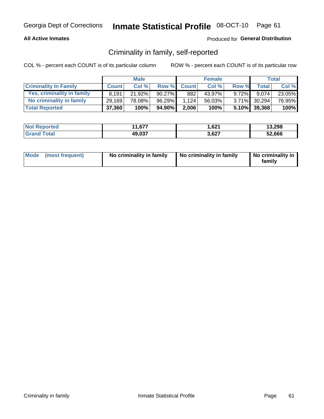#### **All Active Inmates**

### Produced for General Distribution

### Criminality in family, self-reported

COL % - percent each COUNT is of its particular column

|                              |              | <b>Male</b> |           |              | <b>Female</b> |          |              | Total  |
|------------------------------|--------------|-------------|-----------|--------------|---------------|----------|--------------|--------|
| <b>Criminality In Family</b> | <b>Count</b> | Col%        | Row %     | <b>Count</b> | Col %         | Row %    | <b>Total</b> | Col %  |
| Yes, criminality in family   | 8.191        | 21.92%      | $90.27\%$ | 882          | 43.97%        | $9.72\%$ | 9.074        | 23.05% |
| No criminality in family     | 29,169       | 78.08%      | 96.29%    | 1.124        | 56.03%        |          | 3.71% 30,294 | 76.95% |
| <b>Total Reported</b>        | 37,360       | 100%        | 94.90%    | 2,006        | 100%          |          | 5.10% 39,368 | 100%   |

| <b>Not</b><br>Reported | 1,677<br>44 | 621.  | 13,298 |
|------------------------|-------------|-------|--------|
| `ota                   | 49,037      | 3,627 | 52.666 |

|  | Mode (most frequent) | No criminality in family | No criminality in family | No criminality in<br>family |
|--|----------------------|--------------------------|--------------------------|-----------------------------|
|--|----------------------|--------------------------|--------------------------|-----------------------------|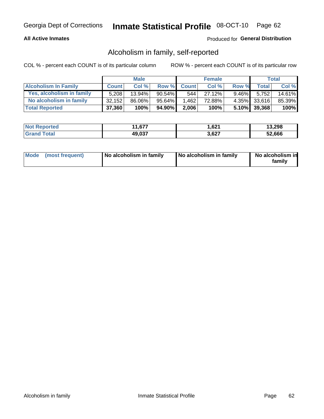#### **All Active Inmates**

### Produced for General Distribution

### Alcoholism in family, self-reported

COL % - percent each COUNT is of its particular column

|                             |              | <b>Male</b> |              |              | <b>Female</b> |          |              | Total   |
|-----------------------------|--------------|-------------|--------------|--------------|---------------|----------|--------------|---------|
| <b>Alcoholism In Family</b> | <b>Count</b> | Col %       | <b>Row %</b> | <b>Count</b> | Col %         | Row %    | <b>Total</b> | Col %   |
| Yes, alcoholism in family   | 5,208        | $13.94\%$   | 90.54%       | 544          | 27.12%        | $9.46\%$ | 5,752        | 14.61%  |
| No alcoholism in family     | 32,152       | 86.06%      | 95.64%       | 1,462        | 72.88%        |          | 4.35% 33,616 | 85.39%  |
| <b>Total Reported</b>       | 37,360       | 100%        | 94.90%       | 2,006        | 100%          |          | 5.10% 39,368 | $100\%$ |

| <b>Not Reported</b>   | 1,677  | 621. ا | 13,298 |
|-----------------------|--------|--------|--------|
| <b>Grand</b><br>⊺otal | 49,037 | 3,627  | 52.666 |

|  | Mode (most frequent) | No alcoholism in family | No alcoholism in family | No alcoholism in<br>family |
|--|----------------------|-------------------------|-------------------------|----------------------------|
|--|----------------------|-------------------------|-------------------------|----------------------------|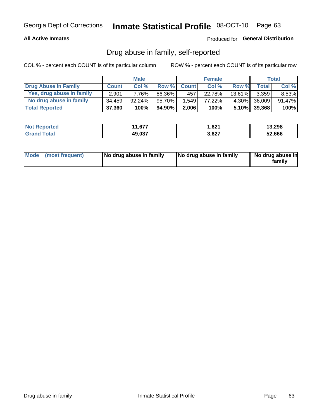#### **All Active Inmates**

### Produced for General Distribution

### Drug abuse in family, self-reported

COL % - percent each COUNT is of its particular column

|                           |              | <b>Male</b> |        |              | <b>Female</b> |           |              | Total   |
|---------------------------|--------------|-------------|--------|--------------|---------------|-----------|--------------|---------|
| Drug Abuse In Family      | <b>Count</b> | Col%        | Row %  | <b>Count</b> | Col%          | Row %     | Total        | Col %   |
| Yes, drug abuse in family | 2,901        | 7.76%       | 86.36% | 457          | 22.78%        | $13.61\%$ | 3,359        | 8.53%   |
| No drug abuse in family   | 34.459       | $92.24\%$   | 95.70% | 1.549        | 77.22%        |           | 4.30% 36,009 | 91.47%  |
| <b>Total Reported</b>     | 37,360       | 100%        | 94.90% | 2,006        | 100%          |           | 5.10% 39,368 | $100\%$ |

| <b>Not Reported</b>   | 1,677  | 621. ا | 13,298 |
|-----------------------|--------|--------|--------|
| <b>Grand</b><br>⊺otal | 49,037 | 3,627  | 52.666 |

|  | Mode (most frequent) | No drug abuse in family | No drug abuse in family | No drug abuse in<br>familv |
|--|----------------------|-------------------------|-------------------------|----------------------------|
|--|----------------------|-------------------------|-------------------------|----------------------------|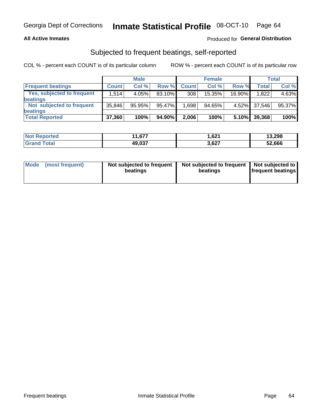#### **All Active Inmates**

### **Produced for General Distribution**

### Subjected to frequent beatings, self-reported

COL % - percent each COUNT is of its particular column

|                                   |              | <b>Male</b> |        |              | <b>Female</b> |          |              | Total  |
|-----------------------------------|--------------|-------------|--------|--------------|---------------|----------|--------------|--------|
| <b>Frequent beatings</b>          | <b>Count</b> | Col %       | Row %  | <b>Count</b> | Col %         | Row %    | <b>Total</b> | Col%   |
| <b>Yes, subjected to frequent</b> | 1,514        | 4.05%       | 83.10% | 308          | 15.35%        | 16.90%   | 1,822        | 4.63%  |
| beatings                          |              |             |        |              |               |          |              |        |
| Not subjected to frequent         | 35,846       | 95.95%      | 95.47% | 1,698        | 84.65%        | $4.52\%$ | 37.546       | 95.37% |
| beatings                          |              |             |        |              |               |          |              |        |
| <b>Total Reported</b>             | 37,360       | 100%        | 94.90% | 2,006        | 100%          | 5.10%    | 39,368       | 100%   |

| <b>Not</b><br>Reported | 1,677<br>44 | 1,621 | 13,298 |
|------------------------|-------------|-------|--------|
| Total                  | 49,037      | 3,627 | 52,666 |

| Mode (most frequent) | Not subjected to frequent<br>beatings | Not subjected to frequent<br>beatings | Not subjected to<br><b>frequent beatings</b> |
|----------------------|---------------------------------------|---------------------------------------|----------------------------------------------|
|                      |                                       |                                       |                                              |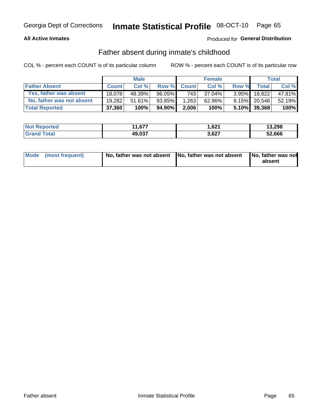#### **All Active Inmates**

### **Produced for General Distribution**

### Father absent during inmate's childhood

COL % - percent each COUNT is of its particular column

|                           |              | <b>Male</b> |        |              | <b>Female</b> |          |              | <b>Total</b> |
|---------------------------|--------------|-------------|--------|--------------|---------------|----------|--------------|--------------|
| <b>Father Absent</b>      | <b>Count</b> | Col%        | Row %  | <b>Count</b> | Col %         | Row %    | <b>Total</b> | Col %        |
| Yes, father was absent    | 18.078       | 48.39%      | 96.05% | 743          | 37.04%        | $3.95\%$ | 18.822       | 47.81%       |
| No, father was not absent | 19.282       | $51.61\%$   | 93.85% | 1,263        | 62.96%        |          | 6.15% 20,546 | 52.19%       |
| <b>Total Reported</b>     | 37,360       | 100%        | 94.90% | 2,006        | 100%          |          | 5.10% 39,368 | $100\%$      |

| <b>Not Reported</b>      | 1,677<br>44 | 621. ا | 13,298 |
|--------------------------|-------------|--------|--------|
| <b>∣Grand T</b><br>⊺otal | 49,037      | 3,627  | 52,666 |

|  | Mode (most frequent) | No, father was not absent No, father was not absent |  | No, father was not<br>absent |
|--|----------------------|-----------------------------------------------------|--|------------------------------|
|--|----------------------|-----------------------------------------------------|--|------------------------------|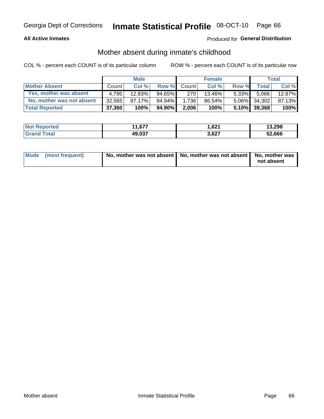#### **All Active Inmates**

### Produced for General Distribution

### Mother absent during inmate's childhood

COL % - percent each COUNT is of its particular column

|                           |              | <b>Male</b> |           |              | <b>Female</b> |          |                 | Total  |
|---------------------------|--------------|-------------|-----------|--------------|---------------|----------|-----------------|--------|
| <b>Mother Absent</b>      | <b>Count</b> | Col%        | Row %     | <b>Count</b> | Col %         | Row %    | <b>Total</b>    | Col %  |
| Yes, mother was absent    | 4.795        | 12.83%      | $94.65\%$ | 270          | 13.46%        | $5.33\%$ | 5,066           | 12.87% |
| No, mother was not absent | 32.565       | 87.17%      | 94.94%    | 1.736        | 86.54%        |          | 5.06% 34,302    | 87.13% |
| <b>Total Reported</b>     | 37,360       | 100%        | 94.90%    | 2,006        | 100%          |          | $5.10\%$ 39,368 | 100%   |

| <b>Not</b><br>Reported | 1,677<br>44 | 621.  | 13,298 |
|------------------------|-------------|-------|--------|
| `ota                   | 49,037      | 3,627 | 52.666 |

| Mode (most frequent) | No, mother was not absent   No, mother was not absent   No, mother was | not absent |
|----------------------|------------------------------------------------------------------------|------------|
|                      |                                                                        |            |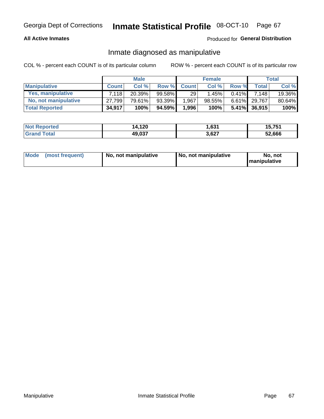#### **All Active Inmates**

### Produced for General Distribution

### Inmate diagnosed as manipulative

COL % - percent each COUNT is of its particular column

|                       |              | <b>Male</b> |           |              | <b>Female</b> |          |                 | Total  |
|-----------------------|--------------|-------------|-----------|--------------|---------------|----------|-----------------|--------|
| <b>Manipulative</b>   | <b>Count</b> | Col %       | Row %     | <b>Count</b> | Col%          | Row %    | <b>Total</b>    | Col %  |
| Yes, manipulative     | 7.118        | 20.39%      | 99.58%    | 29           | 1.45%         | $0.41\%$ | 7.148           | 19.36% |
| No, not manipulative  | 27.799       | 79.61%      | $93.39\%$ | .967         | 98.55%        | 6.61%    | 29.767          | 80.64% |
| <b>Total Reported</b> | 34,917       | 100%        | 94.59%    | 1,996        | 100%          |          | $5.41\%$ 36,915 | 100%   |

| <b>Not Reported</b>   | 14,120 | - 001<br>.vJ | 15,751 |
|-----------------------|--------|--------------|--------|
| <b>Grand</b><br>⊺otal | 49,037 | 3,627        | 52,666 |

|  | Mode (most frequent) | No, not manipulative | , No, not manipulative | No. not<br><b>I</b> manipulative |
|--|----------------------|----------------------|------------------------|----------------------------------|
|--|----------------------|----------------------|------------------------|----------------------------------|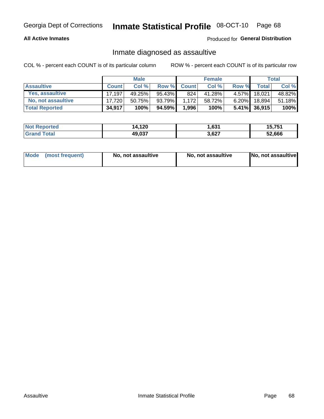#### **All Active Inmates**

#### Produced for General Distribution

### Inmate diagnosed as assaultive

COL % - percent each COUNT is of its particular column

|                           |              | <b>Male</b> |        |              | <b>Female</b> |          |                 | Total  |
|---------------------------|--------------|-------------|--------|--------------|---------------|----------|-----------------|--------|
| <b>Assaultive</b>         | <b>Count</b> | Col%        | Row %  | <b>Count</b> | Col %         | Row %    | <b>Total</b>    | Col %  |
| Yes, assaultive           | 17.197       | 49.25%      | 95.43% | 824          | 41.28%        | $4.57\%$ | 18,021          | 48.82% |
| <b>No, not assaultive</b> | 17.720       | 50.75%      | 93.79% | 1.172        | 58.72%        | $6.20\%$ | 18.894          | 51.18% |
| <b>Total Reported</b>     | 34,917       | 100%        | 94.59% | 1,996        | 100%          |          | $5.41\%$ 36,915 | 100%   |

| <b>Not Reported</b> | 14,120 | .631  | 15.751 |
|---------------------|--------|-------|--------|
| <b>Grand Total</b>  | 49,037 | 3,627 | 52,666 |

| Mode (most frequent) | No, not assaultive | No, not assaultive | No, not assaultive |
|----------------------|--------------------|--------------------|--------------------|
|----------------------|--------------------|--------------------|--------------------|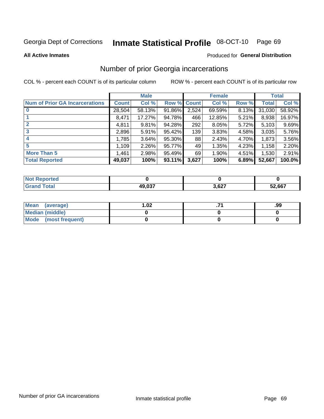#### Inmate Statistical Profile 08-OCT-10 Page 69

**All Active Inmates** 

#### **Produced for General Distribution**

### Number of prior Georgia incarcerations

COL % - percent each COUNT is of its particular column

|                                       |              | <b>Male</b> |                    |       | <b>Female</b> |       |        | <b>Total</b> |
|---------------------------------------|--------------|-------------|--------------------|-------|---------------|-------|--------|--------------|
| <b>Num of Prior GA Incarcerations</b> | <b>Count</b> | Col %       | <b>Row % Count</b> |       | Col %         | Row % | Total  | Col %        |
| $\bf{0}$                              | 28,504       | 58.13%      | 91.86%             | 2,524 | 69.59%        | 8.13% | 31,030 | 58.92%       |
|                                       | 8,471        | 17.27%      | 94.78%             | 466   | 12.85%        | 5.21% | 8,938  | 16.97%       |
| $\mathbf{2}$                          | 4,811        | 9.81%       | 94.28%             | 292   | 8.05%         | 5.72% | 5,103  | 9.69%        |
| 3                                     | 2,896        | 5.91%       | 95.42%             | 139   | 3.83%         | 4.58% | 3,035  | 5.76%        |
| 4                                     | 1,785        | 3.64%       | 95.30%             | 88    | 2.43%         | 4.70% | 1,873  | 3.56%        |
| 5                                     | 1,109        | 2.26%       | 95.77%             | 49    | 1.35%         | 4.23% | 1,158  | 2.20%        |
| <b>More Than 5</b>                    | 1,461        | 2.98%       | 95.49%             | 69    | 1.90%         | 4.51% | 1,530  | 2.91%        |
| <b>Total Reported</b>                 | 49,037       | 100%        | 93.11%             | 3,627 | 100%          | 6.89% | 52,667 | 100.0%       |

| <b>orted</b><br>NO: |                  |       |        |
|---------------------|------------------|-------|--------|
| otal<br>Gr          | 10 027<br>J.U.37 | 3,627 | 52,667 |

| Mean (average)       | $\overline{.02}$ | .99 |
|----------------------|------------------|-----|
| Median (middle)      |                  |     |
| Mode (most frequent) |                  |     |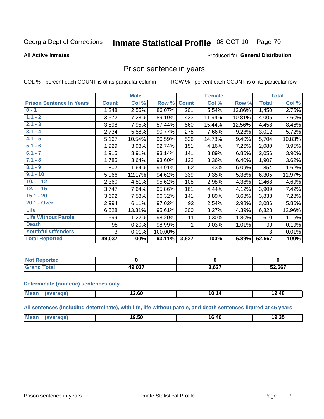#### Inmate Statistical Profile 08-OCT-10 Page 70

#### **All Active Inmates**

#### Produced for General Distribution

### Prison sentence in years

COL % - percent each COUNT is of its particular column

ROW % - percent each COUNT is of its particular row

|                                 |              | <b>Male</b> |         |              | <b>Female</b> |        |              | <b>Total</b> |
|---------------------------------|--------------|-------------|---------|--------------|---------------|--------|--------------|--------------|
| <b>Prison Sentence In Years</b> | <b>Count</b> | Col %       | Row %   | <b>Count</b> | Col %         | Row %  | <b>Total</b> | Col %        |
| $0 - 1$                         | 1,248        | 2.55%       | 86.07%  | 201          | 5.54%         | 13.86% | 1,450        | 2.75%        |
| $1.1 - 2$                       | 3,572        | 7.28%       | 89.19%  | 433          | 11.94%        | 10.81% | 4,005        | 7.60%        |
| $2.1 - 3$                       | 3,898        | 7.95%       | 87.44%  | 560          | 15.44%        | 12.56% | 4,458        | 8.46%        |
| $3.1 - 4$                       | 2,734        | 5.58%       | 90.77%  | 278          | 7.66%         | 9.23%  | 3,012        | 5.72%        |
| $4.1 - 5$                       | 5,167        | 10.54%      | 90.59%  | 536          | 14.78%        | 9.40%  | 5,704        | 10.83%       |
| $5.1 - 6$                       | 1,929        | 3.93%       | 92.74%  | 151          | 4.16%         | 7.26%  | 2,080        | 3.95%        |
| $6.1 - 7$                       | 1,915        | 3.91%       | 93.14%  | 141          | 3.89%         | 6.86%  | 2,056        | 3.90%        |
| $7.1 - 8$                       | 1,785        | 3.64%       | 93.60%  | 122          | 3.36%         | 6.40%  | 1,907        | 3.62%        |
| $8.1 - 9$                       | 802          | 1.64%       | 93.91%  | 52           | 1.43%         | 6.09%  | 854          | 1.62%        |
| $9.1 - 10$                      | 5,966        | 12.17%      | 94.62%  | 339          | 9.35%         | 5.38%  | 6,305        | 11.97%       |
| $10.1 - 12$                     | 2,360        | 4.81%       | 95.62%  | 108          | 2.98%         | 4.38%  | 2,468        | 4.69%        |
| $12.1 - 15$                     | 3,747        | 7.64%       | 95.86%  | 161          | 4.44%         | 4.12%  | 3,909        | 7.42%        |
| $15.1 - 20$                     | 3,692        | 7.53%       | 96.32%  | 141          | 3.89%         | 3.68%  | 3,833        | 7.28%        |
| 20.1 - Over                     | 2,994        | 6.11%       | 97.02%  | 92           | 2.54%         | 2.98%  | 3,086        | 5.86%        |
| <b>Life</b>                     | 6,528        | 13.31%      | 95.61%  | 300          | 8.27%         | 4.39%  | 6,828        | 12.96%       |
| <b>Life Without Parole</b>      | 599          | 1.22%       | 98.20%  | 11           | 0.30%         | 1.80%  | 610          | 1.16%        |
| <b>Death</b>                    | 98           | 0.20%       | 98.99%  |              | 0.03%         | 1.01%  | 99           | 0.19%        |
| <b>Youthful Offenders</b>       | 3            | 0.01%       | 100.00% |              |               |        | 3            | 0.01%        |
| <b>Total Reported</b>           | 49,037       | 100%        | 93.11%  | 3,627        | 100%          | 6.89%  | 52,667       | 100%         |

| ported<br>I NOT |        |              |        |
|-----------------|--------|--------------|--------|
|                 | דמה חו | רמם י<br>,vz | 52,667 |

#### **Determinate (numeric) sentences only**

| <b>Mear</b> | $\sim$ 00<br>. ∠.ou<br>___ | 14<br>ΊU<br>_______ | 12.48 |
|-------------|----------------------------|---------------------|-------|
|             |                            |                     |       |

All sentences (including determinate), with life, life without parole, and death sentences figured at 45 years

| Mean | $\sim$ $\sim$<br>טכ.פי | <br>16.4د | 9.35<br>10. |
|------|------------------------|-----------|-------------|
|      |                        |           |             |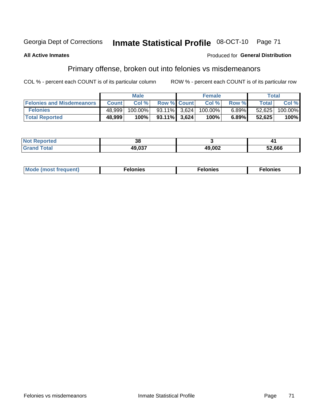#### Inmate Statistical Profile 08-OCT-10 Georgia Dept of Corrections Page 71

#### **All Active Inmates**

#### Produced for General Distribution

### Primary offense, broken out into felonies vs misdemeanors

COL % - percent each COUNT is of its particular column

|                                  |              | <b>Male</b> |                    | <b>Female</b> |          |              | Total   |
|----------------------------------|--------------|-------------|--------------------|---------------|----------|--------------|---------|
| <b>Felonies and Misdemeanors</b> | <b>Count</b> | Col%        | <b>Row % Count</b> | Col %         | Row %    | <b>Total</b> | Col %   |
| <b>Felonies</b>                  | 48,999       | 100.00%     | 93.11% 3.624       | $100.00\%$    | $6.89\%$ | 52,625       | 100.00% |
| <b>Total Reported</b>            | 48,999       | 100%        | $93.11\%$ 3.624    | 100%          | 6.89%    | 52,625       | 100%    |

| <b>Not</b><br><b>ported</b><br>≂емиг | $\mathbf{a}$<br>vu |                |        |
|--------------------------------------|--------------------|----------------|--------|
| <b>Grano</b>                         | 10 N27<br>ט,טו     | 49,002<br>11 V | 52,666 |

| $Mc$<br>equent)<br>нез<br>$\sim$<br>. | onies<br>. | <b>onies</b><br>. |
|---------------------------------------|------------|-------------------|
|---------------------------------------|------------|-------------------|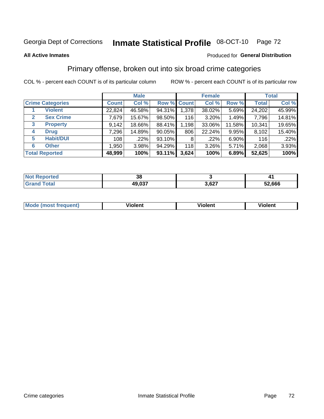#### Inmate Statistical Profile 08-OCT-10 Page 72

#### **All Active Inmates**

### Produced for General Distribution

### Primary offense, broken out into six broad crime categories

COL % - percent each COUNT is of its particular column

|                                  |              | <b>Male</b> |           |             | <b>Female</b> |          |              | <b>Total</b> |
|----------------------------------|--------------|-------------|-----------|-------------|---------------|----------|--------------|--------------|
| <b>Crime Categories</b>          | <b>Count</b> | Col %       |           | Row % Count | Col %         | Row %    | <b>Total</b> | Col %        |
| <b>Violent</b>                   | 22,824       | 46.58%      | 94.31%    | 1,378       | 38.02%        | 5.69%    | 24,202       | 45.99%       |
| <b>Sex Crime</b><br>$\mathbf{2}$ | 7,679        | 15.67%      | $98.50\%$ | 116         | 3.20%         | 1.49%    | 7,796        | 14.81%       |
| 3<br><b>Property</b>             | 9,142        | 18.66%      | 88.41%    | 1,198       | 33.06%        | 11.58%   | 10,341       | 19.65%       |
| <b>Drug</b><br>4                 | 7,296        | 14.89%      | $90.05\%$ | 806         | 22.24%        | $9.95\%$ | 8,102        | 15.40%       |
| <b>Habit/DUI</b><br>5            | 108          | .22%        | 93.10%    | 8           | .22%          | 6.90%    | 116          | .22%         |
| <b>Other</b><br>6                | 1,950        | 3.98%       | 94.29%    | 118         | 3.26%         | 5.71%    | 2,068        | 3.93%        |
| <b>Total Reported</b>            | 48,999       | 100%        | 93.11%    | 3,624       | 100%          | 6.89%    | 52,625       | 100%         |

| enorted     | Jυ     |               |        |
|-------------|--------|---------------|--------|
| <b>otal</b> | 49,037 | 0.27<br>J.VZ. | 52,666 |

| <b>Mode (most frequent)</b> | .<br><b>iolent</b> | 'iolent | ---<br>Violent |
|-----------------------------|--------------------|---------|----------------|
|                             |                    |         |                |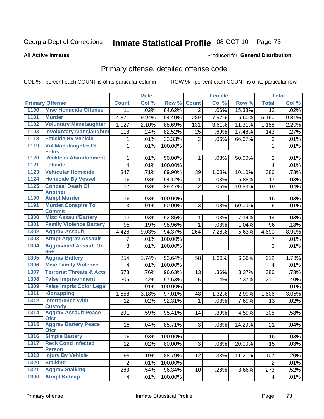# Inmate Statistical Profile 08-OCT-10 Page 73

#### **All Active Inmates**

### Produced for General Distribution

# Primary offense, detailed offense code

COL % - percent each COUNT is of its particular column

|              |                                             |                         | <b>Male</b> |         |                | <b>Female</b> |        |                         | <b>Total</b> |
|--------------|---------------------------------------------|-------------------------|-------------|---------|----------------|---------------|--------|-------------------------|--------------|
|              | <b>Primary Offense</b>                      | <b>Count</b>            | Col %       | Row %   | <b>Count</b>   | Col %         | Row %  | <b>Total</b>            | Col %        |
| 1100         | <b>Misc Homicide Offense</b>                | 11                      | .02%        | 84.62%  | $\overline{2}$ | .06%          | 15.38% | $\overline{13}$         | .02%         |
| 1101         | <b>Murder</b>                               | 4,871                   | 9.94%       | 94.40%  | 289            | 7.97%         | 5.60%  | 5,160                   | 9.81%        |
| 1102         | <b>Voluntary Manslaughter</b>               | 1,027                   | 2.10%       | 88.69%  | 131            | 3.61%         | 11.31% | 1,158                   | 2.20%        |
| 1103         | <b>Involuntary Manslaughter</b>             | 118                     | .24%        | 82.52%  | 25             | .69%          | 17.48% | 143                     | .27%         |
| 1118         | <b>Feticide By Vehicle</b>                  | 1                       | .01%        | 33.33%  | $\overline{2}$ | .06%          | 66.67% | 3                       | .01%         |
| 1119         | <b>Vol Manslaughter Of</b>                  | 1                       | .01%        | 100.00% |                |               |        | 1                       | .01%         |
| 1120         | <b>Fetus</b><br><b>Reckless Abandonment</b> |                         |             |         |                |               |        |                         |              |
| 1121         | <b>Feticide</b>                             | 1                       | .01%        | 50.00%  | $\mathbf 1$    | .03%          | 50.00% | $\overline{2}$          | .01%         |
| 1123         | <b>Vehicular Homicide</b>                   | $\overline{\mathbf{4}}$ | .01%        | 100.00% |                |               |        | $\overline{\mathbf{4}}$ | .01%         |
|              | <b>Homicide By Vessel</b>                   | 347                     | .71%        | 89.90%  | 39             | 1.08%         | 10.10% | 386                     | .73%         |
| 1124<br>1125 | <b>Conceal Death Of</b>                     | 16                      | .03%        | 94.12%  | 1              | .03%          | 5.88%  | 17                      | .03%         |
|              | <b>Another</b>                              | 17                      | .03%        | 89.47%  | $\overline{2}$ | .06%          | 10.53% | 19                      | .04%         |
| 1190         | <b>Atmpt Murder</b>                         | 16                      | .03%        | 100.00% |                |               |        | 16                      | .03%         |
| 1191         | <b>Murder, Conspire To</b>                  | 3                       | .01%        | 50.00%  | 3              | .08%          | 50.00% | 6                       | .01%         |
|              | <b>Commit</b>                               |                         |             |         |                |               |        |                         |              |
| 1300         | <b>Misc Assault/Battery</b>                 | 13                      | .03%        | 92.86%  | 1              | .03%          | 7.14%  | 14                      | .03%         |
| 1301         | <b>Family Violence Battery</b>              | 95                      | .19%        | 98.96%  | $\mathbf 1$    | .03%          | 1.04%  | 96                      | .18%         |
| 1302         | <b>Aggrav Assault</b>                       | 4,426                   | 9.03%       | 94.37%  | 264            | 7.28%         | 5.63%  | 4,690                   | 8.91%        |
| 1303         | <b>Atmpt Aggrav Assault</b>                 | $\overline{7}$          | .01%        | 100.00% |                |               |        | $\overline{7}$          | .01%         |
| 1304         | <b>Aggravated Assault On</b><br>$65+$       | 3                       | .01%        | 100.00% |                |               |        | 3                       | .01%         |
| 1305         | <b>Aggrav Battery</b>                       | 854                     | 1.74%       | 93.64%  | 58             | 1.60%         | 6.36%  | 912                     | 1.73%        |
| 1306         | <b>Misc Family Violence</b>                 | 4                       | .01%        | 100.00% |                |               |        | $\overline{\mathbf{4}}$ | .01%         |
| 1307         | <b>Terrorist Threats &amp; Acts</b>         | 373                     | .76%        | 96.63%  | 13             | .36%          | 3.37%  | 386                     | .73%         |
| 1308         | <b>False Imprisonment</b>                   | 206                     | .42%        | 97.63%  | 5              | .14%          | 2.37%  | 211                     | .40%         |
| 1309         | <b>False Impris Color Legal</b>             | 1                       | .01%        | 100.00% |                |               |        | 1                       | .01%         |
| 1311         | <b>Kidnapping</b>                           | 1,558                   | 3.18%       | 97.01%  | 48             | 1.32%         | 2.99%  | 1,606                   | 3.05%        |
| 1312         | <b>Interference With</b><br><b>Custody</b>  | 12                      | .02%        | 92.31%  | $\mathbf{1}$   | .03%          | 7.69%  | 13                      | .02%         |
| 1314         | <b>Aggrav Assault Peace</b><br><b>Ofcr</b>  | 291                     | .59%        | 95.41%  | 14             | .39%          | 4.59%  | 305                     | .58%         |
| 1315         | <b>Aggrav Battery Peace</b><br><b>OTCL</b>  | 18                      | .04%        | 85.71%  | 3 <sup>1</sup> | .08%          | 14.29% | 21                      | .04%         |
| 1316         | <b>Simple Battery</b>                       | 16                      | .03%        | 100.00% |                |               |        | 16                      | .03%         |
| 1317         | <b>Reck Cond Infected</b><br><b>Person</b>  | 12                      | .02%        | 80.00%  | 3 <sup>1</sup> | .08%          | 20.00% | 15                      | .03%         |
| 1318         | <b>Injury By Vehicle</b>                    | 95                      | .19%        | 88.79%  | 12             | .33%          | 11.21% | 107                     | .20%         |
| 1320         | <b>Stalking</b>                             | $\overline{2}$          | .01%        | 100.00% |                |               |        | $\overline{2}$          | .01%         |
| 1321         | <b>Aggrav Stalking</b>                      | 263                     | .54%        | 96.34%  | 10             | .28%          | 3.66%  | 273                     | .52%         |
| 1390         | <b>Atmpt Kidnap</b>                         | 4                       | .01%        | 100.00% |                |               |        | 4                       | .01%         |
|              |                                             |                         |             |         |                |               |        |                         |              |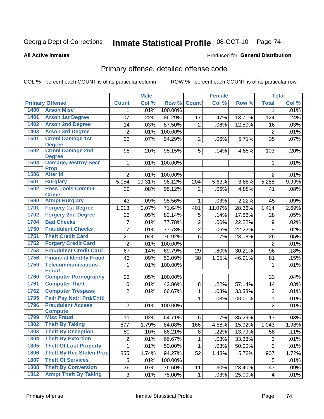# Inmate Statistical Profile 08-OCT-10 Page 74

#### **All Active Inmates**

### **Produced for General Distribution**

# Primary offense, detailed offense code

COL % - percent each COUNT is of its particular column

|      |                                              |                | <b>Male</b>        |                   |                | <b>Female</b> |         |                         | <b>Total</b> |
|------|----------------------------------------------|----------------|--------------------|-------------------|----------------|---------------|---------|-------------------------|--------------|
|      | <b>Primary Offense</b>                       | <b>Count</b>   | Col %              | Row %             | <b>Count</b>   | Col %         | Row %   | <b>Total</b>            | Col %        |
| 1400 | <b>Arson Misc</b>                            | $\mathbf{1}$   | .01%               | 100.00%           |                |               |         | $\mathbf 1$             | .01%         |
| 1401 | <b>Arson 1st Degree</b>                      | 107            | .22%               | 86.29%            | 17             | .47%          | 13.71%  | 124                     | .24%         |
| 1402 | <b>Arson 2nd Degree</b>                      | 14             | .03%               | 87.50%            | $\overline{2}$ | .06%          | 12.50%  | 16                      | .03%         |
| 1403 | <b>Arson 3rd Degree</b>                      | $\overline{2}$ | .01%               | 100.00%           |                |               |         | $\overline{2}$          | .01%         |
| 1501 | <b>Crmnl Damage 1st</b>                      | 33             | .07%               | 94.29%            | $\overline{2}$ | .06%          | 5.71%   | 35                      | .07%         |
|      | <b>Degree</b>                                |                |                    |                   |                |               |         |                         |              |
| 1502 | <b>Crmnl Damage 2nd</b>                      | 98             | .20%               | 95.15%            | 5              | .14%          | 4.85%   | 103                     | .20%         |
| 1504 | <b>Degree</b><br><b>Damage, Destroy Secr</b> | $\mathbf{1}$   | .01%               | 100.00%           |                |               |         | 1                       | .01%         |
|      | <b>Prop</b>                                  |                |                    |                   |                |               |         |                         |              |
| 1506 | <b>Alter Id</b>                              | $\overline{2}$ | .01%               | 100.00%           |                |               |         | $\overline{2}$          | .01%         |
| 1601 | <b>Burglary</b>                              | 5,054          | 10.31%             | 96.12%            | 204            | 5.63%         | 3.88%   | 5,258                   | 9.99%        |
| 1602 | <b>Poss Tools Commit</b>                     | 39             | .08%               | 95.12%            | $\overline{2}$ | .06%          | 4.88%   | 41                      | .08%         |
|      | <b>Crime</b>                                 |                |                    |                   |                |               |         |                         |              |
| 1690 | <b>Atmpt Burglary</b>                        | 43             | .09%               | 95.56%            | $\mathbf{1}$   | .03%          | 2.22%   | 45                      | .09%         |
| 1701 | <b>Forgery 1st Degree</b>                    | 1,013          | 2.07%              | 71.64%            | 401            | 11.07%        | 28.36%  | 1,414                   | 2.69%        |
| 1702 | <b>Forgery 2nd Degree</b>                    | 23             | .05%               | 82.14%            | 5              | .14%          | 17.86%  | 28                      | .05%         |
| 1704 | <b>Bad Checks</b>                            | 7              | .01%               | 77.78%            | $\overline{2}$ | .06%          | 22.22%  | $\boldsymbol{9}$        | .02%         |
| 1750 | <b>Fraudulent Checks</b>                     | $\overline{7}$ | .01%               | 77.78%            | $\overline{2}$ | .06%          | 22.22%  | 9                       | .02%         |
| 1751 | <b>Theft Credit Card</b>                     | 20             | .04%               | 76.92%            | $6\phantom{a}$ | .17%          | 23.08%  | 26                      | .05%         |
| 1752 | <b>Forgery Credit Card</b>                   | $\overline{2}$ | .01%               | 100.00%           |                |               |         | $\overline{2}$          | .01%         |
| 1753 | <b>Fraudulent Credit Card</b>                | 67             | .14%               | 69.79%            | 29             | .80%          | 30.21%  | 96                      | .18%         |
| 1756 | <b>Financial Identity Fraud</b>              | 43             | .09%               | 53.09%            | 38             | 1.05%         | 46.91%  | 81                      | .15%         |
| 1759 | <b>Telecommunications</b>                    | $\mathbf{1}$   | .01%               | 100.00%           |                |               |         | $\mathbf{1}$            | .01%         |
| 1760 | <b>Fraud</b><br><b>Computer Pornography</b>  | 23             |                    |                   |                |               |         |                         |              |
| 1761 | <b>Computer Theft</b>                        | 6              | .05%<br>.01%       | 100.00%<br>42.86% | 8              | .22%          | 57.14%  | 23<br>14                | .04%<br>.03% |
| 1762 | <b>Computer Trespass</b>                     | $\overline{2}$ | .01%               | 66.67%            | $\mathbf{1}$   | .03%          | 33.33%  | $\mathfrak{B}$          | .01%         |
| 1795 | <b>Failr Pay Natrl Prd/Chttl</b>             |                |                    |                   | 1              |               |         | $\mathbf{1}$            |              |
| 1796 | <b>Fraudulent Access</b>                     | $\overline{2}$ | .01%               | 100.00%           |                | .03%          | 100.00% | $\overline{2}$          | .01%<br>.01% |
|      | <b>Compute</b>                               |                |                    |                   |                |               |         |                         |              |
| 1799 | <b>Misc Fraud</b>                            | 11             | .02%               | 64.71%            | 6              | .17%          | 35.29%  | 17                      | .03%         |
| 1802 | <b>Theft By Taking</b>                       | 877            | $\overline{1.79%}$ | 84.08%            | 166            | 4.58%         | 15.92%  | 1,043                   | 1.98%        |
| 1803 | <b>Theft By Deception</b>                    | 50             | .10%               | 86.21%            | 8              | .22%          | 13.79%  | 58                      | .11%         |
| 1804 | <b>Theft By Extortion</b>                    | 2              | .01%               | 66.67%            | $\mathbf{1}$   | .03%          | 33.33%  | 3                       | .01%         |
| 1805 | <b>Theft Of Lost Property</b>                | $\mathbf{1}$   | .01%               | 50.00%            | $\mathbf{1}$   | .03%          | 50.00%  | $\overline{2}$          | .01%         |
| 1806 | <b>Theft By Rec Stolen Prop</b>              | 855            | 1.74%              | 94.27%            | 52             | 1.43%         | 5.73%   | 907                     | 1.72%        |
| 1807 | <b>Theft Of Services</b>                     | 5              | .01%               | 100.00%           |                |               |         | 5                       | .01%         |
| 1808 | <b>Theft By Conversion</b>                   | 36             | .07%               | 76.60%            | 11             | .30%          | 23.40%  | 47                      | .09%         |
| 1812 | <b>Atmpt Theft By Taking</b>                 | 3              | .01%               | 75.00%            | $\mathbf{1}$   | .03%          | 25.00%  | $\overline{\mathbf{4}}$ | .01%         |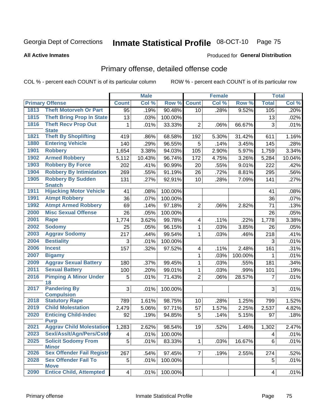# Inmate Statistical Profile 08-OCT-10 Page 75

#### **All Active Inmates**

### Produced for General Distribution

# Primary offense, detailed offense code

COL % - percent each COUNT is of its particular column

|      |                                                |                         | <b>Male</b> |         |                | <b>Female</b> |         |                 | <b>Total</b> |
|------|------------------------------------------------|-------------------------|-------------|---------|----------------|---------------|---------|-----------------|--------------|
|      | <b>Primary Offense</b>                         | <b>Count</b>            | Col %       | Row %   | <b>Count</b>   | Col %         | Row %   | <b>Total</b>    | Col %        |
| 1813 | <b>Theft Motorveh Or Part</b>                  | 95                      | .19%        | 90.48%  | 10             | .28%          | 9.52%   | 105             | .20%         |
| 1815 | <b>Theft Bring Prop In State</b>               | 13                      | .03%        | 100.00% |                |               |         | 13              | .02%         |
| 1816 | <b>Theft Recv Prop Out</b>                     | 1                       | .01%        | 33.33%  | $\overline{2}$ | .06%          | 66.67%  | 3               | .01%         |
| 1821 | <b>State</b><br><b>Theft By Shoplifting</b>    |                         |             |         |                |               |         |                 |              |
| 1880 |                                                | 419                     | .86%        | 68.58%  | 192            | 5.30%         | 31.42%  | 611             | 1.16%        |
| 1901 | <b>Entering Vehicle</b><br><b>Robbery</b>      | 140                     | .29%        | 96.55%  | 5              | .14%          | 3.45%   | 145             | .28%         |
| 1902 | <b>Armed Robbery</b>                           | 1,654                   | 3.38%       | 94.03%  | 105            | 2.90%         | 5.97%   | 1,759           | 3.34%        |
|      |                                                | 5,112                   | 10.43%      | 96.74%  | 172            | 4.75%         | 3.26%   | 5,284           | 10.04%       |
| 1903 | <b>Robbery By Force</b>                        | 202                     | .41%        | 90.99%  | 20             | .55%          | 9.01%   | 222             | .42%         |
| 1904 | <b>Robbery By Intimidation</b>                 | 269                     | .55%        | 91.19%  | 26             | .72%          | 8.81%   | 295             | .56%         |
| 1905 | <b>Robbery By Sudden</b><br><b>Snatch</b>      | 131                     | .27%        | 92.91%  | 10             | .28%          | 7.09%   | 141             | .27%         |
| 1911 | <b>Hijacking Motor Vehicle</b>                 | 41                      | .08%        | 100.00% |                |               |         | 41              | .08%         |
| 1991 | <b>Atmpt Robbery</b>                           | 36                      | .07%        | 100.00% |                |               |         | 36              | .07%         |
| 1992 | <b>Atmpt Armed Robbery</b>                     | 69                      | .14%        | 97.18%  | $\overline{2}$ | .06%          | 2.82%   | 71              | .13%         |
| 2000 | <b>Misc Sexual Offense</b>                     | 26                      | .05%        | 100.00% |                |               |         | 26              | .05%         |
| 2001 | <b>Rape</b>                                    | 1,774                   | 3.62%       | 99.78%  | 4              | .11%          | .22%    | 1,778           | 3.38%        |
| 2002 | <b>Sodomy</b>                                  | 25                      | .05%        | 96.15%  | 1              | .03%          | 3.85%   | 26              | .05%         |
| 2003 | <b>Aggrav Sodomy</b>                           | 217                     | .44%        | 99.54%  | 1              | .03%          | .46%    | 218             | .41%         |
| 2004 | <b>Bestiality</b>                              | 3                       | .01%        | 100.00% |                |               |         | 3               | .01%         |
| 2006 | <b>Incest</b>                                  | 157                     | .32%        | 97.52%  | 4              | .11%          | 2.48%   | 161             | .31%         |
| 2007 | <b>Bigamy</b>                                  |                         |             |         | 1              | .03%          | 100.00% | 1               | .01%         |
| 2009 | <b>Aggrav Sexual Battery</b>                   | 180                     | .37%        | 99.45%  | 1              | .03%          | .55%    | 181             | .34%         |
| 2011 | <b>Sexual Battery</b>                          | 100                     | .20%        | 99.01%  | $\mathbf 1$    | .03%          | .99%    | 101             | .19%         |
| 2016 | <b>Pimping A Minor Under</b>                   | 5                       | .01%        | 71.43%  | $\overline{2}$ | .06%          | 28.57%  | $\overline{7}$  | .01%         |
| 2017 | 18<br><b>Pandering By</b>                      | 3                       | .01%        | 100.00% |                |               |         | 3               | .01%         |
|      | <b>Compulsion</b>                              |                         |             |         |                |               |         |                 |              |
| 2018 | <b>Statutory Rape</b>                          | 789                     | 1.61%       | 98.75%  | 10             | .28%          | 1.25%   | 799             | 1.52%        |
| 2019 | <b>Child Molestation</b>                       | 2,479                   | 5.06%       | 97.71%  | 57             | 1.57%         | 2.25%   | 2,537           | 4.82%        |
| 2020 | <b>Enticing Child-Indec</b>                    | 92                      | .19%        | 94.85%  | 5              | .14%          | 5.15%   | 97              | .18%         |
| 2021 | <b>Purp</b><br><b>Aggrav Child Molestation</b> |                         |             |         | 19             |               |         |                 |              |
| 2023 | Sexl/AssIt/Agn/Pers/Cstdy                      | 1,283                   | 2.62%       | 98.54%  |                | .52%          | 1.46%   | 1,302           | 2.47%        |
| 2025 | <b>Solicit Sodomy From</b>                     | $\overline{\mathbf{4}}$ | .01%        | 100.00% |                |               |         | 4               | .01%         |
|      | <b>Minor</b>                                   | 5                       | .01%        | 83.33%  | $\mathbf{1}$   | .03%          | 16.67%  | 6               | .01%         |
| 2026 | <b>Sex Offender Fail Registr</b>               | 267                     | .54%        | 97.45%  | $\overline{7}$ | .19%          | 2.55%   | 274             | .52%         |
| 2028 | <b>Sex Offender Fail To</b>                    | 5                       | .01%        | 100.00% |                |               |         | 5               | .01%         |
| 2090 | <b>Move</b><br><b>Entice Child, Attempted</b>  | $4\vert$                | .01%        | 100.00% |                |               |         | $\vert 4 \vert$ | .01%         |
|      |                                                |                         |             |         |                |               |         |                 |              |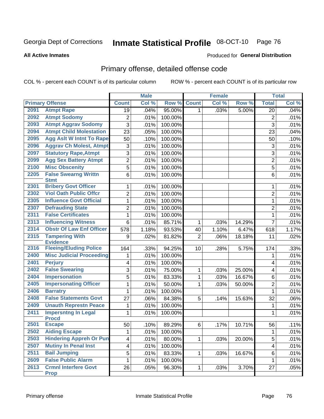#### Inmate Statistical Profile 08-OCT-10 Page 76

**All Active Inmates** 

### **Produced for General Distribution**

### Primary offense, detailed offense code

COL % - percent each COUNT is of its particular column

|      |                                            |                         | <b>Male</b> |         |                | <b>Female</b> |        |                           | <b>Total</b> |
|------|--------------------------------------------|-------------------------|-------------|---------|----------------|---------------|--------|---------------------------|--------------|
|      | <b>Primary Offense</b>                     | <b>Count</b>            | Col %       | Row %   | <b>Count</b>   | Col %         | Row %  | <b>Total</b>              | Col %        |
| 2091 | <b>Atmpt Rape</b>                          | $\overline{19}$         | .04%        | 95.00%  | $\mathbf{1}$   | .03%          | 5.00%  | 20                        | .04%         |
| 2092 | <b>Atmpt Sodomy</b>                        | $\overline{c}$          | .01%        | 100.00% |                |               |        | $\overline{c}$            | .01%         |
| 2093 | <b>Atmpt Aggrav Sodomy</b>                 | 3                       | .01%        | 100.00% |                |               |        | $\overline{3}$            | .01%         |
| 2094 | <b>Atmpt Child Molestation</b>             | 23                      | .05%        | 100.00% |                |               |        | 23                        | .04%         |
| 2095 | <b>Agg Aslt W Intnt To Rape</b>            | 50                      | .10%        | 100.00% |                |               |        | 50                        | .10%         |
| 2096 | <b>Aggrav Ch Molest, Atmpt</b>             | 3                       | .01%        | 100.00% |                |               |        | $\ensuremath{\mathsf{3}}$ | .01%         |
| 2097 | <b>Statutory Rape, Atmpt</b>               | $\overline{3}$          | .01%        | 100.00% |                |               |        | $\overline{3}$            | .01%         |
| 2099 | <b>Agg Sex Battery Atmpt</b>               | $\overline{2}$          | .01%        | 100.00% |                |               |        | $\overline{2}$            | .01%         |
| 2100 | <b>Misc Obscenity</b>                      | 5                       | .01%        | 100.00% |                |               |        | 5                         | .01%         |
| 2205 | <b>False Swearng Writtn</b>                | 6                       | .01%        | 100.00% |                |               |        | 6                         | .01%         |
|      | <b>Stmt</b>                                |                         |             |         |                |               |        |                           |              |
| 2301 | <b>Bribery Govt Officer</b>                | 1                       | .01%        | 100.00% |                |               |        | 1                         | .01%         |
| 2302 | <b>Viol Oath Public Offcr</b>              | $\overline{2}$          | .01%        | 100.00% |                |               |        | $\overline{2}$            | .01%         |
| 2305 | <b>Influence Govt Official</b>             | $\mathbf{1}$            | .01%        | 100.00% |                |               |        | $\mathbf{1}$              | .01%         |
| 2307 | <b>Defrauding State</b>                    | $\overline{2}$          | .01%        | 100.00% |                |               |        | 2                         | .01%         |
| 2311 | <b>False Certificates</b>                  | $\mathbf{1}$            | .01%        | 100.00% |                |               |        | $\mathbf{1}$              | .01%         |
| 2313 | <b>Influencing Witness</b>                 | 6                       | .01%        | 85.71%  | $\mathbf{1}$   | .03%          | 14.29% | $\overline{7}$            | .01%         |
| 2314 | <b>Obstr Of Law Enf Officer</b>            | 578                     | 1.18%       | 93.53%  | 40             | 1.10%         | 6.47%  | 618                       | 1.17%        |
| 2315 | <b>Tampering With</b><br><b>Evidence</b>   | 9                       | .02%        | 81.82%  | $\overline{2}$ | .06%          | 18.18% | 11                        | .02%         |
| 2316 | <b>Fleeing/Eluding Police</b>              | 164                     | .33%        | 94.25%  | 10             | .28%          | 5.75%  | 174                       | .33%         |
| 2400 | <b>Misc Judicial Proceeding</b>            | 1                       | .01%        | 100.00% |                |               |        | 1                         | .01%         |
| 2401 | <b>Perjury</b>                             | 4                       | .01%        | 100.00% |                |               |        | 4                         | .01%         |
| 2402 | <b>False Swearing</b>                      | 3                       | .01%        | 75.00%  | $\mathbf{1}$   | .03%          | 25.00% | 4                         | .01%         |
| 2404 | <b>Impersonation</b>                       | $\overline{5}$          | .01%        | 83.33%  | $\mathbf{1}$   | .03%          | 16.67% | 6                         | .01%         |
| 2405 | <b>Impersonating Officer</b>               | $\mathbf{1}$            | .01%        | 50.00%  | 1              | .03%          | 50.00% | 2                         | .01%         |
| 2406 | <b>Barratry</b>                            | $\mathbf{1}$            | .01%        | 100.00% |                |               |        | $\mathbf{1}$              | .01%         |
| 2408 | <b>False Statements Govt</b>               | 27                      | .06%        | 84.38%  | 5              | .14%          | 15.63% | 32                        | .06%         |
| 2409 | <b>Unauth Represtn Peace</b>               | 1                       | .01%        | 100.00% |                |               |        | 1                         | .01%         |
| 2411 | <b>Impersntng In Legal</b><br><b>Procd</b> | $\mathbf{1}$            | .01%        | 100.00% |                |               |        | 1                         | .01%         |
| 2501 | <b>Escape</b>                              | 50                      | .10%        | 89.29%  | 6              | .17%          | 10.71% | 56                        | .11%         |
| 2502 | <b>Aiding Escape</b>                       | 1                       | .01%        | 100.00% |                |               |        | 1                         | .01%         |
| 2503 | <b>Hindering Appreh Or Pun</b>             | $\overline{\mathbf{4}}$ | .01%        | 80.00%  | $\mathbf{1}$   | .03%          | 20.00% | $\overline{5}$            | .01%         |
| 2507 | <b>Mutiny In Penal Inst</b>                | $\overline{\mathbf{4}}$ | .01%        | 100.00% |                |               |        | $\overline{\mathbf{4}}$   | .01%         |
| 2511 | <b>Bail Jumping</b>                        | 5                       | .01%        | 83.33%  | 1              | .03%          | 16.67% | 6                         | .01%         |
| 2609 | <b>False Public Alarm</b>                  | 1                       | .01%        | 100.00% |                |               |        | $\mathbf 1$               | .01%         |
| 2613 | <b>Crmnl Interfere Govt</b><br><b>Prop</b> | 26                      | .05%        | 96.30%  | $\mathbf{1}$   | .03%          | 3.70%  | 27                        | .05%         |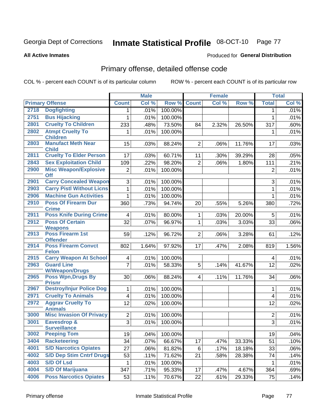# Inmate Statistical Profile 08-OCT-10 Page 77

#### **All Active Inmates**

### Produced for General Distribution

# Primary offense, detailed offense code

COL % - percent each COUNT is of its particular column

|      |                                               | <b>Male</b>    |       | <b>Female</b> |                |       | <b>Total</b> |                |       |
|------|-----------------------------------------------|----------------|-------|---------------|----------------|-------|--------------|----------------|-------|
|      | <b>Primary Offense</b>                        | <b>Count</b>   | Col % | Row %         | <b>Count</b>   | Col % | Row %        | <b>Total</b>   | Col % |
| 2718 | <b>Dogfighting</b>                            | 1.             | .01%  | 100.00%       |                |       |              | 1.             | .01%  |
| 2751 | <b>Bus Hijacking</b>                          | 1              | .01%  | 100.00%       |                |       |              | $\mathbf{1}$   | .01%  |
| 2801 | <b>Cruelty To Children</b>                    | 233            | .48%  | 73.50%        | 84             | 2.32% | 26.50%       | 317            | .60%  |
| 2802 | <b>Atmpt Cruelty To</b><br><b>Children</b>    | 1              | .01%  | 100.00%       |                |       |              | 1              | .01%  |
| 2803 | <b>Manufact Meth Near</b><br><b>Child</b>     | 15             | .03%  | 88.24%        | $\overline{2}$ | .06%  | 11.76%       | 17             | .03%  |
| 2811 | <b>Cruelty To Elder Person</b>                | 17             | .03%  | 60.71%        | 11             | .30%  | 39.29%       | 28             | .05%  |
| 2843 | <b>Sex Exploitation Child</b>                 | 109            | .22%  | 98.20%        | $\overline{2}$ | .06%  | 1.80%        | 111            | .21%  |
| 2900 | <b>Misc Weapon/Explosive</b><br><b>Off</b>    | $\overline{2}$ | .01%  | 100.00%       |                |       |              | $\overline{2}$ | .01%  |
| 2901 | <b>Carry Concealed Weapon</b>                 | 3              | .01%  | 100.00%       |                |       |              | 3              | .01%  |
| 2903 | <b>Carry Pistl Without Licns</b>              | 1              | .01%  | 100.00%       |                |       |              | $\mathbf{1}$   | .01%  |
| 2906 | <b>Machine Gun Activities</b>                 | $\mathbf{1}$   | .01%  | 100.00%       |                |       |              | 1              | .01%  |
| 2910 | <b>Poss Of Firearm Dur</b><br><b>Crime</b>    | 360            | .73%  | 94.74%        | 20             | .55%  | 5.26%        | 380            | .72%  |
| 2911 | <b>Poss Knife During Crime</b>                | $\overline{4}$ | .01%  | 80.00%        | 1              | .03%  | 20.00%       | 5              | .01%  |
| 2912 | <b>Poss Of Certain</b><br><b>Weapons</b>      | 32             | .07%  | 96.97%        | $\mathbf{1}$   | .03%  | 3.03%        | 33             | .06%  |
| 2913 | Poss Firearm 1st<br><b>Offender</b>           | 59             | .12%  | 96.72%        | $\overline{2}$ | .06%  | 3.28%        | 61             | .12%  |
| 2914 | <b>Poss Firearm Convct</b><br><b>Felon</b>    | 802            | 1.64% | 97.92%        | 17             | .47%  | 2.08%        | 819            | 1.56% |
| 2915 | <b>Carry Weapon At School</b>                 | 4              | .01%  | 100.00%       |                |       |              | 4              | .01%  |
| 2963 | <b>Guard Line</b><br><b>W/Weapon/Drugs</b>    | $\overline{7}$ | .01%  | 58.33%        | 5              | .14%  | 41.67%       | 12             | .02%  |
| 2965 | <b>Poss Wpn, Drugs By</b><br><b>Prisnr</b>    | 30             | .06%  | 88.24%        | 4              | .11%  | 11.76%       | 34             | .06%  |
| 2967 | <b>Destroy/Injur Police Dog</b>               | $\mathbf{1}$   | .01%  | 100.00%       |                |       |              | 1              | .01%  |
| 2971 | <b>Cruelty To Animals</b>                     | $\overline{4}$ | .01%  | 100.00%       |                |       |              | 4              | .01%  |
| 2972 | <b>Aggrav Cruelty To</b><br><b>Animals</b>    | 12             | .02%  | 100.00%       |                |       |              | 12             | .02%  |
| 3000 | <b>Misc Invasion Of Privacy</b>               | $\overline{2}$ | .01%  | 100.00%       |                |       |              | $\overline{2}$ | .01%  |
| 3001 | <b>Eavesdrop &amp;</b><br><b>Surveillance</b> | $\overline{3}$ | .01%  | 100.00%       |                |       |              | $\overline{3}$ | .01%  |
| 3002 | <b>Peeping Tom</b>                            | 19             | .04%  | 100.00%       |                |       |              | 19             | .04%  |
| 3404 | <b>Racketeering</b>                           | 34             | .07%  | 66.67%        | 17             | .47%  | 33.33%       | 51             | .10%  |
| 4001 | <b>S/D Narcotics Opiates</b>                  | 27             | .06%  | 81.82%        | 6              | .17%  | 18.18%       | 33             | .06%  |
| 4002 | <b>S/D Dep Stim Cntrf Drugs</b>               | 53             | .11%  | 71.62%        | 21             | .58%  | 28.38%       | 74             | .14%  |
| 4003 | <b>S/D Of Lsd</b>                             | 1              | .01%  | 100.00%       |                |       |              | 1              | .01%  |
| 4004 | <b>S/D Of Marijuana</b>                       | 347            | .71%  | 95.33%        | 17             | .47%  | 4.67%        | 364            | .69%  |
| 4006 | <b>Poss Narcotics Opiates</b>                 | 53             | .11%  | 70.67%        | 22             | .61%  | 29.33%       | 75             | .14%  |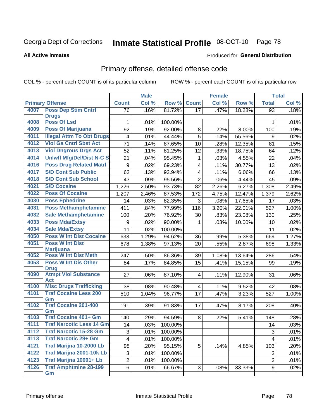#### Inmate Statistical Profile 08-OCT-10 Page 78

**All Active Inmates** 

### **Produced for General Distribution**

### Primary offense, detailed offense code

COL % - percent each COUNT is of its particular column

|      |                                            |                  | <b>Male</b> |         |                          | <b>Female</b> |        |                           | <b>Total</b> |
|------|--------------------------------------------|------------------|-------------|---------|--------------------------|---------------|--------|---------------------------|--------------|
|      | <b>Primary Offense</b>                     | <b>Count</b>     | Col %       | Row %   | <b>Count</b>             | Col %         | Row %  | <b>Total</b>              | Col %        |
| 4007 | <b>Poss Dep Stim Cntrf</b>                 | $\overline{76}$  | .16%        | 81.72%  | 17                       | .47%          | 18.28% | 93                        | .18%         |
| 4008 | <b>Drugs</b><br><b>Poss Of Lsd</b>         | 1                | .01%        | 100.00% |                          |               |        | 1                         | .01%         |
| 4009 | <b>Poss Of Marijuana</b>                   | 92               | .19%        | 92.00%  | 8                        | .22%          | 8.00%  | 100                       | .19%         |
| 4011 | <b>Illegal Attm To Obt Drugs</b>           | 4                | .01%        | 44.44%  | $\overline{5}$           | .14%          | 55.56% | 9                         | .02%         |
| 4012 | <b>Viol Ga Cntrl Sbst Act</b>              | 71               | .14%        | 87.65%  | 10                       | .28%          | 12.35% | 81                        | .15%         |
| 4013 | <b>Viol Dngrous Drgs Act</b>               | 52               | .11%        | 81.25%  | 12                       | .33%          | 18.75% | 64                        | .12%         |
| 4014 | <b>Uniwfl Mfg/Del/Dist N-C S</b>           | 21               | .04%        | 95.45%  | $\mathbf{1}$             | .03%          | 4.55%  | 22                        | .04%         |
| 4016 | <b>Poss Drug Related Matri</b>             | $\boldsymbol{9}$ | .02%        | 69.23%  | $\overline{\mathbf{4}}$  | .11%          | 30.77% | 13                        | .02%         |
| 4017 | <b>S/D Cont Sub Public</b>                 | 62               | .13%        | 93.94%  | $\overline{\mathcal{A}}$ | .11%          | 6.06%  | 66                        | .13%         |
| 4018 | <b>S/D Cont Sub School</b>                 | 43               | .09%        | 95.56%  | $\overline{2}$           | .06%          | 4.44%  | 45                        | .09%         |
| 4021 | <b>S/D Cocaine</b>                         | 1,226            | 2.50%       | 93.73%  | 82                       | 2.26%         | 6.27%  | 1,308                     | 2.49%        |
| 4022 | <b>Poss Of Cocaine</b>                     | 1,207            | 2.46%       | 87.53%  | 172                      | 4.75%         | 12.47% | 1,379                     | 2.62%        |
| 4030 | <b>Poss Ephedrine</b>                      | 14               | .03%        | 82.35%  | 3                        | .08%          | 17.65% | 17                        | .03%         |
| 4031 | <b>Poss Methamphetamine</b>                | 411              | .84%        | 77.99%  | 116                      | 3.20%         | 22.01% | 527                       | 1.00%        |
| 4032 | <b>Sale Methamphetamine</b>                | 100              | .20%        | 76.92%  | 30                       | .83%          | 23.08% | 130                       | .25%         |
| 4033 | <b>Poss Mda/Extsy</b>                      | 9                | .02%        | 90.00%  | 1                        | .03%          | 10.00% | 10                        | .02%         |
| 4034 | <b>Sale Mda/Extsy</b>                      | 11               | .02%        | 100.00% |                          |               |        | 11                        | .02%         |
| 4050 | <b>Poss W Int Dist Cocaine</b>             | 633              | 1.29%       | 94.62%  | 36                       | .99%          | 5.38%  | 669                       | 1.27%        |
| 4051 | <b>Poss W Int Dist</b>                     | 678              | 1.38%       | 97.13%  | 20                       | .55%          | 2.87%  | 698                       | 1.33%        |
|      | <b>Marijuana</b>                           |                  |             |         |                          |               |        |                           |              |
| 4052 | <b>Poss W Int Dist Meth</b>                | 247              | .50%        | 86.36%  | 39                       | 1.08%         | 13.64% | 286                       | .54%         |
| 4053 | <b>Poss W Int Dis Other</b><br><b>Drug</b> | 84               | .17%        | 84.85%  | 15                       | .41%          | 15.15% | 99                        | .19%         |
| 4090 | <b>Atmpt Viol Substance</b>                | 27               | .06%        | 87.10%  | $\overline{4}$           | .11%          | 12.90% | 31                        | .06%         |
|      | <b>Act</b>                                 |                  |             |         |                          |               |        |                           |              |
| 4100 | <b>Misc Drugs Trafficking</b>              | 38               | .08%        | 90.48%  | 4                        | .11%          | 9.52%  | 42                        | .08%         |
| 4101 | <b>Traf Cocaine Less 200</b>               | 510              | 1.04%       | 96.77%  | 17                       | .47%          | 3.23%  | 527                       | 1.00%        |
| 4102 | Gm<br><b>Traf Cocaine 201-400</b>          |                  |             |         |                          |               |        |                           |              |
|      | Gm                                         | 191              | .39%        | 91.83%  | 17                       | .47%          | 8.17%  | 208                       | .40%         |
| 4103 | <b>Traf Cocaine 401+ Gm</b>                | 140              | .29%        | 94.59%  | 8                        | .22%          | 5.41%  | 148                       | .28%         |
| 4111 | <b>Traf Narcotic Less 14 Gm</b>            | 14               | .03%        | 100.00% |                          |               |        | 14                        | .03%         |
| 4112 | <b>Traf Narcotic 15-28 Gm</b>              | 3                | .01%        | 100.00% |                          |               |        | $\ensuremath{\mathsf{3}}$ | .01%         |
| 4113 | <b>Traf Narcotic 29+ Gm</b>                | 4                | .01%        | 100.00% |                          |               |        | 4                         | .01%         |
| 4121 | Traf Marijna 10-2000 Lb                    | 98               | .20%        | 95.15%  | 5                        | .14%          | 4.85%  | 103                       | .20%         |
| 4122 | <b>Traf Marijna 2001-10k Lb</b>            | 3                | .01%        | 100.00% |                          |               |        | 3                         | .01%         |
| 4123 | Traf Marijna 10001+ Lb                     | $\overline{2}$   | .01%        | 100.00% |                          |               |        | $\overline{2}$            | .01%         |
| 4126 | <b>Traf Amphtmine 28-199</b>               | 6                | .01%        | 66.67%  | 3                        | .08%          | 33.33% | 9                         | .02%         |
|      | Gm                                         |                  |             |         |                          |               |        |                           |              |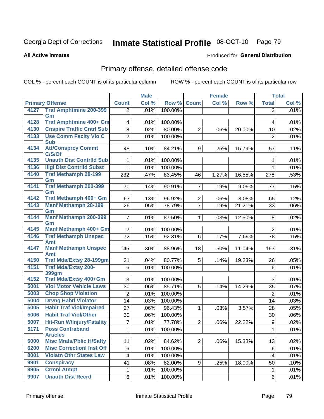# Inmate Statistical Profile 08-OCT-10 Page 79

**All Active Inmates** 

### Produced for General Distribution

# Primary offense, detailed offense code

COL % - percent each COUNT is of its particular column

|      |                                            |                         | <b>Male</b> |         | <b>Female</b>  |                     | <b>Total</b> |                  |       |
|------|--------------------------------------------|-------------------------|-------------|---------|----------------|---------------------|--------------|------------------|-------|
|      | <b>Primary Offense</b>                     | <b>Count</b>            | Col %       | Row %   | <b>Count</b>   | Col %               | Row %        | <b>Total</b>     | Col % |
| 4127 | <b>Traf Amphtmine 200-399</b>              | $\overline{2}$          | .01%        | 100.00% |                |                     |              | 2                | .01%  |
|      | Gm                                         |                         |             |         |                |                     |              |                  |       |
| 4128 | <b>Traf Amphtmine 400+ Gm</b>              | $\overline{\mathbf{4}}$ | .01%        | 100.00% |                |                     |              | $\overline{4}$   | .01%  |
| 4130 | <b>Cnspire Traffic Cntrl Sub</b>           | 8                       | .02%        | 80.00%  | $\overline{2}$ | .06%                | 20.00%       | 10               | .02%  |
| 4133 | <b>Use Comm Facity Vio C</b><br><b>Sub</b> | $\overline{2}$          | .01%        | 100.00% |                |                     |              | $\overline{2}$   | .01%  |
| 4134 | <b>Att/Consprcy Commt</b>                  | 48                      | .10%        | 84.21%  | 9              | .25%                | 15.79%       | 57               | .11%  |
|      | C/S/Of                                     |                         |             |         |                |                     |              |                  |       |
| 4135 | <b>Unauth Dist Contrild Sub</b>            | 1                       | .01%        | 100.00% |                |                     |              | 1                | .01%  |
| 4136 | <b>Illgl Dist Contrild Subst</b>           | 1                       | .01%        | 100.00% |                |                     |              | $\mathbf{1}$     | .01%  |
| 4140 | <b>Traf Methamph 28-199</b>                | 232                     | .47%        | 83.45%  | 46             | $\overline{1.27\%}$ | 16.55%       | 278              | .53%  |
|      | Gm                                         |                         |             |         |                |                     |              |                  |       |
| 4141 | Traf Methamph 200-399<br>Gm                | 70                      | .14%        | 90.91%  | $\overline{7}$ | .19%                | 9.09%        | 77               | .15%  |
| 4142 | Traf Methamph 400+ Gm                      | 63                      | .13%        | 96.92%  | $\overline{2}$ | .06%                | 3.08%        | 65               | .12%  |
| 4143 | <b>Manf Methamph 28-199</b>                | 26                      | .05%        | 78.79%  | $\overline{7}$ | .19%                | 21.21%       | 33               | .06%  |
|      | Gm                                         |                         |             |         |                |                     |              |                  |       |
| 4144 | Manf Methamph 200-399                      | $\overline{7}$          | .01%        | 87.50%  | $\mathbf{1}$   | .03%                | 12.50%       | 8                | .02%  |
| 4145 | Gm<br><b>Manf Methamph 400+ Gm</b>         |                         |             |         |                |                     |              |                  | .01%  |
| 4146 | <b>Traf Methamph Unspec</b>                | $\overline{2}$<br>72    | .01%        | 100.00% | 6              |                     | 7.69%        | $\overline{2}$   |       |
|      | Amt                                        |                         | .15%        | 92.31%  |                | .17%                |              | 78               | .15%  |
| 4147 | <b>Manf Methamph Unspec</b>                | 145                     | .30%        | 88.96%  | 18             | .50%                | 11.04%       | 163              | .31%  |
|      | <b>Amt</b>                                 |                         |             |         |                |                     |              |                  |       |
| 4150 | <b>Traf Mda/Extsy 28-199gm</b>             | 21                      | .04%        | 80.77%  | 5              | .14%                | 19.23%       | 26               | .05%  |
| 4151 | <b>Traf Mda/Extsy 200-</b>                 | 6                       | .01%        | 100.00% |                |                     |              | 6                | .01%  |
| 4152 | 399gm<br>Traf Mda/Extsy 400+Gm             | 3                       | .01%        | 100.00% |                |                     |              | 3                | .01%  |
| 5001 | <b>Viol Motor Vehicle Laws</b>             | 30                      | .06%        | 85.71%  | 5              | .14%                | 14.29%       | 35               | .07%  |
| 5003 | <b>Chop Shop Violation</b>                 | 2                       | .01%        | 100.00% |                |                     |              | $\overline{2}$   | .01%  |
| 5004 | <b>Drvng Habtl Violator</b>                | 14                      | .03%        | 100.00% |                |                     |              | 14               | .03%  |
| 5005 | <b>Habit Traf Viol/Impaired</b>            | 27                      | .06%        | 96.43%  | 1              | .03%                | 3.57%        | 28               | .05%  |
| 5006 | <b>Habit Traf Viol/Other</b>               | 30                      | .06%        | 100.00% |                |                     |              | 30               | .06%  |
| 5007 | <b>Hit-Run W/Injury/Fatality</b>           | 7                       | .01%        | 77.78%  | $\overline{2}$ | .06%                | 22.22%       | $\boldsymbol{9}$ | .02%  |
| 5171 | <b>Poss Contraband</b>                     | 1                       | .01%        | 100.00% |                |                     |              | 1                | .01%  |
|      | <b>Articles</b>                            |                         |             |         |                |                     |              |                  |       |
| 6000 | <b>Misc Mrals/Pblic H/Safty</b>            | 11                      | .02%        | 84.62%  | 2 <sup>2</sup> | .06%                | 15.38%       | 13               | .02%  |
| 6200 | <b>Misc CorrectionI Inst Off</b>           | 6                       | .01%        | 100.00% |                |                     |              | 6                | .01%  |
| 8001 | <b>Violatn Othr States Law</b>             | $\overline{\mathbf{4}}$ | .01%        | 100.00% |                |                     |              | $\overline{4}$   | .01%  |
| 9901 | <b>Conspiracy</b>                          | 41                      | .08%        | 82.00%  | 9              | .25%                | 18.00%       | 50               | .10%  |
| 9905 | <b>Crmnl Atmpt</b>                         | 1                       | .01%        | 100.00% |                |                     |              | 1                | .01%  |
| 9907 | <b>Unauth Dist Recrd</b>                   | 6                       | .01%        | 100.00% |                |                     |              | 6                | .01%  |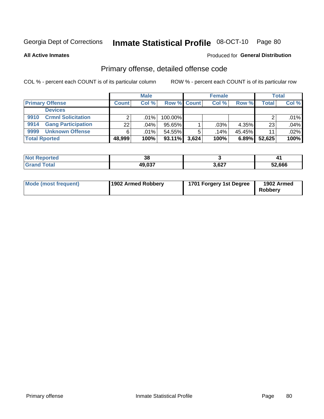# Inmate Statistical Profile 08-OCT-10 Page 80

**Produced for General Distribution** 

**All Active Inmates** 

# Primary offense, detailed offense code

COL % - percent each COUNT is of its particular column

|                                   |              | <b>Male</b> |                    |       | <b>Female</b> |        |        | <b>Total</b> |
|-----------------------------------|--------------|-------------|--------------------|-------|---------------|--------|--------|--------------|
| <b>Primary Offense</b>            | <b>Count</b> | Col %       | <b>Row % Count</b> |       | Col %         | Row %  | Total  | Col %        |
| <b>Devices</b>                    |              |             |                    |       |               |        |        |              |
| <b>Crmnl Solicitation</b><br>9910 |              | $.01\%$     | 100.00%            |       |               |        |        | .01%         |
| <b>Gang Participation</b><br>9914 | 22           | .04%        | 95.65%             |       | .03%          | 4.35%  | 23     | .04%         |
| <b>Unknown Offense</b><br>9999    | 6            | .01% !      | 54.55%             |       | .14%          | 45.45% | 11     | $.02\%$      |
| <b>Total Rported</b>              | 48,999       | 100%        | $93.11\%$          | 3.624 | 100%          | 6.89%  | 52,625 | 100%         |

| <b>rtea</b> | 38               |                 |        |
|-------------|------------------|-----------------|--------|
|             | 10 N27<br>49,03. | 3,627<br>$\sim$ | 52,666 |

| Mode (most frequent) | 1902 Armed Robbery | 1701 Forgery 1st Degree | 1902 Armed<br>Robberv |
|----------------------|--------------------|-------------------------|-----------------------|
|----------------------|--------------------|-------------------------|-----------------------|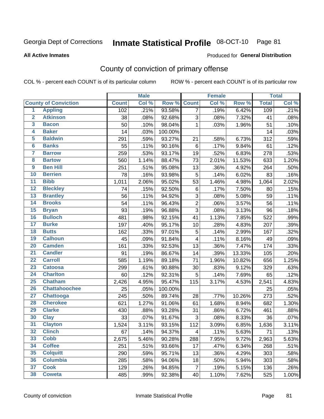# Inmate Statistical Profile 08-OCT-10 Page 81

**All Active Inmates** 

#### Produced for General Distribution

# County of conviction of primary offense

COL % - percent each COUNT is of its particular column

|                         |                             |              | <b>Male</b> |         |                         | Female |        |              | <b>Total</b> |
|-------------------------|-----------------------------|--------------|-------------|---------|-------------------------|--------|--------|--------------|--------------|
|                         | <b>County of Conviction</b> | <b>Count</b> | Col %       | Row %   | <b>Count</b>            | Col %  | Row %  | <b>Total</b> | Col %        |
| 1                       | <b>Appling</b>              | 102          | .21%        | 93.58%  | $\overline{7}$          | .19%   | 6.42%  | 109          | .21%         |
| $\overline{2}$          | <b>Atkinson</b>             | 38           | .08%        | 92.68%  | 3                       | .08%   | 7.32%  | 41           | .08%         |
| $\overline{\mathbf{3}}$ | <b>Bacon</b>                | 50           | .10%        | 98.04%  | 1                       | .03%   | 1.96%  | 51           | .10%         |
| 4                       | <b>Baker</b>                | 14           | .03%        | 100.00% |                         |        |        | 14           | .03%         |
| 5                       | <b>Baldwin</b>              | 291          | .59%        | 93.27%  | 21                      | .58%   | 6.73%  | 312          | .59%         |
| $6\phantom{a}$          | <b>Banks</b>                | 55           | .11%        | 90.16%  | $\,6$                   | .17%   | 9.84%  | 61           | .12%         |
| $\overline{\mathbf{7}}$ | <b>Barrow</b>               | 259          | .53%        | 93.17%  | 19                      | .52%   | 6.83%  | 278          | .53%         |
| 8                       | <b>Bartow</b>               | 560          | 1.14%       | 88.47%  | 73                      | 2.01%  | 11.53% | 633          | 1.20%        |
| 9                       | <b>Ben Hill</b>             | 251          | .51%        | 95.08%  | 13                      | .36%   | 4.92%  | 264          | .50%         |
| 10                      | <b>Berrien</b>              | 78           | .16%        | 93.98%  | 5                       | .14%   | 6.02%  | 83           | .16%         |
| $\overline{11}$         | <b>Bibb</b>                 | 1,011        | 2.06%       | 95.02%  | 53                      | 1.46%  | 4.98%  | 1,064        | 2.02%        |
| $\overline{12}$         | <b>Bleckley</b>             | 74           | .15%        | 92.50%  | $\,6$                   | .17%   | 7.50%  | 80           | .15%         |
| 13                      | <b>Brantley</b>             | 56           | .11%        | 94.92%  | 3                       | .08%   | 5.08%  | 59           | .11%         |
| 14                      | <b>Brooks</b>               | 54           | .11%        | 96.43%  | $\overline{2}$          | .06%   | 3.57%  | 56           | .11%         |
| 15                      | <b>Bryan</b>                | 93           | .19%        | 96.88%  | $\overline{3}$          | .08%   | 3.13%  | 96           | .18%         |
| 16                      | <b>Bulloch</b>              | 481          | .98%        | 92.15%  | 41                      | 1.13%  | 7.85%  | 522          | .99%         |
| 17                      | <b>Burke</b>                | 197          | .40%        | 95.17%  | 10                      | .28%   | 4.83%  | 207          | .39%         |
| 18                      | <b>Butts</b>                | 162          | .33%        | 97.01%  | $\mathbf 5$             | .14%   | 2.99%  | 167          | .32%         |
| 19                      | <b>Calhoun</b>              | 45           | .09%        | 91.84%  | $\overline{\mathbf{4}}$ | .11%   | 8.16%  | 49           | .09%         |
| 20                      | <b>Camden</b>               | 161          | .33%        | 92.53%  | 13                      | .36%   | 7.47%  | 174          | .33%         |
| $\overline{21}$         | <b>Candler</b>              | 91           | .19%        | 86.67%  | 14                      | .39%   | 13.33% | 105          | .20%         |
| $\overline{22}$         | <b>Carroll</b>              | 585          | 1.19%       | 89.18%  | 71                      | 1.96%  | 10.82% | 656          | 1.25%        |
| 23                      | <b>Catoosa</b>              | 299          | .61%        | 90.88%  | 30                      | .83%   | 9.12%  | 329          | .63%         |
| $\overline{24}$         | <b>Charlton</b>             | 60           | .12%        | 92.31%  | $\sqrt{5}$              | .14%   | 7.69%  | 65           | .12%         |
| 25                      | <b>Chatham</b>              | 2,426        | 4.95%       | 95.47%  | 115                     | 3.17%  | 4.53%  | 2,541        | 4.83%        |
| 26                      | <b>Chattahoochee</b>        | 25           | .05%        | 100.00% |                         |        |        | 25           | .05%         |
| $\overline{27}$         | <b>Chattooga</b>            | 245          | .50%        | 89.74%  | 28                      | .77%   | 10.26% | 273          | .52%         |
| 28                      | <b>Cherokee</b>             | 621          | 1.27%       | 91.06%  | 61                      | 1.68%  | 8.94%  | 682          | 1.30%        |
| 29                      | <b>Clarke</b>               | 430          | .88%        | 93.28%  | 31                      | .86%   | 6.72%  | 461          | .88%         |
| 30                      | <b>Clay</b>                 | 33           | .07%        | 91.67%  | 3                       | .08%   | 8.33%  | 36           | .07%         |
| $\overline{31}$         | <b>Clayton</b>              | 1,524        | 3.11%       | 93.15%  | 112                     | 3.09%  | 6.85%  | 1,636        | 3.11%        |
| 32                      | <b>Clinch</b>               | 67           | .14%        | 94.37%  | $\overline{\mathbf{4}}$ | .11%   | 5.63%  | 71           | .13%         |
| 33                      | <b>Cobb</b>                 | 2,675        | 5.46%       | 90.28%  | 288                     | 7.95%  | 9.72%  | 2,963        | 5.63%        |
| 34                      | <b>Coffee</b>               | 251          | .51%        | 93.66%  | 17                      | .47%   | 6.34%  | 268          | .51%         |
| 35                      | <b>Colquitt</b>             | 290          | .59%        | 95.71%  | 13                      | .36%   | 4.29%  | 303          | .58%         |
| 36                      | <b>Columbia</b>             | 285          | .58%        | 94.06%  | 18                      | .50%   | 5.94%  | 303          | .58%         |
| 37                      | <b>Cook</b>                 | 129          | .26%        | 94.85%  | $\overline{7}$          | .19%   | 5.15%  | 136          | .26%         |
| 38                      | <b>Coweta</b>               | 485          | .99%        | 92.38%  | 40                      | 1.10%  | 7.62%  | 525          | 1.00%        |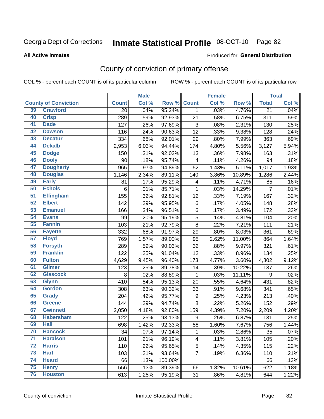# Inmate Statistical Profile 08-OCT-10 Page 82

**All Active Inmates** 

#### Produced for General Distribution

# County of conviction of primary offense

COL % - percent each COUNT is of its particular column

|                 |                             | <b>Male</b><br><b>Female</b> |       |         |                         | <b>Total</b> |        |                 |       |
|-----------------|-----------------------------|------------------------------|-------|---------|-------------------------|--------------|--------|-----------------|-------|
|                 | <b>County of Conviction</b> | <b>Count</b>                 | Col % | Row %   | <b>Count</b>            | Col %        | Row %  | <b>Total</b>    | Col % |
| 39              | <b>Crawford</b>             | 20                           | .04%  | 95.24%  | $\mathbf{1}$            | .03%         | 4.76%  | $\overline{21}$ | .04%  |
| 40              | <b>Crisp</b>                | 289                          | .59%  | 92.93%  | 21                      | .58%         | 6.75%  | 311             | .59%  |
| 41              | <b>Dade</b>                 | 127                          | .26%  | 97.69%  | 3                       | .08%         | 2.31%  | 130             | .25%  |
| 42              | <b>Dawson</b>               | 116                          | .24%  | 90.63%  | 12                      | .33%         | 9.38%  | 128             | .24%  |
| 43              | <b>Decatur</b>              | 334                          | .68%  | 92.01%  | 29                      | .80%         | 7.99%  | 363             | .69%  |
| 44              | <b>Dekalb</b>               | 2,953                        | 6.03% | 94.44%  | 174                     | 4.80%        | 5.56%  | 3,127           | 5.94% |
| 45              | <b>Dodge</b>                | 150                          | .31%  | 92.02%  | 13                      | .36%         | 7.98%  | 163             | .31%  |
| 46              | <b>Dooly</b>                | 90                           | .18%  | 95.74%  | $\overline{\mathbf{4}}$ | .11%         | 4.26%  | 94              | .18%  |
| 47              | <b>Dougherty</b>            | 965                          | 1.97% | 94.89%  | 52                      | 1.43%        | 5.11%  | 1,017           | 1.93% |
| 48              | <b>Douglas</b>              | 1,146                        | 2.34% | 89.11%  | 140                     | 3.86%        | 10.89% | 1,286           | 2.44% |
| 49              | <b>Early</b>                | 81                           | .17%  | 95.29%  | 4                       | .11%         | 4.71%  | 85              | .16%  |
| 50              | <b>Echols</b>               | 6                            | .01%  | 85.71%  | 1                       | .03%         | 14.29% | 7               | .01%  |
| $\overline{51}$ | <b>Effingham</b>            | 155                          | .32%  | 92.81%  | 12                      | .33%         | 7.19%  | 167             | .32%  |
| 52              | <b>Elbert</b>               | 142                          | .29%  | 95.95%  | 6                       | .17%         | 4.05%  | 148             | .28%  |
| 53              | <b>Emanuel</b>              | 166                          | .34%  | 96.51%  | 6                       | .17%         | 3.49%  | 172             | .33%  |
| 54              | <b>Evans</b>                | 99                           | .20%  | 95.19%  | 5                       | .14%         | 4.81%  | 104             | .20%  |
| 55              | <b>Fannin</b>               | 103                          | .21%  | 92.79%  | 8                       | .22%         | 7.21%  | 111             | .21%  |
| 56              | <b>Fayette</b>              | 332                          | .68%  | 91.97%  | 29                      | .80%         | 8.03%  | 361             | .69%  |
| $\overline{57}$ | <b>Floyd</b>                | 769                          | 1.57% | 89.00%  | 95                      | 2.62%        | 11.00% | 864             | 1.64% |
| 58              | <b>Forsyth</b>              | 289                          | .59%  | 90.03%  | 32                      | .88%         | 9.97%  | 321             | .61%  |
| 59              | <b>Franklin</b>             | 122                          | .25%  | 91.04%  | 12                      | .33%         | 8.96%  | 134             | .25%  |
| 60              | <b>Fulton</b>               | 4,629                        | 9.45% | 96.40%  | 173                     | 4.77%        | 3.60%  | 4,802           | 9.12% |
| 61              | Gilmer                      | 123                          | .25%  | 89.78%  | 14                      | .39%         | 10.22% | 137             | .26%  |
| 62              | <b>Glascock</b>             | 8                            | .02%  | 88.89%  | 1                       | .03%         | 11.11% | 9               | .02%  |
| 63              | <b>Glynn</b>                | 410                          | .84%  | 95.13%  | 20                      | .55%         | 4.64%  | 431             | .82%  |
| 64              | <b>Gordon</b>               | 308                          | .63%  | 90.32%  | 33                      | .91%         | 9.68%  | 341             | .65%  |
| 65              | <b>Grady</b>                | 204                          | .42%  | 95.77%  | $\boldsymbol{9}$        | .25%         | 4.23%  | 213             | .40%  |
| 66              | <b>Greene</b>               | 144                          | .29%  | 94.74%  | 8                       | .22%         | 5.26%  | 152             | .29%  |
| 67              | <b>Gwinnett</b>             | 2,050                        | 4.18% | 92.80%  | 159                     | 4.39%        | 7.20%  | 2,209           | 4.20% |
| 68              | <b>Habersham</b>            | 122                          | .25%  | 93.13%  | 9                       | .25%         | 6.87%  | 131             | .25%  |
| 69              | <b>Hall</b>                 | 698                          | 1.42% | 92.33%  | 58                      | 1.60%        | 7.67%  | 756             | 1.44% |
| 70              | <b>Hancock</b>              | 34                           | .07%  | 97.14%  | $\mathbf{1}$            | .03%         | 2.86%  | 35              | .07%  |
| $\overline{71}$ | <b>Haralson</b>             | 101                          | .21%  | 96.19%  | $\overline{\mathbf{4}}$ | .11%         | 3.81%  | 105             | .20%  |
| 72              | <b>Harris</b>               | 110                          | .22%  | 95.65%  | 5                       | .14%         | 4.35%  | 115             | .22%  |
| 73              | <b>Hart</b>                 | 103                          | .21%  | 93.64%  | $\overline{7}$          | .19%         | 6.36%  | 110             | .21%  |
| 74              | <b>Heard</b>                | 66                           | .13%  | 100.00% |                         |              |        | 66              | .13%  |
| 75              | <b>Henry</b>                | 556                          | 1.13% | 89.39%  | 66                      | 1.82%        | 10.61% | 622             | 1.18% |
| 76              | <b>Houston</b>              | 613                          | 1.25% | 95.19%  | 31                      | .86%         | 4.81%  | 644             | 1.22% |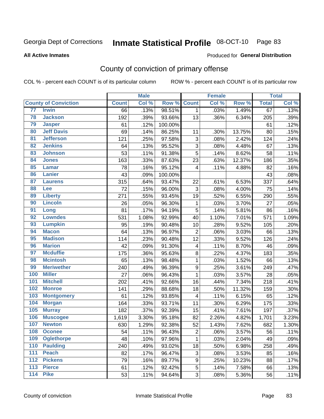# Inmate Statistical Profile 08-OCT-10 Page 83

#### **All Active Inmates**

### Produced for General Distribution

# County of conviction of primary offense

COL % - percent each COUNT is of its particular column

|                  |                             |              | <b>Male</b> |         |                  | <b>Female</b> |        |              | <b>Total</b> |
|------------------|-----------------------------|--------------|-------------|---------|------------------|---------------|--------|--------------|--------------|
|                  | <b>County of Conviction</b> | <b>Count</b> | Col %       | Row %   | <b>Count</b>     | Col %         | Row %  | <b>Total</b> | Col %        |
| 77               | <b>Irwin</b>                | 66           | .13%        | 98.51%  | $\mathbf{1}$     | .03%          | 1.49%  | 67           | .13%         |
| 78               | <b>Jackson</b>              | 192          | .39%        | 93.66%  | 13               | .36%          | 6.34%  | 205          | .39%         |
| 79               | <b>Jasper</b>               | 61           | .12%        | 100.00% |                  |               |        | 61           | .12%         |
| 80               | <b>Jeff Davis</b>           | 69           | .14%        | 86.25%  | 11               | .30%          | 13.75% | 80           | .15%         |
| 81               | <b>Jefferson</b>            | 121          | .25%        | 97.58%  | 3                | .08%          | 2.42%  | 124          | .24%         |
| 82               | <b>Jenkins</b>              | 64           | .13%        | 95.52%  | 3                | .08%          | 4.48%  | 67           | .13%         |
| 83               | <b>Johnson</b>              | 53           | .11%        | 91.38%  | 5                | .14%          | 8.62%  | 58           | .11%         |
| 84               | <b>Jones</b>                | 163          | .33%        | 87.63%  | 23               | .63%          | 12.37% | 186          | .35%         |
| 85               | <b>Lamar</b>                | 78           | .16%        | 95.12%  | 4                | .11%          | 4.88%  | 82           | .16%         |
| 86               | <b>Lanier</b>               | 43           | .09%        | 100.00% |                  |               |        | 43           | .08%         |
| 87               | <b>Laurens</b>              | 315          | .64%        | 93.47%  | 22               | .61%          | 6.53%  | 337          | .64%         |
| 88               | Lee                         | 72           | .15%        | 96.00%  | 3                | .08%          | 4.00%  | 75           | .14%         |
| 89               | <b>Liberty</b>              | 271          | .55%        | 93.45%  | 19               | .52%          | 6.55%  | 290          | .55%         |
| 90               | <b>Lincoln</b>              | 26           | .05%        | 96.30%  | 1                | .03%          | 3.70%  | 27           | .05%         |
| 91               | Long                        | 81           | .17%        | 94.19%  | 5                | .14%          | 5.81%  | 86           | .16%         |
| 92               | <b>Lowndes</b>              | 531          | 1.08%       | 92.99%  | 40               | 1.10%         | 7.01%  | 571          | 1.09%        |
| 93               | <b>Lumpkin</b>              | 95           | .19%        | 90.48%  | 10               | .28%          | 9.52%  | 105          | .20%         |
| 94               | <b>Macon</b>                | 64           | .13%        | 96.97%  | $\overline{2}$   | .06%          | 3.03%  | 66           | .13%         |
| 95               | <b>Madison</b>              | 114          | .23%        | 90.48%  | 12               | .33%          | 9.52%  | 126          | .24%         |
| 96               | <b>Marion</b>               | 42           | .09%        | 91.30%  | 4                | .11%          | 8.70%  | 46           | .09%         |
| 97               | <b>Mcduffie</b>             | 175          | .36%        | 95.63%  | 8                | .22%          | 4.37%  | 183          | .35%         |
| 98               | <b>Mcintosh</b>             | 65           | .13%        | 98.48%  | $\mathbf{1}$     | .03%          | 1.52%  | 66           | .13%         |
| 99               | <b>Meriwether</b>           | 240          | .49%        | 96.39%  | $\boldsymbol{9}$ | .25%          | 3.61%  | 249          | .47%         |
| 100              | <b>Miller</b>               | 27           | .06%        | 96.43%  | 1                | .03%          | 3.57%  | 28           | .05%         |
| 101              | <b>Mitchell</b>             | 202          | .41%        | 92.66%  | 16               | .44%          | 7.34%  | 218          | .41%         |
| 102              | <b>Monroe</b>               | 141          | .29%        | 88.68%  | 18               | .50%          | 11.32% | 159          | .30%         |
| 103              | <b>Montgomery</b>           | 61           | .12%        | 93.85%  | 4                | .11%          | 6.15%  | 65           | .12%         |
| 104              | <b>Morgan</b>               | 164          | .33%        | 93.71%  | 11               | .30%          | 6.29%  | 175          | .33%         |
| 105              | <b>Murray</b>               | 182          | .37%        | 92.39%  | 15               | .41%          | 7.61%  | 197          | .37%         |
| 106              | <b>Muscogee</b>             | 1,619        | 3.30%       | 95.18%  | 82               | 2.26%         | 4.82%  | 1,701        | 3.23%        |
| 107              | <b>Newton</b>               | 630          | 1.29%       | 92.38%  | 52               | 1.43%         | 7.62%  | 682          | 1.30%        |
| 108              | <b>Oconee</b>               | 54           | .11%        | 96.43%  | $\overline{c}$   | .06%          | 3.57%  | 56           | .11%         |
| 109              | <b>Oglethorpe</b>           | 48           | .10%        | 97.96%  | $\mathbf{1}$     | .03%          | 2.04%  | 49           | .09%         |
| 110              | <b>Paulding</b>             | 240          | .49%        | 93.02%  | 18               | .50%          | 6.98%  | 258          | .49%         |
| 111              | <b>Peach</b>                | 82           | .17%        | 96.47%  | 3                | .08%          | 3.53%  | 85           | .16%         |
| 112              | <b>Pickens</b>              | 79           | .16%        | 89.77%  | 9                | .25%          | 10.23% | 88           | .17%         |
| 113              | <b>Pierce</b>               | 61           | .12%        | 92.42%  | 5                | .14%          | 7.58%  | 66           | .13%         |
| $\overline{114}$ | <b>Pike</b>                 | 53           | .11%        | 94.64%  | 3                | .08%          | 5.36%  | 56           | .11%         |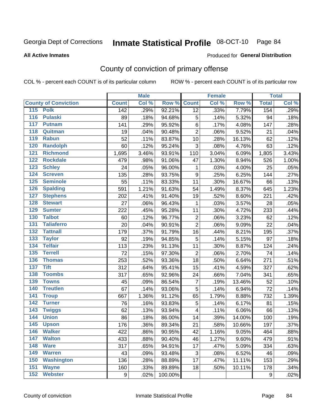# Inmate Statistical Profile 08-OCT-10 Page 84

**All Active Inmates** 

#### Produced for General Distribution

# County of conviction of primary offense

COL % - percent each COUNT is of its particular column

|                                    | <b>Male</b><br><b>Female</b> |       | <b>Total</b> |                         |       |        |              |       |
|------------------------------------|------------------------------|-------|--------------|-------------------------|-------|--------|--------------|-------|
| <b>County of Conviction</b>        | <b>Count</b>                 | Col % | Row %        | <b>Count</b>            | Col % | Row %  | <b>Total</b> | Col % |
| 115 Polk                           | 142                          | .29%  | 92.21%       | 12                      | .33%  | 7.79%  | 154          | .29%  |
| $\overline{116}$<br><b>Pulaski</b> | 89                           | .18%  | 94.68%       | 5                       | .14%  | 5.32%  | 94           | .18%  |
| 117<br><b>Putnam</b>               | 141                          | .29%  | 95.92%       | 6                       | .17%  | 4.08%  | 147          | .28%  |
| 118<br>Quitman                     | 19                           | .04%  | 90.48%       | $\overline{2}$          | .06%  | 9.52%  | 21           | .04%  |
| 119<br><b>Rabun</b>                | 52                           | .11%  | 83.87%       | 10                      | .28%  | 16.13% | 62           | .12%  |
| 120<br><b>Randolph</b>             | 60                           | .12%  | 95.24%       | 3                       | .08%  | 4.76%  | 63           | .12%  |
| 121<br><b>Richmond</b>             | 1,695                        | 3.46% | 93.91%       | 110                     | 3.04% | 6.09%  | 1,805        | 3.43% |
| 122<br><b>Rockdale</b>             | 479                          | .98%  | 91.06%       | 47                      | 1.30% | 8.94%  | 526          | 1.00% |
| 123<br><b>Schley</b>               | 24                           | .05%  | 96.00%       | 1                       | .03%  | 4.00%  | 25           | .05%  |
| $\overline{124}$<br><b>Screven</b> | 135                          | .28%  | 93.75%       | $\boldsymbol{9}$        | .25%  | 6.25%  | 144          | .27%  |
| <b>Seminole</b><br>125             | 55                           | .11%  | 83.33%       | 11                      | .30%  | 16.67% | 66           | .13%  |
| 126<br><b>Spalding</b>             | 591                          | 1.21% | 91.63%       | 54                      | 1.49% | 8.37%  | 645          | 1.23% |
| 127<br><b>Stephens</b>             | 202                          | .41%  | 91.40%       | 19                      | .52%  | 8.60%  | 221          | .42%  |
| 128<br><b>Stewart</b>              | 27                           | .06%  | 96.43%       | 1                       | .03%  | 3.57%  | 28           | .05%  |
| 129<br><b>Sumter</b>               | 222                          | .45%  | 95.28%       | 11                      | .30%  | 4.72%  | 233          | .44%  |
| 130<br><b>Talbot</b>               | 60                           | .12%  | 96.77%       | $\mathbf 2$             | .06%  | 3.23%  | 62           | .12%  |
| 131<br><b>Taliaferro</b>           | 20                           | .04%  | 90.91%       | $\overline{c}$          | .06%  | 9.09%  | 22           | .04%  |
| 132<br><b>Tattnall</b>             | 179                          | .37%  | 91.79%       | 16                      | .44%  | 8.21%  | 195          | .37%  |
| 133<br><b>Taylor</b>               | 92                           | .19%  | 94.85%       | 5                       | .14%  | 5.15%  | 97           | .18%  |
| <b>Telfair</b><br>134              | 113                          | .23%  | 91.13%       | 11                      | .30%  | 8.87%  | 124          | .24%  |
| 135<br><b>Terrell</b>              | 72                           | .15%  | 97.30%       | $\overline{2}$          | .06%  | 2.70%  | 74           | .14%  |
| 136<br><b>Thomas</b>               | 253                          | .52%  | 93.36%       | 18                      | .50%  | 6.64%  | 271          | .51%  |
| <b>Tift</b><br>137                 | 312                          | .64%  | 95.41%       | 15                      | .41%  | 4.59%  | 327          | .62%  |
| <b>Toombs</b><br>138               | 317                          | .65%  | 92.96%       | 24                      | .66%  | 7.04%  | 341          | .65%  |
| 139<br><b>Towns</b>                | 45                           | .09%  | 86.54%       | $\overline{7}$          | .19%  | 13.46% | 52           | .10%  |
| <b>Treutlen</b><br>140             | 67                           | .14%  | 93.06%       | 5                       | .14%  | 6.94%  | 72           | .14%  |
| 141<br><b>Troup</b>                | 667                          | 1.36% | 91.12%       | 65                      | 1.79% | 8.88%  | 732          | 1.39% |
| 142<br><b>Turner</b>               | 76                           | .16%  | 93.83%       | 5                       | .14%  | 6.17%  | 81           | .15%  |
| $\overline{143}$<br><b>Twiggs</b>  | 62                           | .13%  | 93.94%       | $\overline{\mathbf{4}}$ | .11%  | 6.06%  | 66           | .13%  |
| 144<br><b>Union</b>                | 86                           | .18%  | 86.00%       | 14                      | .39%  | 14.00% | 100          | .19%  |
| 145<br><b>Upson</b>                | 176                          | .36%  | 89.34%       | 21                      | .58%  | 10.66% | 197          | .37%  |
| 146<br><b>Walker</b>               | 422                          | .86%  | 90.95%       | 42                      | 1.16% | 9.05%  | 464          | .88%  |
| $\overline{147}$<br><b>Walton</b>  | 433                          | .88%  | 90.40%       | 46                      | 1.27% | 9.60%  | 479          | .91%  |
| 148<br><b>Ware</b>                 | 317                          | .65%  | 94.91%       | 17                      | .47%  | 5.09%  | 334          | .63%  |
| 149<br><b>Warren</b>               | 43                           | .09%  | 93.48%       | 3                       | .08%  | 6.52%  | 46           | .09%  |
| <b>Washington</b><br>150           | 136                          | .28%  | 88.89%       | 17                      | .47%  | 11.11% | 153          | .29%  |
| 151<br><b>Wayne</b>                | 160                          | .33%  | 89.89%       | 18                      | .50%  | 10.11% | 178          | .34%  |
| <b>Webster</b><br>152              | $\boldsymbol{9}$             | .02%  | 100.00%      |                         |       |        | 9            | .02%  |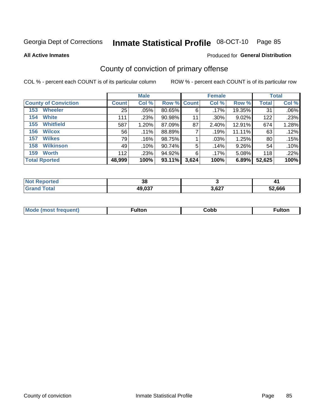# Inmate Statistical Profile 08-OCT-10 Page 85

**All Active Inmates** 

### **Produced for General Distribution**

# County of conviction of primary offense

COL % - percent each COUNT is of its particular column

|                             |              | <b>Male</b> |                    |       | <b>Female</b> |        |              | <b>Total</b> |
|-----------------------------|--------------|-------------|--------------------|-------|---------------|--------|--------------|--------------|
| <b>County of Conviction</b> | <b>Count</b> | Col %       | <b>Row % Count</b> |       | Col %         | Row %  | <b>Total</b> | Col %        |
| <b>Wheeler</b><br>153       | 25           | $.05\%$     | 80.65%             | 6     | .17%          | 19.35% | 31           | .06%         |
| <b>White</b><br>154         | 111          | .23%        | 90.98%             | 11    | .30%          | 9.02%  | 122          | .23%         |
| <b>Whitfield</b><br>155     | 587          | 1.20%       | 87.09%             | 87    | 2.40%         | 12.91% | 674          | 1.28%        |
| <b>Wilcox</b><br>156        | 56           | .11%        | 88.89%             |       | .19%          | 11.11% | 63           | .12%         |
| <b>Wilkes</b><br>157        | 79           | .16%        | 98.75%             |       | .03%          | 1.25%  | 80           | .15%         |
| <b>Wilkinson</b><br>158     | 49           | .10%        | 90.74%             | 5     | .14%          | 9.26%  | 54           | .10%         |
| <b>Worth</b><br>159         | 112          | .23%        | 94.92%             | 6     | .17%          | 5.08%  | 118          | .22%         |
| <b>Total Rported</b>        | 48,999       | 100%        | 93.11%             | 3,624 | 100%          | 6.89%  | 52,625       | 100%         |

| rteo<br>N | 38     |       |        |
|-----------|--------|-------|--------|
| otal      | 49,037 | 3,627 | 52.666 |

| <b>Mode</b><br>---<br>luent)<br>nost tren | ™ulton | copp; | Fulto |
|-------------------------------------------|--------|-------|-------|
|                                           |        |       |       |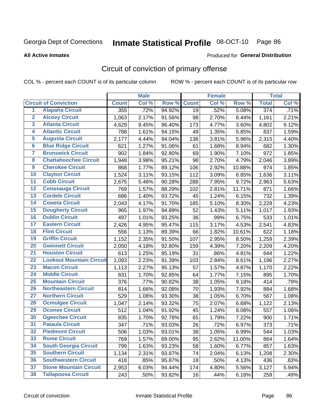# Inmate Statistical Profile 08-OCT-10 Page 86

**Produced for General Distribution** 

#### **All Active Inmates**

# Circuit of conviction of primary offense

COL % - percent each COUNT is of its particular column

|                         |                                 |              | <b>Male</b> |        |              | <b>Female</b> |        |                  | <b>Total</b> |
|-------------------------|---------------------------------|--------------|-------------|--------|--------------|---------------|--------|------------------|--------------|
|                         | <b>Circuit of Conviction</b>    | <b>Count</b> | Col %       | Row %  | <b>Count</b> | Col %         | Row %  | <b>Total</b>     | Col %        |
| $\overline{1}$          | <b>Alapaha Circuit</b>          | 355          | .72%        | 94.92% | 19           | .52%          | 5.08%  | $\overline{374}$ | .71%         |
| $\overline{2}$          | <b>Alcovy Circuit</b>           | 1,063        | 2.17%       | 91.56% | 98           | 2.70%         | 8.44%  | 1,161            | 2.21%        |
| $\overline{\mathbf{3}}$ | <b>Atlanta Circuit</b>          | 4,629        | 9.45%       | 96.40% | 173          | 4.77%         | 3.60%  | 4,802            | 9.12%        |
| 4                       | <b>Atlantic Circuit</b>         | 788          | 1.61%       | 94.15% | 49           | 1.35%         | 5.85%  | 837              | 1.59%        |
| 5                       | <b>Augusta Circuit</b>          | 2,177        | 4.44%       | 94.04% | 138          | 3.81%         | 5.96%  | 2,315            | 4.40%        |
| $\overline{\mathbf{6}}$ | <b>Blue Ridge Circuit</b>       | 621          | 1.27%       | 91.06% | 61           | 1.68%         | 8.94%  | 682              | 1.30%        |
| $\overline{\mathbf{7}}$ | <b>Brunswick Circuit</b>        | 902          | 1.84%       | 92.80% | 69           | 1.90%         | 7.10%  | 972              | 1.85%        |
| 8                       | <b>Chattahoochee Circuit</b>    | 1,948        | 3.98%       | 95.21% | 98           | 2.70%         | 4.79%  | 2,046            | 3.89%        |
| $\overline{9}$          | <b>Cherokee Circuit</b>         | 868          | 1.77%       | 89.12% | 106          | 2.92%         | 10.88% | 974              | 1.85%        |
| 10                      | <b>Clayton Circuit</b>          | 1,524        | 3.11%       | 93.15% | 112          | 3.09%         | 6.85%  | 1,636            | 3.11%        |
| 11                      | <b>Cobb Circuit</b>             | 2,675        | 5.46%       | 90.28% | 288          | 7.95%         | 9.72%  | 2,963            | 5.63%        |
| 12                      | <b>Conasauga Circuit</b>        | 769          | 1.57%       | 88.29% | 102          | 2.81%         | 11.71% | 871              | 1.66%        |
| 13                      | <b>Cordele Circuit</b>          | 686          | 1.40%       | 93.72% | 45           | 1.24%         | 6.15%  | 732              | 1.39%        |
| 14                      | <b>Coweta Circuit</b>           | 2,043        | 4.17%       | 91.70% | 185          | 5.10%         | 8.30%  | 2,228            | 4.23%        |
| 15                      | <b>Dougherty Circuit</b>        | 965          | 1.97%       | 94.89% | 52           | 1.43%         | 5.11%  | 1,017            | 1.93%        |
| 16                      | <b>Dublin Circuit</b>           | 497          | 1.01%       | 93.25% | 36           | .99%          | 6.75%  | 533              | 1.01%        |
| 17                      | <b>Eastern Circuit</b>          | 2,426        | 4.95%       | 95.47% | 115          | 3.17%         | 4.53%  | 2,541            | 4.83%        |
| 18                      | <b>Flint Circuit</b>            | 556          | 1.13%       | 89.39% | 66           | 1.82%         | 10.61% | 622              | 1.18%        |
| 19                      | <b>Griffin Circuit</b>          | 1,152        | 2.35%       | 91.50% | 107          | 2.95%         | 8.50%  | 1,259            | 2.39%        |
| 20                      | <b>Gwinnett Circuit</b>         | 2,050        | 4.18%       | 92.80% | 159          | 4.39%         | 7.20%  | 2,209            | 4.20%        |
| $\overline{21}$         | <b>Houston Circuit</b>          | 613          | 1.25%       | 95.19% | 31           | .86%          | 4.81%  | 644              | 1.22%        |
| $\overline{22}$         | <b>Lookout Mountain Circuit</b> | 1,093        | 2.23%       | 91.39% | 103          | 2.84%         | 8.61%  | 1,196            | 2.27%        |
| 23                      | <b>Macon Circuit</b>            | 1,113        | 2.27%       | 95.13% | 57           | 1.57%         | 4.87%  | 1,170            | 2.22%        |
| 24                      | <b>Middle Circuit</b>           | 831          | 1.70%       | 92.85% | 64           | 1.77%         | 7.15%  | 895              | 1.70%        |
| 25                      | <b>Mountain Circuit</b>         | 376          | .77%        | 90.82% | 38           | 1.05%         | 9.18%  | 414              | .79%         |
| 26                      | <b>Northeastern Circuit</b>     | 814          | 1.66%       | 92.08% | 70           | 1.93%         | 7.92%  | 884              | 1.68%        |
| $\overline{27}$         | <b>Northern Circuit</b>         | 529          | 1.08%       | 93.30% | 38           | 1.05%         | 6.70%  | 567              | 1.08%        |
| 28                      | <b>Ocmulgee Circuit</b>         | 1,047        | 2.14%       | 93.32% | 75           | 2.07%         | 6.68%  | 1,122            | 2.13%        |
| 29                      | <b>Oconee Circuit</b>           | 512          | 1.04%       | 91.92% | 45           | 1.24%         | 8.08%  | 557              | 1.06%        |
| 30                      | <b>Ogeechee Circuit</b>         | 835          | 1.70%       | 92.78% | 65           | 1.79%         | 7.22%  | 900              | 1.71%        |
| $\overline{31}$         | <b>Pataula Circuit</b>          | 347          | .71%        | 93.03% | 26           | .72%          | 6.97%  | 373              | .71%         |
| 32                      | <b>Piedmont Circuit</b>         | 506          | 1.03%       | 93.01% | 38           | 1.05%         | 6.99%  | 544              | 1.03%        |
| 33                      | <b>Rome Circuit</b>             | 769          | 1.57%       | 89.00% | 95           | 2.62%         | 11.00% | 864              | 1.64%        |
| 34                      | <b>South Georgia Circuit</b>    | 799          | 1.63%       | 93.23% | 58           | 1.60%         | 6.77%  | 857              | 1.63%        |
| 35                      | <b>Southern Circuit</b>         | 1,134        | 2.31%       | 93.87% | 74           | 2.04%         | 6.13%  | 1,208            | 2.30%        |
| 36                      | <b>Southwestern Circuit</b>     | 418          | .85%        | 95.87% | 18           | .50%          | 4.13%  | 436              | .83%         |
| 37                      | <b>Stone Mountain Circuit</b>   | 2,953        | 6.03%       | 94.44% | 174          | 4.80%         | 5.56%  | 3,127            | 5.94%        |
| 38                      | <b>Tallapoosa Circuit</b>       | 243          | .50%        | 93.82% | 16           | .44%          | 6.18%  | 259              | .49%         |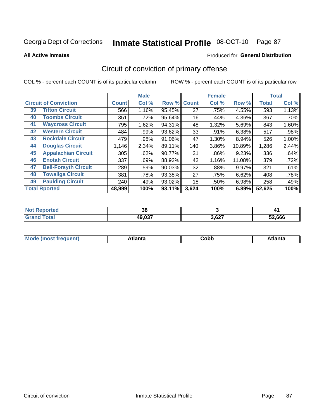#### Inmate Statistical Profile 08-OCT-10 Page 87

**All Active Inmates** 

#### Produced for General Distribution

# Circuit of conviction of primary offense

COL % - percent each COUNT is of its particular column

|    |                              |              | <b>Male</b> |        |              | <b>Female</b> |        |              | <b>Total</b> |
|----|------------------------------|--------------|-------------|--------|--------------|---------------|--------|--------------|--------------|
|    | <b>Circuit of Conviction</b> | <b>Count</b> | Col %       | Row %  | <b>Count</b> | Col %         | Row %  | <b>Total</b> | Col %        |
| 39 | <b>Tifton Circuit</b>        | 566          | 1.16%       | 95.45% | 27           | .75%          | 4.55%  | 593          | 1.13%        |
| 40 | <b>Toombs Circuit</b>        | 351          | .72%        | 95.64% | 16           | .44%          | 4.36%  | 367          | .70%         |
| 41 | <b>Waycross Circuit</b>      | 795          | 1.62%       | 94.31% | 48           | 1.32%         | 5.69%  | 843          | 1.60%        |
| 42 | <b>Western Circuit</b>       | 484          | .99%        | 93.62% | 33           | .91%          | 6.38%  | 517          | .98%         |
| 43 | <b>Rockdale Circuit</b>      | 479          | .98%        | 91.06% | 47           | 1.30%         | 8.94%  | 526          | 1.00%        |
| 44 | <b>Douglas Circuit</b>       | 1,146        | 2.34%       | 89.11% | 140          | 3.86%         | 10.89% | 1,286        | 2.44%        |
| 45 | <b>Appalachian Circuit</b>   | 305          | .62%        | 90.77% | 31           | .86%          | 9.23%  | 336          | .64%         |
| 46 | <b>Enotah Circuit</b>        | 337          | .69%        | 88.92% | 42           | 1.16%         | 11.08% | 379          | .72%         |
| 47 | <b>Bell-Forsyth Circuit</b>  | 289          | .59%        | 90.03% | 32           | .88%          | 9.97%  | 321          | .61%         |
| 48 | <b>Towaliga Circuit</b>      | 381          | .78%        | 93.38% | 27           | .75%          | 6.62%  | 408          | .78%         |
| 49 | <b>Paulding Circuit</b>      | 240          | .49%        | 93.02% | 18           | .50%          | 6.98%  | 258          | .49%         |
|    | <b>Total Rported</b>         | 48,999       | 100%        | 93.11% | 3,624        | 100%          | 6.89%  | 52,625       | 100%         |

| ™ | $\sim$<br>၁၀ |       |               |
|---|--------------|-------|---------------|
|   | 49,037       | 3,627 | $^{\circ}666$ |

| M | . | -----<br>oг | ----<br>пLс |
|---|---|-------------|-------------|
|   |   | <b>OUNN</b> |             |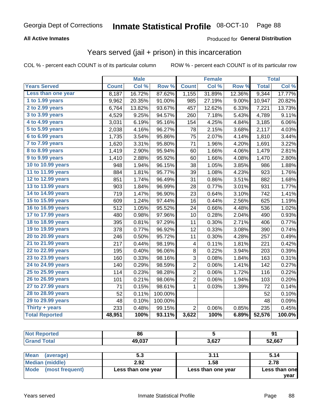# Inmate Statistical Profile 08-OCT-10 Page 88

### **All Active Inmates**

### **Produced for General Distribution**

### Years served (jail + prison) in this incarceration

COL % - percent each COUNT is of its particular column

|                       |              | <b>Male</b> |         |                | <b>Female</b> |                  |              | <b>Total</b> |
|-----------------------|--------------|-------------|---------|----------------|---------------|------------------|--------------|--------------|
| <b>Years Served</b>   | <b>Count</b> | Col %       | Row %   | <b>Count</b>   | Col %         | Row <sub>%</sub> | <b>Total</b> | Col%         |
| Less than one year    | 8,187        | 16.72%      | 87.62%  | 1,155          | 31.89%        | 12.36%           | 9,344        | 17.77%       |
| 1 to 1.99 years       | 9,962        | 20.35%      | 91.00%  | 985            | 27.19%        | 9.00%            | 10,947       | 20.82%       |
| 2 to 2.99 years       | 6,764        | 13.82%      | 93.67%  | 457            | 12.62%        | 6.33%            | 7,221        | 13.73%       |
| $3$ to $3.99$ years   | 4,529        | 9.25%       | 94.57%  | 260            | 7.18%         | 5.43%            | 4,789        | 9.11%        |
| 4 to 4.99 years       | 3,031        | 6.19%       | 95.16%  | 154            | 4.25%         | 4.84%            | 3,185        | 6.06%        |
| 5 to 5.99 years       | 2,038        | 4.16%       | 96.27%  | 78             | 2.15%         | 3.68%            | 2,117        | 4.03%        |
| 6 to 6.99 years       | 1,735        | 3.54%       | 95.86%  | 75             | 2.07%         | 4.14%            | 1,810        | 3.44%        |
| 7 to 7.99 years       | 1,620        | 3.31%       | 95.80%  | 71             | 1.96%         | 4.20%            | 1,691        | 3.22%        |
| 8 to 8.99 years       | 1,419        | 2.90%       | 95.94%  | 60             | 1.66%         | 4.06%            | 1,479        | 2.81%        |
| 9 to 9.99 years       | 1,410        | 2.88%       | 95.92%  | 60             | 1.66%         | 4.08%            | 1,470        | 2.80%        |
| 10 to 10.99 years     | 948          | 1.94%       | 96.15%  | 38             | 1.05%         | 3.85%            | 986          | 1.88%        |
| 11 to 11.99 years     | 884          | 1.81%       | 95.77%  | 39             | 1.08%         | 4.23%            | 923          | 1.76%        |
| 12 to 12.99 years     | 851          | 1.74%       | 96.49%  | 31             | 0.86%         | 3.51%            | 882          | 1.68%        |
| 13 to 13.99 years     | 903          | 1.84%       | 96.99%  | 28             | 0.77%         | 3.01%            | 931          | 1.77%        |
| 14 to 14.99 years     | 719          | 1.47%       | 96.90%  | 23             | 0.64%         | 3.10%            | 742          | 1.41%        |
| 15 to 15.99 years     | 609          | 1.24%       | 97.44%  | 16             | 0.44%         | 2.56%            | 625          | 1.19%        |
| 16 to 16.99 years     | 512          | 1.05%       | 95.52%  | 24             | 0.66%         | 4.48%            | 536          | 1.02%        |
| 17 to 17.99 years     | 480          | 0.98%       | 97.96%  | 10             | 0.28%         | 2.04%            | 490          | 0.93%        |
| 18 to 18.99 years     | 395          | 0.81%       | 97.29%  | 11             | 0.30%         | 2.71%            | 406          | 0.77%        |
| 19 to 19.99 years     | 378          | 0.77%       | 96.92%  | 12             | 0.33%         | 3.08%            | 390          | 0.74%        |
| 20 to 20.99 years     | 246          | 0.50%       | 95.72%  | 11             | 0.30%         | 4.28%            | 257          | 0.49%        |
| 21 to 21.99 years     | 217          | 0.44%       | 98.19%  | 4              | 0.11%         | 1.81%            | 221          | 0.42%        |
| 22 to 22.99 years     | 195          | 0.40%       | 96.06%  | 8              | 0.22%         | 3.94%            | 203          | 0.39%        |
| 23 to 23.99 years     | 160          | 0.33%       | 98.16%  | 3              | 0.08%         | 1.84%            | 163          | 0.31%        |
| 24 to 24.99 years     | 140          | 0.29%       | 98.59%  | $\overline{2}$ | 0.06%         | 1.41%            | 142          | 0.27%        |
| 25 to 25.99 years     | 114          | 0.23%       | 98.28%  | $\overline{c}$ | 0.06%         | 1.72%            | 116          | 0.22%        |
| 26 to 26.99 years     | 101          | 0.21%       | 98.06%  | $\overline{2}$ | 0.06%         | 1.94%            | 103          | 0.20%        |
| 27 to 27.99 years     | 71           | 0.15%       | 98.61%  | 1              | 0.03%         | 1.39%            | 72           | 0.14%        |
| 28 to 28.99 years     | 52           | 0.11%       | 100.00% |                |               |                  | 52           | 0.10%        |
| 29 to 29.99 years     | 48           | 0.10%       | 100.00% |                |               |                  | 48           | 0.09%        |
| Thirty $+$ years      | 233          | 0.48%       | 99.15%  | $\overline{2}$ | 0.06%         | 0.85%            | 235          | 0.45%        |
| <b>Total Reported</b> | 48,951       | 100%        | 93.11%  | 3,622          | 100%          | 6.89%            | 52,576       | 100.0%       |

| оc<br>OO.        |      | <b>TA</b><br>ш.<br>. . |
|------------------|------|------------------------|
| 49 037<br>ו טופו | 2027 | 52,667                 |

| <b>Mean</b><br>(average) | 5.3                | 3.11               | 5.14          |
|--------------------------|--------------------|--------------------|---------------|
| Median (middle)          | 2.92               | 1.58               | 2.78          |
| Mode (most frequent)     | Less than one year | Less than one year | Less than one |
|                          |                    |                    | vear          |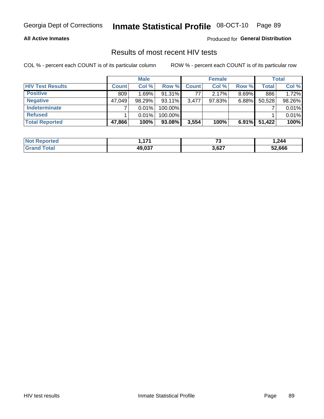# Inmate Statistical Profile 08-OCT-10 Page 89

### **All Active Inmates**

Produced for General Distribution

### Results of most recent HIV tests

COL % - percent each COUNT is of its particular column

|                         |              | <b>Male</b> |           |              | <b>Female</b> |          |              | <b>Total</b> |
|-------------------------|--------------|-------------|-----------|--------------|---------------|----------|--------------|--------------|
| <b>HIV Test Results</b> | <b>Count</b> | Col %       | Row %     | <b>Count</b> | Col %         | Row %    | <b>Total</b> | Col %        |
| <b>Positive</b>         | 809          | 1.69%       | 91.31%    | 77           | 2.17%         | $8.69\%$ | 886          | 1.72%        |
| <b>Negative</b>         | 47.049       | $98.29\%$   | $93.11\%$ | 3.477        | $97.83\%$     | $6.88\%$ | 50,528       | 98.26%       |
| Indeterminate           |              | 0.01%       | 100.00%   |              |               |          |              | 0.01%        |
| <b>Refused</b>          |              | 0.01%       | 100.00%   |              |               |          |              | 0.01%        |
| <b>Total Reported</b>   | 47,866       | 100%        | 93.08%    | 3,554        | 100%          | $6.91\%$ | 51,422       | 100%         |

| Reported<br><b>NOT</b> |                           | $\sim$<br>ں ۔ | .244   |
|------------------------|---------------------------|---------------|--------|
| "otal                  | 10.027<br>49.U.S <i>I</i> | 3,627         | 52.666 |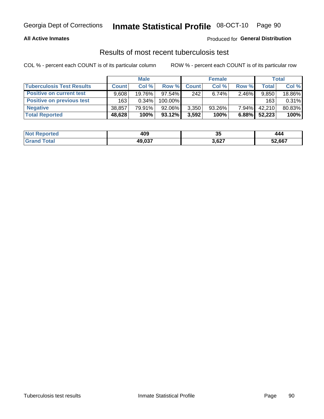# Inmate Statistical Profile 08-OCT-10 Page 90

### **All Active Inmates**

### Produced for General Distribution

### Results of most recent tuberculosis test

COL % - percent each COUNT is of its particular column

|                                  |              | <b>Male</b> |           |              | <b>Female</b> |          |              | Total  |
|----------------------------------|--------------|-------------|-----------|--------------|---------------|----------|--------------|--------|
| <b>Tuberculosis Test Results</b> | <b>Count</b> | Col %       | Row %     | <b>Count</b> | Col %         | Row %    | <b>Total</b> | Col %  |
| <b>Positive on current test</b>  | 9.608        | 19.76%      | 97.54%    | 242          | 6.74%         | $2.46\%$ | 9,850        | 18.86% |
| <b>Positive on previous test</b> | 163          | 0.34%       | 100.00%   |              |               |          | 163          | 0.31%  |
| <b>Negative</b>                  | 38,857       | 79.91%      | $92.06\%$ | 3,350        | $93.26\%$     | $7.94\%$ | 42.210       | 80.83% |
| <b>Total Reported</b>            | 48,628       | 100%        | $93.12\%$ | 3,592        | 100%          | 6.88%    | 52,223       | 100%   |

| <b>Not Reported</b> | 409    | 25 T<br>v. | 444    |
|---------------------|--------|------------|--------|
| Total<br>Gran       | 49,037 | 3,627      | 52,667 |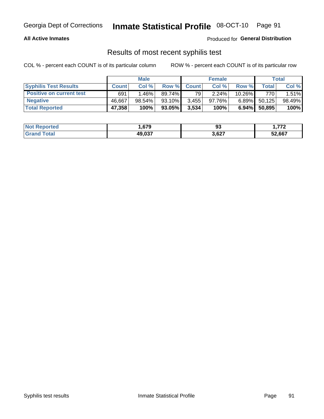# Georgia Dept of Corrections **Inmate Statistical Profile** 08-OCT-10 Page 91

### **All Active Inmates**

Produced for **General Distribution**

### Results of most recent syphilis test

COL % - percent each COUNT is of its particular column ROW % - percent each COUNT is of its particular row

|                                 |              | <b>Male</b> |           |              | <b>Female</b> |           |         | Total  |
|---------------------------------|--------------|-------------|-----------|--------------|---------------|-----------|---------|--------|
| <b>Syphilis Test Results</b>    | <b>Count</b> | Col%        | Row %     | <b>Count</b> | Col %         | Row %     | Total I | Col %  |
| <b>Positive on current test</b> | 691          | 1.46% l     | 89.74%    | 79           | 2.24%         | $10.26\%$ | 770     | 1.51%  |
| <b>Negative</b>                 | 46.667       | 98.54%      | $93.10\%$ | 3,455        | $97.76\%$     | $6.89\%$  | 50,125  | 98.49% |
| <b>Total Reported</b>           | 47,358       | 100%        | 93.05%    | 3,534        | 100%          | $6.94\%$  | 50,895  | 100%   |

| <b>Not Reported</b> | . 679  | ດາ<br>◡ | フフク<br>1 . <i>.</i> |
|---------------------|--------|---------|---------------------|
| <b>Grand Total</b>  | 49,037 | 3,627   | 52,667              |